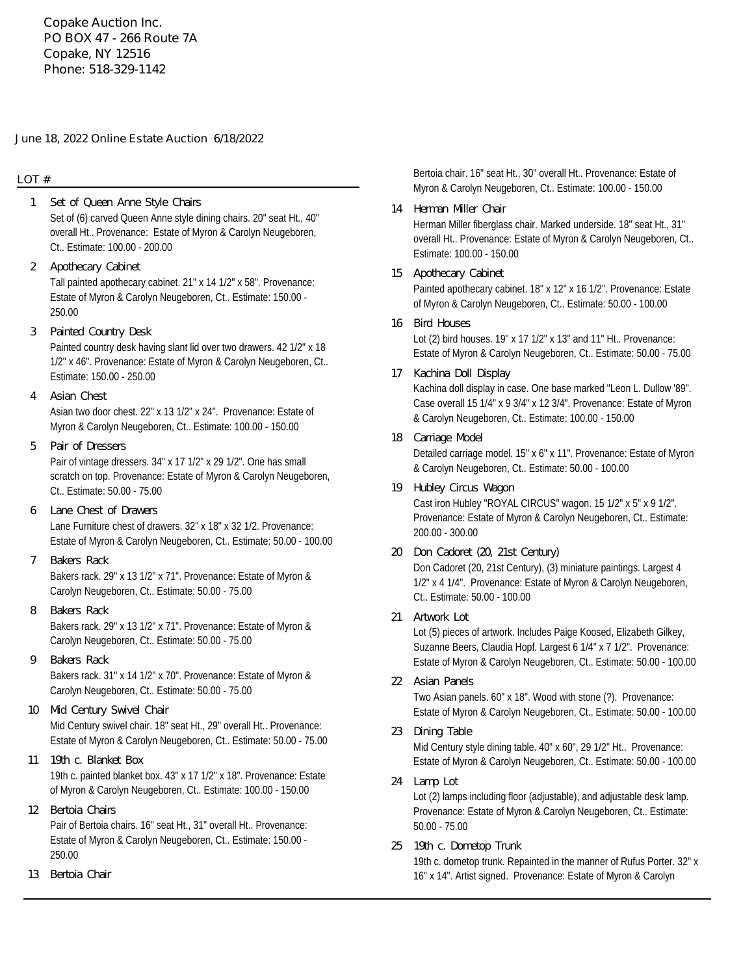**Copake Auction Inc. PO BOX 47 - 266 Route 7A Copake, NY 12516 Phone: 518-329-1142**

#### **June 18, 2022 Online Estate Auction 6/18/2022**

## **LOT #**

- Set of (6) carved Queen Anne style dining chairs. 20" seat Ht., 40" overall Ht.. Provenance: Estate of Myron & Carolyn Neugeboren, Ct.. Estimate: 100.00 - 200.00 **1 Set of Queen Anne Style Chairs**
- Tall painted apothecary cabinet. 21" x 14 1/2" x 58". Provenance: Estate of Myron & Carolyn Neugeboren, Ct.. Estimate: 150.00 - 250.00 **2 Apothecary Cabinet**
- **3 Painted Country Desk**

Painted country desk having slant lid over two drawers. 42 1/2" x 18 1/2" x 46". Provenance: Estate of Myron & Carolyn Neugeboren, Ct.. Estimate: 150.00 - 250.00

- Asian two door chest. 22" x 13 1/2" x 24". Provenance: Estate of Myron & Carolyn Neugeboren, Ct.. Estimate: 100.00 - 150.00 **4 Asian Chest**
- Pair of vintage dressers. 34" x 17 1/2" x 29 1/2". One has small scratch on top. Provenance: Estate of Myron & Carolyn Neugeboren, Ct.. Estimate: 50.00 - 75.00 **5 Pair of Dressers**
- Lane Furniture chest of drawers. 32" x 18" x 32 1/2. Provenance: Estate of Myron & Carolyn Neugeboren, Ct.. Estimate: 50.00 - 100.00 **6 Lane Chest of Drawers**
- Bakers rack. 29" x 13 1/2" x 71". Provenance: Estate of Myron & Carolyn Neugeboren, Ct.. Estimate: 50.00 - 75.00 **7 Bakers Rack**
- Bakers rack. 29" x 13 1/2" x 71". Provenance: Estate of Myron & Carolyn Neugeboren, Ct.. Estimate: 50.00 - 75.00 **8 Bakers Rack**
- Bakers rack. 31" x 14 1/2" x 70". Provenance: Estate of Myron & Carolyn Neugeboren, Ct.. Estimate: 50.00 - 75.00 **9 Bakers Rack**
- Mid Century swivel chair. 18" seat Ht., 29" overall Ht.. Provenance: Estate of Myron & Carolyn Neugeboren, Ct.. Estimate: 50.00 - 75.00 **10 Mid Century Swivel Chair**
- 19th c. painted blanket box. 43" x 17 1/2" x 18". Provenance: Estate of Myron & Carolyn Neugeboren, Ct.. Estimate: 100.00 - 150.00 **11 19th c. Blanket Box**
- Pair of Bertoia chairs. 16" seat Ht., 31" overall Ht.. Provenance: Estate of Myron & Carolyn Neugeboren, Ct.. Estimate: 150.00 - 250.00 **12 Bertoia Chairs**
- **13 Bertoia Chair**

Bertoia chair. 16" seat Ht., 30" overall Ht.. Provenance: Estate of Myron & Carolyn Neugeboren, Ct.. Estimate: 100.00 - 150.00

- Herman Miller fiberglass chair. Marked underside. 18" seat Ht., 31" overall Ht.. Provenance: Estate of Myron & Carolyn Neugeboren, Ct.. Estimate: 100.00 - 150.00 **14 Herman Miller Chair**
- Painted apothecary cabinet. 18" x 12" x 16 1/2". Provenance: Estate of Myron & Carolyn Neugeboren, Ct.. Estimate: 50.00 - 100.00 **15 Apothecary Cabinet**
- Lot (2) bird houses. 19" x 17 1/2" x 13" and 11" Ht.. Provenance: Estate of Myron & Carolyn Neugeboren, Ct.. Estimate: 50.00 - 75.00 **16 Bird Houses**
- Kachina doll display in case. One base marked "Leon L. Dullow '89". Case overall 15 1/4" x 9 3/4" x 12 3/4". Provenance: Estate of Myron & Carolyn Neugeboren, Ct.. Estimate: 100.00 - 150.00 **17 Kachina Doll Display**
- Detailed carriage model. 15" x 6" x 11". Provenance: Estate of Myron & Carolyn Neugeboren, Ct.. Estimate: 50.00 - 100.00 **18 Carriage Model**
- Cast iron Hubley "ROYAL CIRCUS" wagon. 15 1/2" x 5" x 9 1/2". Provenance: Estate of Myron & Carolyn Neugeboren, Ct.. Estimate: 200.00 - 300.00 **19 Hubley Circus Wagon**
- Don Cadoret (20, 21st Century), (3) miniature paintings. Largest 4 1/2" x 4 1/4". Provenance: Estate of Myron & Carolyn Neugeboren, Ct.. Estimate: 50.00 - 100.00 **20 Don Cadoret (20, 21st Century)**
- **21 Artwork Lot**

Lot (5) pieces of artwork. Includes Paige Koosed, Elizabeth Gilkey, Suzanne Beers, Claudia Hopf. Largest 6 1/4" x 7 1/2". Provenance: Estate of Myron & Carolyn Neugeboren, Ct.. Estimate: 50.00 - 100.00

- Two Asian panels. 60" x 18". Wood with stone (?). Provenance: Estate of Myron & Carolyn Neugeboren, Ct.. Estimate: 50.00 - 100.00 **22 Asian Panels**
- **23 Dining Table**

Mid Century style dining table. 40" x 60", 29 1/2" Ht.. Provenance: Estate of Myron & Carolyn Neugeboren, Ct.. Estimate: 50.00 - 100.00

**24 Lamp Lot**

Lot (2) lamps including floor (adjustable), and adjustable desk lamp. Provenance: Estate of Myron & Carolyn Neugeboren, Ct.. Estimate: 50.00 - 75.00

**25 19th c. Dometop Trunk**

19th c. dometop trunk. Repainted in the manner of Rufus Porter. 32" x 16" x 14". Artist signed. Provenance: Estate of Myron & Carolyn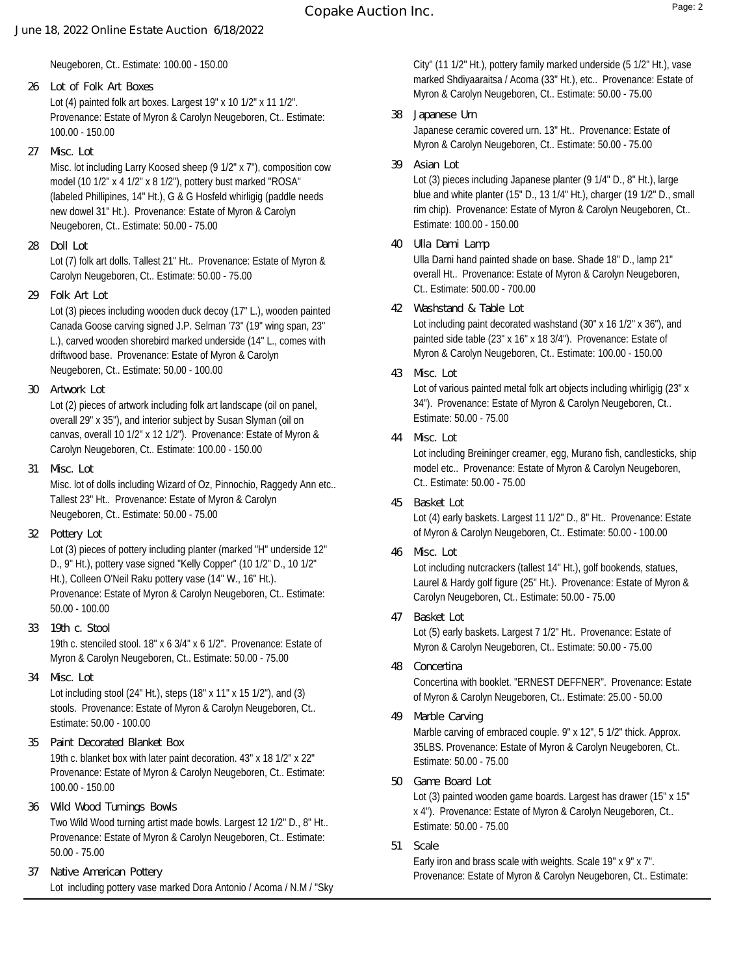Neugeboren, Ct.. Estimate: 100.00 - 150.00

- Lot (4) painted folk art boxes. Largest 19" x 10 1/2" x 11 1/2". Provenance: Estate of Myron & Carolyn Neugeboren, Ct.. Estimate: 100.00 - 150.00 **26 Lot of Folk Art Boxes**
- **27 Misc. Lot**

Misc. lot including Larry Koosed sheep (9 1/2" x 7"), composition cow model (10 1/2" x 4 1/2" x 8 1/2"), pottery bust marked "ROSA" (labeled Phillipines, 14" Ht.), G & G Hosfeld whirligig (paddle needs new dowel 31" Ht.). Provenance: Estate of Myron & Carolyn Neugeboren, Ct.. Estimate: 50.00 - 75.00

**28 Doll Lot**

Lot (7) folk art dolls. Tallest 21" Ht.. Provenance: Estate of Myron & Carolyn Neugeboren, Ct.. Estimate: 50.00 - 75.00

**29 Folk Art Lot**

Lot (3) pieces including wooden duck decoy (17" L.), wooden painted Canada Goose carving signed J.P. Selman '73" (19" wing span, 23" L.), carved wooden shorebird marked underside (14" L., comes with driftwood base. Provenance: Estate of Myron & Carolyn Neugeboren, Ct.. Estimate: 50.00 - 100.00

**30 Artwork Lot**

Lot (2) pieces of artwork including folk art landscape (oil on panel, overall 29" x 35"), and interior subject by Susan Slyman (oil on canvas, overall 10 1/2" x 12 1/2"). Provenance: Estate of Myron & Carolyn Neugeboren, Ct.. Estimate: 100.00 - 150.00

**31 Misc. Lot**

Misc. lot of dolls including Wizard of Oz, Pinnochio, Raggedy Ann etc.. Tallest 23" Ht.. Provenance: Estate of Myron & Carolyn Neugeboren, Ct.. Estimate: 50.00 - 75.00

**32 Pottery Lot**

Lot (3) pieces of pottery including planter (marked "H" underside 12" D., 9" Ht.), pottery vase signed "Kelly Copper" (10 1/2" D., 10 1/2" Ht.), Colleen O'Neil Raku pottery vase (14" W., 16" Ht.). Provenance: Estate of Myron & Carolyn Neugeboren, Ct.. Estimate: 50.00 - 100.00

- 19th c. stenciled stool. 18" x 6 3/4" x 6 1/2". Provenance: Estate of Myron & Carolyn Neugeboren, Ct.. Estimate: 50.00 - 75.00 **33 19th c. Stool**
- **34 Misc. Lot**

Lot including stool (24" Ht.), steps (18" x 11" x 15 1/2"), and (3) stools. Provenance: Estate of Myron & Carolyn Neugeboren, Ct.. Estimate: 50.00 - 100.00

- 19th c. blanket box with later paint decoration. 43" x 18 1/2" x 22" Provenance: Estate of Myron & Carolyn Neugeboren, Ct.. Estimate: 100.00 - 150.00 **35 Paint Decorated Blanket Box**
- Two Wild Wood turning artist made bowls. Largest 12 1/2" D., 8" Ht.. Provenance: Estate of Myron & Carolyn Neugeboren, Ct.. Estimate: 50.00 - 75.00 **36 Wild Wood Turnings Bowls**
- Lot including pottery vase marked Dora Antonio / Acoma / N.M / "Sky **37 Native American Pottery**

City" (11 1/2" Ht.), pottery family marked underside (5 1/2" Ht.), vase marked Shdiyaaraitsa / Acoma (33" Ht.), etc.. Provenance: Estate of Myron & Carolyn Neugeboren, Ct.. Estimate: 50.00 - 75.00

- Japanese ceramic covered urn. 13" Ht.. Provenance: Estate of Myron & Carolyn Neugeboren, Ct.. Estimate: 50.00 - 75.00 **38 Japanese Urn**
- **39 Asian Lot**

Lot (3) pieces including Japanese planter (9 1/4" D., 8" Ht.), large blue and white planter (15" D., 13 1/4" Ht.), charger (19 1/2" D., small rim chip). Provenance: Estate of Myron & Carolyn Neugeboren, Ct.. Estimate: 100.00 - 150.00

**40 Ulla Darni Lamp**

Ulla Darni hand painted shade on base. Shade 18" D., lamp 21" overall Ht.. Provenance: Estate of Myron & Carolyn Neugeboren, Ct.. Estimate: 500.00 - 700.00

**42 Washstand & Table Lot**

Lot including paint decorated washstand (30" x 16 1/2" x 36"), and painted side table (23" x 16" x 18 3/4"). Provenance: Estate of Myron & Carolyn Neugeboren, Ct.. Estimate: 100.00 - 150.00

**43 Misc. Lot**

Lot of various painted metal folk art objects including whirligig (23" x 34"). Provenance: Estate of Myron & Carolyn Neugeboren, Ct.. Estimate: 50.00 - 75.00

**44 Misc. Lot**

Lot including Breininger creamer, egg, Murano fish, candlesticks, ship model etc.. Provenance: Estate of Myron & Carolyn Neugeboren, Ct.. Estimate: 50.00 - 75.00

**45 Basket Lot**

Lot (4) early baskets. Largest 11 1/2" D., 8" Ht.. Provenance: Estate of Myron & Carolyn Neugeboren, Ct.. Estimate: 50.00 - 100.00

**46 Misc. Lot**

Lot including nutcrackers (tallest 14" Ht.), golf bookends, statues, Laurel & Hardy golf figure (25" Ht.). Provenance: Estate of Myron & Carolyn Neugeboren, Ct.. Estimate: 50.00 - 75.00

**47 Basket Lot**

Lot (5) early baskets. Largest 7 1/2" Ht.. Provenance: Estate of Myron & Carolyn Neugeboren, Ct.. Estimate: 50.00 - 75.00

- Concertina with booklet. "ERNEST DEFFNER". Provenance: Estate of Myron & Carolyn Neugeboren, Ct.. Estimate: 25.00 - 50.00 **48 Concertina**
- **49 Marble Carving**

Marble carving of embraced couple. 9" x 12", 5 1/2" thick. Approx. 35LBS. Provenance: Estate of Myron & Carolyn Neugeboren, Ct.. Estimate: 50.00 - 75.00

**50 Game Board Lot**

Lot (3) painted wooden game boards. Largest has drawer (15" x 15" x 4"). Provenance: Estate of Myron & Carolyn Neugeboren, Ct.. Estimate: 50.00 - 75.00

**51 Scale**

Early iron and brass scale with weights. Scale 19" x 9" x 7". Provenance: Estate of Myron & Carolyn Neugeboren, Ct.. Estimate: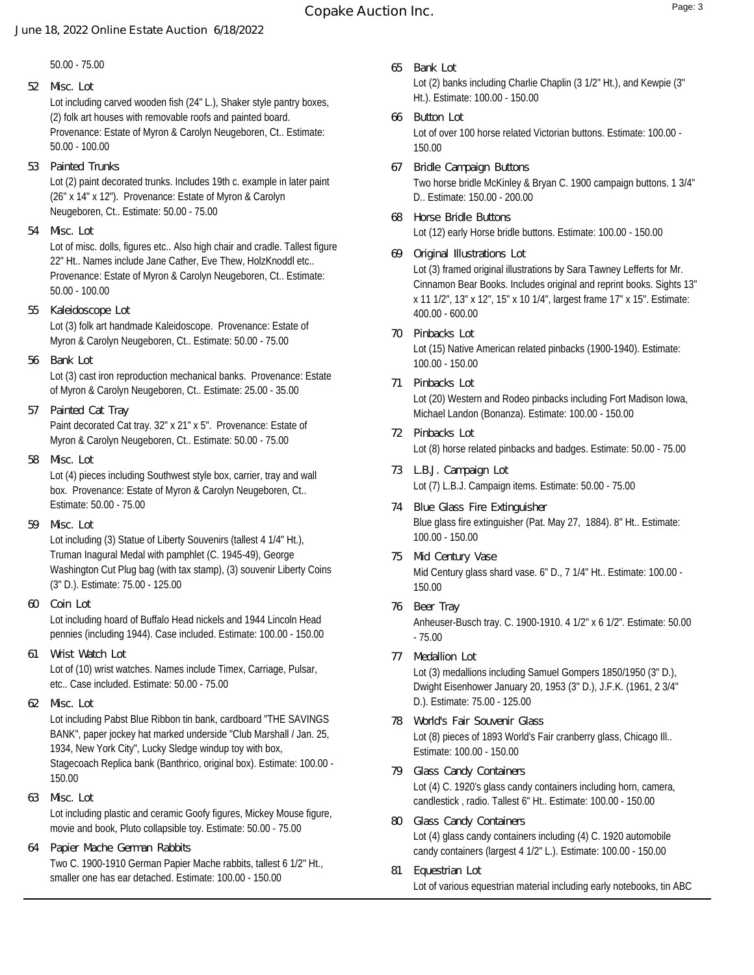# **Copake Auction Inc.** Page: 3

#### **June 18, 2022 Online Estate Auction 6/18/2022**

50.00 - 75.00

### **52 Misc. Lot**

Lot including carved wooden fish (24" L.), Shaker style pantry boxes, (2) folk art houses with removable roofs and painted board. Provenance: Estate of Myron & Carolyn Neugeboren, Ct.. Estimate: 50.00 - 100.00

**53 Painted Trunks**

Lot (2) paint decorated trunks. Includes 19th c. example in later paint (26" x 14" x 12"). Provenance: Estate of Myron & Carolyn Neugeboren, Ct.. Estimate: 50.00 - 75.00

**54 Misc. Lot**

Lot of misc. dolls, figures etc.. Also high chair and cradle. Tallest figure 22" Ht.. Names include Jane Cather, Eve Thew, HolzKnoddl etc.. Provenance: Estate of Myron & Carolyn Neugeboren, Ct.. Estimate: 50.00 - 100.00

**55 Kaleidoscope Lot**

Lot (3) folk art handmade Kaleidoscope. Provenance: Estate of Myron & Carolyn Neugeboren, Ct.. Estimate: 50.00 - 75.00

**56 Bank Lot**

Lot (3) cast iron reproduction mechanical banks. Provenance: Estate of Myron & Carolyn Neugeboren, Ct.. Estimate: 25.00 - 35.00

**57 Painted Cat Tray**

Paint decorated Cat tray. 32" x 21" x 5". Provenance: Estate of Myron & Carolyn Neugeboren, Ct.. Estimate: 50.00 - 75.00

**58 Misc. Lot**

Lot (4) pieces including Southwest style box, carrier, tray and wall box. Provenance: Estate of Myron & Carolyn Neugeboren, Ct.. Estimate: 50.00 - 75.00

**59 Misc. Lot**

Lot including (3) Statue of Liberty Souvenirs (tallest 4 1/4" Ht.), Truman Inagural Medal with pamphlet (C. 1945-49), George Washington Cut Plug bag (with tax stamp), (3) souvenir Liberty Coins (3" D.). Estimate: 75.00 - 125.00

**60 Coin Lot**

Lot including hoard of Buffalo Head nickels and 1944 Lincoln Head pennies (including 1944). Case included. Estimate: 100.00 - 150.00

**61 Wrist Watch Lot**

Lot of (10) wrist watches. Names include Timex, Carriage, Pulsar, etc.. Case included. Estimate: 50.00 - 75.00

**62 Misc. Lot**

Lot including Pabst Blue Ribbon tin bank, cardboard "THE SAVINGS BANK", paper jockey hat marked underside "Club Marshall / Jan. 25, 1934, New York City", Lucky Sledge windup toy with box, Stagecoach Replica bank (Banthrico, original box). Estimate: 100.00 - 150.00

**63 Misc. Lot**

Lot including plastic and ceramic Goofy figures, Mickey Mouse figure, movie and book, Pluto collapsible toy. Estimate: 50.00 - 75.00

Two C. 1900-1910 German Papier Mache rabbits, tallest 6 1/2" Ht., smaller one has ear detached. Estimate: 100.00 - 150.00 **64 Papier Mache German Rabbits**

- Lot (2) banks including Charlie Chaplin (3 1/2" Ht.), and Kewpie (3" Ht.). Estimate: 100.00 - 150.00 **65 Bank Lot**
- Lot of over 100 horse related Victorian buttons. Estimate: 100.00 150.00 **66 Button Lot**
- Two horse bridle McKinley & Bryan C. 1900 campaign buttons. 1 3/4" D.. Estimate: 150.00 - 200.00 **67 Bridle Campaign Buttons**
- Lot (12) early Horse bridle buttons. Estimate: 100.00 150.00 **68 Horse Bridle Buttons**
- Lot (3) framed original illustrations by Sara Tawney Lefferts for Mr. Cinnamon Bear Books. Includes original and reprint books. Sights 13" x 11 1/2", 13" x 12", 15" x 10 1/4", largest frame 17" x 15". Estimate: 400.00 - 600.00 **69 Original Illustrations Lot**
- Lot (15) Native American related pinbacks (1900-1940). Estimate: 100.00 - 150.00 **70 Pinbacks Lot**
- Lot (20) Western and Rodeo pinbacks including Fort Madison Iowa, Michael Landon (Bonanza). Estimate: 100.00 - 150.00 **71 Pinbacks Lot**
- Lot (8) horse related pinbacks and badges. Estimate: 50.00 75.00 **72 Pinbacks Lot**
- Lot (7) L.B.J. Campaign items. Estimate: 50.00 75.00 **73 L.B.J. Campaign Lot**
- Blue glass fire extinguisher (Pat. May 27, 1884). 8" Ht.. Estimate: 100.00 - 150.00 **74 Blue Glass Fire Extinguisher**
- Mid Century glass shard vase. 6" D., 7 1/4" Ht.. Estimate: 100.00 150.00 **75 Mid Century Vase**
- Anheuser-Busch tray. C. 1900-1910. 4 1/2" x 6 1/2". Estimate: 50.00 - 75.00 **76 Beer Tray**
- Lot (3) medallions including Samuel Gompers 1850/1950 (3" D.), Dwight Eisenhower January 20, 1953 (3" D.), J.F.K. (1961, 2 3/4" D.). Estimate: 75.00 - 125.00 **77 Medallion Lot**
- Lot (8) pieces of 1893 World's Fair cranberry glass, Chicago Ill.. Estimate: 100.00 - 150.00 **78 World's Fair Souvenir Glass**
- Lot (4) C. 1920's glass candy containers including horn, camera, candlestick , radio. Tallest 6" Ht.. Estimate: 100.00 - 150.00 **79 Glass Candy Containers**
- Lot (4) glass candy containers including (4) C. 1920 automobile candy containers (largest 4 1/2" L.). Estimate: 100.00 - 150.00 **80 Glass Candy Containers**
- Lot of various equestrian material including early notebooks, tin ABC **81 Equestrian Lot**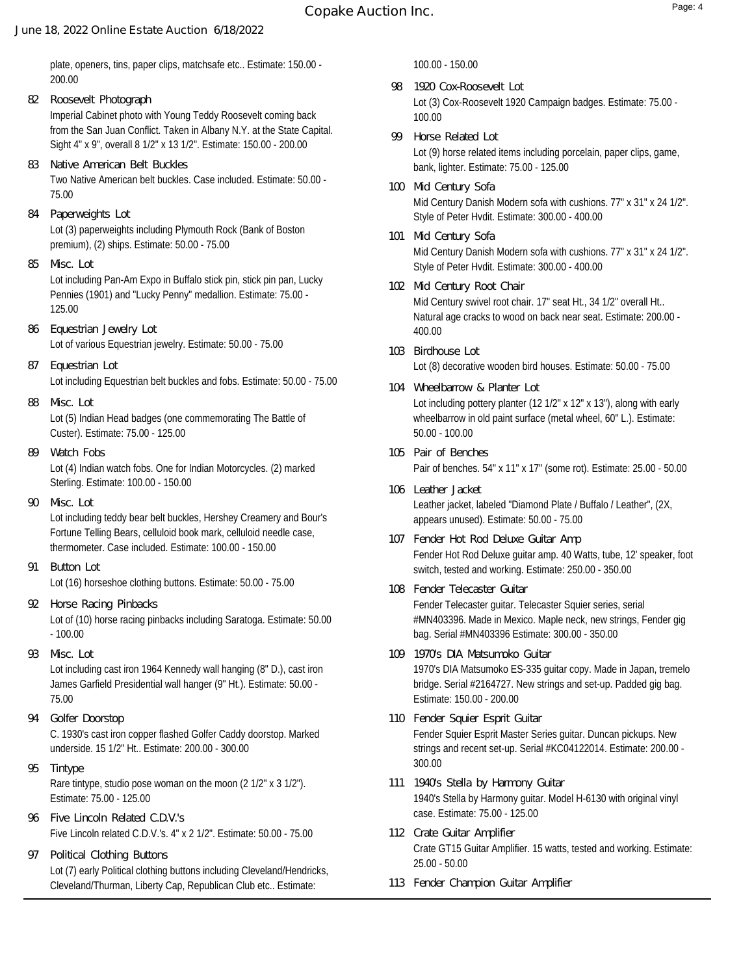# **Copake Auction Inc.** Page: 4

## **June 18, 2022 Online Estate Auction 6/18/2022**

- Imperial Cabinet photo with Young Teddy Roosevelt coming back from the San Juan Conflict. Taken in Albany N.Y. at the State Capital. Sight 4" x 9", overall 8 1/2" x 13 1/2". Estimate: 150.00 - 200.00 **82 Roosevelt Photograph**
- Two Native American belt buckles. Case included. Estimate: 50.00 75.00 **83 Native American Belt Buckles**
- Lot (3) paperweights including Plymouth Rock (Bank of Boston premium), (2) ships. Estimate: 50.00 - 75.00 **84 Paperweights Lot**
- Lot including Pan-Am Expo in Buffalo stick pin, stick pin pan, Lucky Pennies (1901) and "Lucky Penny" medallion. Estimate: 75.00 - 125.00 **85 Misc. Lot**
- Lot of various Equestrian jewelry. Estimate: 50.00 75.00 **86 Equestrian Jewelry Lot**
- Lot including Equestrian belt buckles and fobs. Estimate: 50.00 75.00 **87 Equestrian Lot**
- Lot (5) Indian Head badges (one commemorating The Battle of Custer). Estimate: 75.00 - 125.00 **88 Misc. Lot**
- Lot (4) Indian watch fobs. One for Indian Motorcycles. (2) marked Sterling. Estimate: 100.00 - 150.00 **89 Watch Fobs**
- Lot including teddy bear belt buckles, Hershey Creamery and Bour's Fortune Telling Bears, celluloid book mark, celluloid needle case, thermometer. Case included. Estimate: 100.00 - 150.00 **90 Misc. Lot**
- Lot (16) horseshoe clothing buttons. Estimate: 50.00 75.00 **91 Button Lot**
- Lot of (10) horse racing pinbacks including Saratoga. Estimate: 50.00 - 100.00 **92 Horse Racing Pinbacks**
- **93 Misc. Lot**

Lot including cast iron 1964 Kennedy wall hanging (8" D.), cast iron James Garfield Presidential wall hanger (9" Ht.). Estimate: 50.00 - 75.00

- C. 1930's cast iron copper flashed Golfer Caddy doorstop. Marked underside. 15 1/2" Ht.. Estimate: 200.00 - 300.00 **94 Golfer Doorstop**
- Rare tintype, studio pose woman on the moon (2 1/2" x 3 1/2"). Estimate: 75.00 - 125.00 **95 Tintype**
- Five Lincoln related C.D.V.'s. 4" x 2 1/2". Estimate: 50.00 75.00 **96 Five Lincoln Related C.D.V.'s**
- Lot (7) early Political clothing buttons including Cleveland/Hendricks, Cleveland/Thurman, Liberty Cap, Republican Club etc.. Estimate: **97 Political Clothing Buttons**

100.00 - 150.00

- Lot (3) Cox-Roosevelt 1920 Campaign badges. Estimate: 75.00 100.00 **98 1920 Cox-Roosevelt Lot**
- Lot (9) horse related items including porcelain, paper clips, game, bank, lighter. Estimate: 75.00 - 125.00 **99 Horse Related Lot**
- Mid Century Danish Modern sofa with cushions. 77" x 31" x 24 1/2". Style of Peter Hvdit. Estimate: 300.00 - 400.00 **100 Mid Century Sofa**
- Mid Century Danish Modern sofa with cushions. 77" x 31" x 24 1/2". Style of Peter Hvdit. Estimate: 300.00 - 400.00 **101 Mid Century Sofa**
- Mid Century swivel root chair. 17" seat Ht., 34 1/2" overall Ht.. Natural age cracks to wood on back near seat. Estimate: 200.00 - 400.00 **102 Mid Century Root Chair**
- Lot (8) decorative wooden bird houses. Estimate: 50.00 75.00 **103 Birdhouse Lot**
- Lot including pottery planter (12 1/2" x 12" x 13"), along with early wheelbarrow in old paint surface (metal wheel, 60" L.). Estimate: 50.00 - 100.00 **104 Wheelbarrow & Planter Lot**
- Pair of benches. 54" x 11" x 17" (some rot). Estimate: 25.00 50.00 **105 Pair of Benches**
- Leather jacket, labeled "Diamond Plate / Buffalo / Leather", (2X, appears unused). Estimate: 50.00 - 75.00 **106 Leather Jacket**
- Fender Hot Rod Deluxe guitar amp. 40 Watts, tube, 12' speaker, foot switch, tested and working. Estimate: 250.00 - 350.00 **107 Fender Hot Rod Deluxe Guitar Amp**
- Fender Telecaster guitar. Telecaster Squier series, serial #MN403396. Made in Mexico. Maple neck, new strings, Fender gig bag. Serial #MN403396 Estimate: 300.00 - 350.00 **108 Fender Telecaster Guitar**
- 1970's DIA Matsumoko ES-335 guitar copy. Made in Japan, tremelo bridge. Serial #2164727. New strings and set-up. Padded gig bag. Estimate: 150.00 - 200.00 **109 1970's DIA Matsumoko Guitar**
- Fender Squier Esprit Master Series guitar. Duncan pickups. New strings and recent set-up. Serial #KC04122014. Estimate: 200.00 - 300.00 **110 Fender Squier Esprit Guitar**
- 1940's Stella by Harmony guitar. Model H-6130 with original vinyl case. Estimate: 75.00 - 125.00 **111 1940's Stella by Harmony Guitar**
- Crate GT15 Guitar Amplifier. 15 watts, tested and working. Estimate: 25.00 - 50.00 **112 Crate Guitar Amplifier**
- **113 Fender Champion Guitar Amplifier**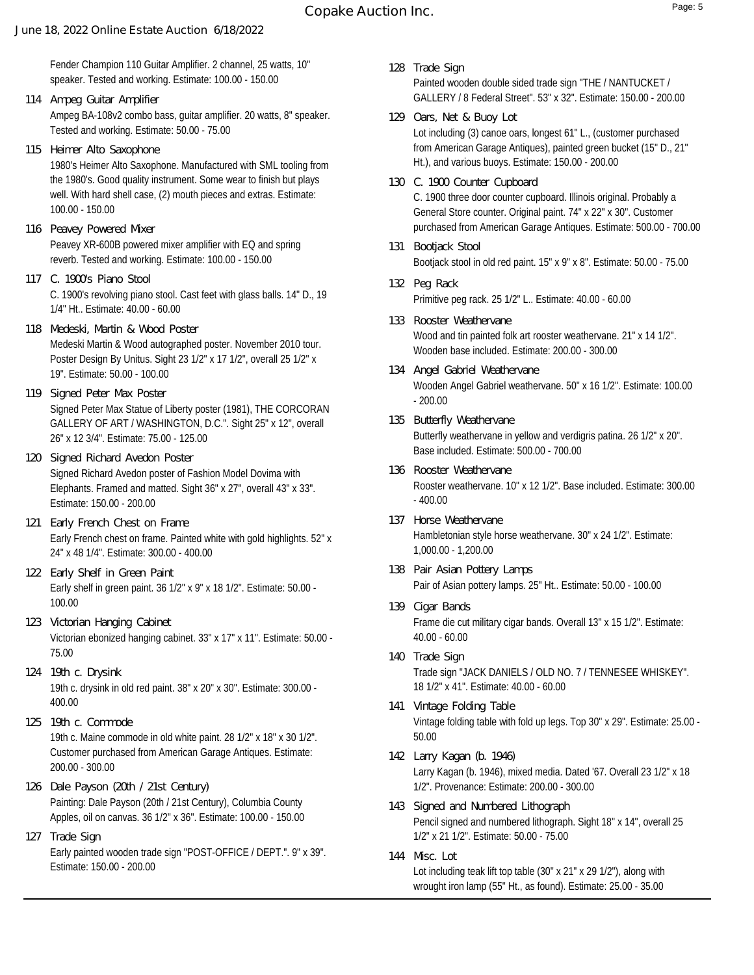Fender Champion 110 Guitar Amplifier. 2 channel, 25 watts, 10" speaker. Tested and working. Estimate: 100.00 - 150.00

- Ampeg BA-108v2 combo bass, guitar amplifier. 20 watts, 8" speaker. Tested and working. Estimate: 50.00 - 75.00 **114 Ampeg Guitar Amplifier**
- **115 Heimer Alto Saxophone**

1980's Heimer Alto Saxophone. Manufactured with SML tooling from the 1980's. Good quality instrument. Some wear to finish but plays well. With hard shell case, (2) mouth pieces and extras. Estimate: 100.00 - 150.00

- Peavey XR-600B powered mixer amplifier with EQ and spring reverb. Tested and working. Estimate: 100.00 - 150.00 **116 Peavey Powered Mixer**
- C. 1900's revolving piano stool. Cast feet with glass balls. 14" D., 19 1/4" Ht.. Estimate: 40.00 - 60.00 **117 C. 1900's Piano Stool**
- Medeski Martin & Wood autographed poster. November 2010 tour. Poster Design By Unitus. Sight 23 1/2" x 17 1/2", overall 25 1/2" x 19". Estimate: 50.00 - 100.00 **118 Medeski, Martin & Wood Poster**
- Signed Peter Max Statue of Liberty poster (1981), THE CORCORAN GALLERY OF ART / WASHINGTON, D.C.". Sight 25" x 12", overall 26" x 12 3/4". Estimate: 75.00 - 125.00 **119 Signed Peter Max Poster**
- Signed Richard Avedon poster of Fashion Model Dovima with Elephants. Framed and matted. Sight 36" x 27", overall 43" x 33". Estimate: 150.00 - 200.00 **120 Signed Richard Avedon Poster**
- Early French chest on frame. Painted white with gold highlights. 52" x 24" x 48 1/4". Estimate: 300.00 - 400.00 **121 Early French Chest on Frame**
- Early shelf in green paint. 36 1/2" x 9" x 18 1/2". Estimate: 50.00 100.00 **122 Early Shelf in Green Paint**
- Victorian ebonized hanging cabinet. 33" x 17" x 11". Estimate: 50.00 75.00 **123 Victorian Hanging Cabinet**
- 19th c. drysink in old red paint. 38" x 20" x 30". Estimate: 300.00 400.00 **124 19th c. Drysink**
- 19th c. Maine commode in old white paint. 28 1/2" x 18" x 30 1/2". Customer purchased from American Garage Antiques. Estimate: 200.00 - 300.00 **125 19th c. Commode**
- Painting: Dale Payson (20th / 21st Century), Columbia County Apples, oil on canvas. 36 1/2" x 36". Estimate: 100.00 - 150.00 **126 Dale Payson (20th / 21st Century)**
- Early painted wooden trade sign "POST-OFFICE / DEPT.". 9" x 39". Estimate: 150.00 - 200.00 **127 Trade Sign**
- Painted wooden double sided trade sign "THE / NANTUCKET / GALLERY / 8 Federal Street". 53" x 32". Estimate: 150.00 - 200.00 **128 Trade Sign**
- Lot including (3) canoe oars, longest 61" L., (customer purchased from American Garage Antiques), painted green bucket (15" D., 21" Ht.), and various buoys. Estimate: 150.00 - 200.00 **129 Oars, Net & Buoy Lot**
- C. 1900 three door counter cupboard. Illinois original. Probably a General Store counter. Original paint. 74" x 22" x 30". Customer purchased from American Garage Antiques. Estimate: 500.00 - 700.00 **130 C. 1900 Counter Cupboard**
- Bootjack stool in old red paint. 15" x 9" x 8". Estimate: 50.00 75.00 **131 Bootjack Stool**
- Primitive peg rack. 25 1/2" L.. Estimate: 40.00 60.00 **132 Peg Rack**
- Wood and tin painted folk art rooster weathervane. 21" x 14 1/2". Wooden base included. Estimate: 200.00 - 300.00 **133 Rooster Weathervane**
- Wooden Angel Gabriel weathervane. 50" x 16 1/2". Estimate: 100.00 - 200.00 **134 Angel Gabriel Weathervane**
- Butterfly weathervane in yellow and verdigris patina. 26 1/2" x 20". Base included. Estimate: 500.00 - 700.00 **135 Butterfly Weathervane**
- Rooster weathervane. 10" x 12 1/2". Base included. Estimate: 300.00 - 400.00 **136 Rooster Weathervane**
- Hambletonian style horse weathervane. 30" x 24 1/2". Estimate: 1,000.00 - 1,200.00 **137 Horse Weathervane**
- Pair of Asian pottery lamps. 25" Ht.. Estimate: 50.00 100.00 **138 Pair Asian Pottery Lamps**
- Frame die cut military cigar bands. Overall 13" x 15 1/2". Estimate: 40.00 - 60.00 **139 Cigar Bands**
- Trade sign "JACK DANIELS / OLD NO. 7 / TENNESEE WHISKEY". 18 1/2" x 41". Estimate: 40.00 - 60.00 **140 Trade Sign**
- Vintage folding table with fold up legs. Top 30" x 29". Estimate: 25.00 50.00 **141 Vintage Folding Table**
- Larry Kagan (b. 1946), mixed media. Dated '67. Overall 23 1/2" x 18 1/2". Provenance: Estimate: 200.00 - 300.00 **142 Larry Kagan (b. 1946)**
- Pencil signed and numbered lithograph. Sight 18" x 14", overall 25 1/2" x 21 1/2". Estimate: 50.00 - 75.00 **143 Signed and Numbered Lithograph**
- Lot including teak lift top table (30" x 21" x 29 1/2"), along with wrought iron lamp (55" Ht., as found). Estimate: 25.00 - 35.00 **144 Misc. Lot**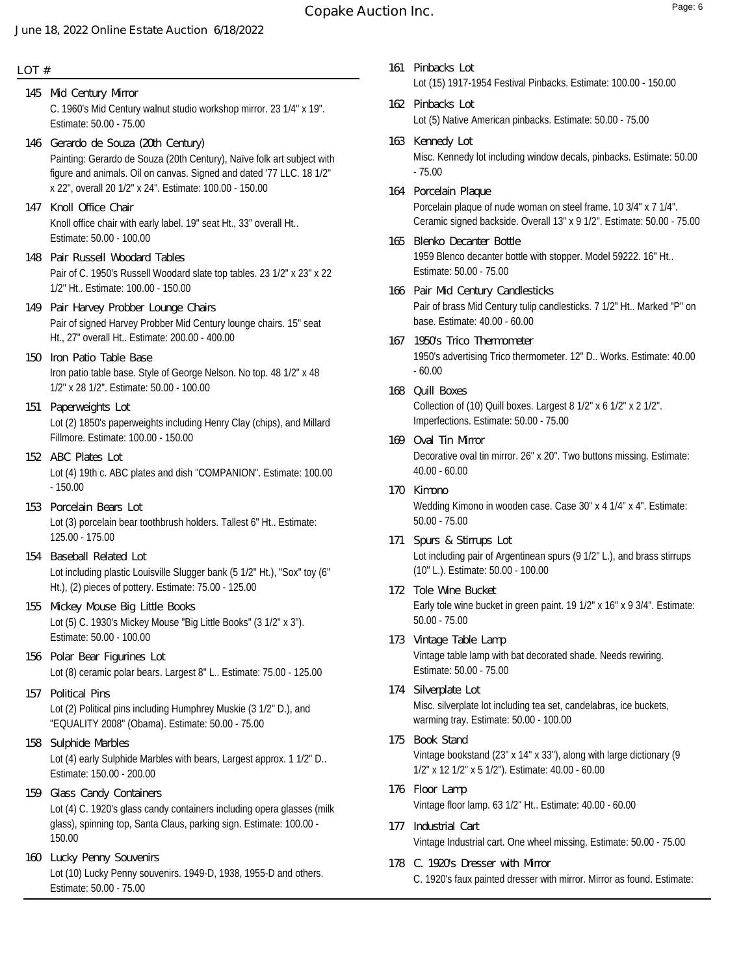# **Copake Auction Inc. Copake Auction Inc.**

#### **June 18, 2022 Online Estate Auction 6/18/2022**

#### **LOT #**

- C. 1960's Mid Century walnut studio workshop mirror. 23 1/4" x 19". Estimate: 50.00 - 75.00 **145 Mid Century Mirror**
- Painting: Gerardo de Souza (20th Century), Naïve folk art subject with figure and animals. Oil on canvas. Signed and dated '77 LLC. 18 1/2" x 22", overall 20 1/2" x 24". Estimate: 100.00 - 150.00 **146 Gerardo de Souza (20th Century)**
- Knoll office chair with early label. 19" seat Ht., 33" overall Ht.. Estimate: 50.00 - 100.00 **147 Knoll Office Chair**
- Pair of C. 1950's Russell Woodard slate top tables. 23 1/2" x 23" x 22 1/2" Ht.. Estimate: 100.00 - 150.00 **148 Pair Russell Woodard Tables**
- Pair of signed Harvey Probber Mid Century lounge chairs. 15" seat Ht., 27" overall Ht.. Estimate: 200.00 - 400.00 **149 Pair Harvey Probber Lounge Chairs**
- Iron patio table base. Style of George Nelson. No top. 48 1/2" x 48 1/2" x 28 1/2". Estimate: 50.00 - 100.00 **150 Iron Patio Table Base**
- Lot (2) 1850's paperweights including Henry Clay (chips), and Millard Fillmore. Estimate: 100.00 - 150.00 **151 Paperweights Lot**
- Lot (4) 19th c. ABC plates and dish "COMPANION". Estimate: 100.00 - 150.00 **152 ABC Plates Lot**
- Lot (3) porcelain bear toothbrush holders. Tallest 6" Ht.. Estimate: 125.00 - 175.00 **153 Porcelain Bears Lot**
- Lot including plastic Louisville Slugger bank (5 1/2" Ht.), "Sox" toy (6" Ht.), (2) pieces of pottery. Estimate: 75.00 - 125.00 **154 Baseball Related Lot**
- Lot (5) C. 1930's Mickey Mouse "Big Little Books" (3 1/2" x 3"). Estimate: 50.00 - 100.00 **155 Mickey Mouse Big Little Books**
- Lot (8) ceramic polar bears. Largest 8" L.. Estimate: 75.00 125.00 **156 Polar Bear Figurines Lot**
- Lot (2) Political pins including Humphrey Muskie (3 1/2" D.), and "EQUALITY 2008" (Obama). Estimate: 50.00 - 75.00 **157 Political Pins**
- Lot (4) early Sulphide Marbles with bears, Largest approx. 1 1/2" D.. Estimate: 150.00 - 200.00 **158 Sulphide Marbles**
- Lot (4) C. 1920's glass candy containers including opera glasses (milk glass), spinning top, Santa Claus, parking sign. Estimate: 100.00 - 150.00 **159 Glass Candy Containers**
- Lot (10) Lucky Penny souvenirs. 1949-D, 1938, 1955-D and others. Estimate: 50.00 - 75.00 **160 Lucky Penny Souvenirs**
- Lot (15) 1917-1954 Festival Pinbacks. Estimate: 100.00 150.00 **161 Pinbacks Lot**
- Lot (5) Native American pinbacks. Estimate: 50.00 75.00 **162 Pinbacks Lot**
- Misc. Kennedy lot including window decals, pinbacks. Estimate: 50.00 - 75.00 **163 Kennedy Lot**
- Porcelain plaque of nude woman on steel frame. 10 3/4" x 7 1/4". Ceramic signed backside. Overall 13" x 9 1/2". Estimate: 50.00 - 75.00 **164 Porcelain Plaque**
- 1959 Blenco decanter bottle with stopper. Model 59222. 16" Ht.. Estimate: 50.00 - 75.00 **165 Blenko Decanter Bottle**
- Pair of brass Mid Century tulip candlesticks. 7 1/2" Ht.. Marked "P" on base. Estimate: 40.00 - 60.00 **166 Pair Mid Century Candlesticks**
- 1950's advertising Trico thermometer. 12" D.. Works. Estimate: 40.00 - 60.00 **167 1950's Trico Thermometer**
- Collection of (10) Quill boxes. Largest 8 1/2" x 6 1/2" x 2 1/2". Imperfections. Estimate: 50.00 - 75.00 **168 Quill Boxes**
- Decorative oval tin mirror. 26" x 20". Two buttons missing. Estimate: 40.00 - 60.00 **169 Oval Tin Mirror**
- Wedding Kimono in wooden case. Case 30" x 4 1/4" x 4". Estimate: 50.00 - 75.00 **170 Kimono**
- Lot including pair of Argentinean spurs (9 1/2" L.), and brass stirrups (10" L.). Estimate: 50.00 - 100.00 **171 Spurs & Stirrups Lot**
- Early tole wine bucket in green paint. 19 1/2" x 16" x 9 3/4". Estimate: 50.00 - 75.00 **172 Tole Wine Bucket**
- Vintage table lamp with bat decorated shade. Needs rewiring. Estimate: 50.00 - 75.00 **173 Vintage Table Lamp**
- Misc. silverplate lot including tea set, candelabras, ice buckets, warming tray. Estimate: 50.00 - 100.00 **174 Silverplate Lot**
- Vintage bookstand (23" x 14" x 33"), along with large dictionary (9 1/2" x 12 1/2" x 5 1/2"). Estimate: 40.00 - 60.00 **175 Book Stand**
- Vintage floor lamp. 63 1/2" Ht.. Estimate: 40.00 60.00 **176 Floor Lamp**
- Vintage Industrial cart. One wheel missing. Estimate: 50.00 75.00 **177 Industrial Cart**
- C. 1920's faux painted dresser with mirror. Mirror as found. Estimate: **178 C. 1920's Dresser with Mirror**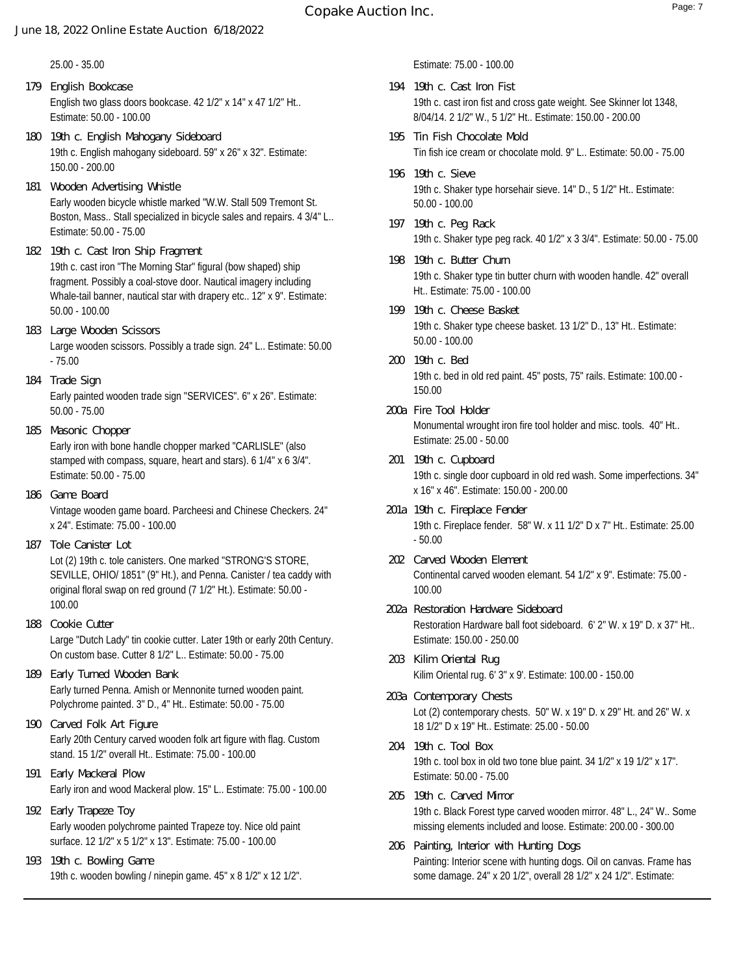25.00 - 35.00

- English two glass doors bookcase. 42 1/2" x 14" x 47 1/2" Ht.. Estimate: 50.00 - 100.00 **179 English Bookcase**
- 19th c. English mahogany sideboard. 59" x 26" x 32". Estimate: 150.00 - 200.00 **180 19th c. English Mahogany Sideboard**
- Early wooden bicycle whistle marked "W.W. Stall 509 Tremont St. Boston, Mass.. Stall specialized in bicycle sales and repairs. 4 3/4" L.. Estimate: 50.00 - 75.00 **181 Wooden Advertising Whistle**
- 19th c. cast iron "The Morning Star" figural (bow shaped) ship fragment. Possibly a coal-stove door. Nautical imagery including Whale-tail banner, nautical star with drapery etc.. 12" x 9". Estimate: 50.00 - 100.00 **182 19th c. Cast Iron Ship Fragment**
- Large wooden scissors. Possibly a trade sign. 24" L.. Estimate: 50.00 - 75.00 **183 Large Wooden Scissors**
- Early painted wooden trade sign "SERVICES". 6" x 26". Estimate: 50.00 - 75.00 **184 Trade Sign**
- Early iron with bone handle chopper marked "CARLISLE" (also stamped with compass, square, heart and stars). 6 1/4" x 6 3/4". Estimate: 50.00 - 75.00 **185 Masonic Chopper**
- Vintage wooden game board. Parcheesi and Chinese Checkers. 24" x 24". Estimate: 75.00 - 100.00 **186 Game Board**
- **187 Tole Canister Lot**

Lot (2) 19th c. tole canisters. One marked "STRONG'S STORE, SEVILLE, OHIO/ 1851" (9" Ht.), and Penna. Canister / tea caddy with original floral swap on red ground (7 1/2" Ht.). Estimate: 50.00 - 100.00

- Large "Dutch Lady" tin cookie cutter. Later 19th or early 20th Century. On custom base. Cutter 8 1/2" L.. Estimate: 50.00 - 75.00 **188 Cookie Cutter**
- Early turned Penna. Amish or Mennonite turned wooden paint. Polychrome painted. 3" D., 4" Ht.. Estimate: 50.00 - 75.00 **189 Early Turned Wooden Bank**
- Early 20th Century carved wooden folk art figure with flag. Custom stand. 15 1/2" overall Ht.. Estimate: 75.00 - 100.00 **190 Carved Folk Art Figure**
- Early iron and wood Mackeral plow. 15" L.. Estimate: 75.00 100.00 **191 Early Mackeral Plow**
- Early wooden polychrome painted Trapeze toy. Nice old paint surface. 12 1/2" x 5 1/2" x 13". Estimate: 75.00 - 100.00 **192 Early Trapeze Toy**
- 19th c. wooden bowling / ninepin game. 45" x 8 1/2" x 12 1/2". **193 19th c. Bowling Game**

Estimate: 75.00 - 100.00

- 19th c. cast iron fist and cross gate weight. See Skinner lot 1348, 8/04/14. 2 1/2" W., 5 1/2" Ht.. Estimate: 150.00 - 200.00 **194 19th c. Cast Iron Fist**
- Tin fish ice cream or chocolate mold. 9" L.. Estimate: 50.00 75.00 **195 Tin Fish Chocolate Mold**
- 19th c. Shaker type horsehair sieve. 14" D., 5 1/2" Ht.. Estimate: 50.00 - 100.00 **196 19th c. Sieve**
- 19th c. Shaker type peg rack. 40 1/2" x 3 3/4". Estimate: 50.00 75.00 **197 19th c. Peg Rack**
- 19th c. Shaker type tin butter churn with wooden handle. 42" overall Ht.. Estimate: 75.00 - 100.00 **198 19th c. Butter Churn**
- 19th c. Shaker type cheese basket. 13 1/2" D., 13" Ht.. Estimate: 50.00 - 100.00 **199 19th c. Cheese Basket**
- 19th c. bed in old red paint. 45" posts, 75" rails. Estimate: 100.00 150.00 **200 19th c. Bed**
- Monumental wrought iron fire tool holder and misc. tools. 40" Ht.. Estimate: 25.00 - 50.00 **200a Fire Tool Holder**
- 19th c. single door cupboard in old red wash. Some imperfections. 34" x 16" x 46". Estimate: 150.00 - 200.00 **201 19th c. Cupboard**
- 19th c. Fireplace fender. 58" W. x 11 1/2" D x 7" Ht.. Estimate: 25.00 - 50.00 **201a 19th c. Fireplace Fender**
- Continental carved wooden elemant. 54 1/2" x 9". Estimate: 75.00 100.00 **202 Carved Wooden Element**
- Restoration Hardware ball foot sideboard. 6' 2" W. x 19" D. x 37" Ht.. Estimate: 150.00 - 250.00 **202a Restoration Hardware Sideboard**
- Kilim Oriental rug. 6' 3" x 9'. Estimate: 100.00 150.00 **203 Kilim Oriental Rug**
- Lot (2) contemporary chests. 50" W. x 19" D. x 29" Ht. and 26" W. x 18 1/2" D x 19" Ht.. Estimate: 25.00 - 50.00 **203a Contemporary Chests**
- 19th c. tool box in old two tone blue paint. 34 1/2" x 19 1/2" x 17". Estimate: 50.00 - 75.00 **204 19th c. Tool Box**
- 19th c. Black Forest type carved wooden mirror. 48" L., 24" W.. Some missing elements included and loose. Estimate: 200.00 - 300.00 **205 19th c. Carved Mirror**
- Painting: Interior scene with hunting dogs. Oil on canvas. Frame has some damage. 24" x 20 1/2", overall 28 1/2" x 24 1/2". Estimate: **206 Painting, Interior with Hunting Dogs**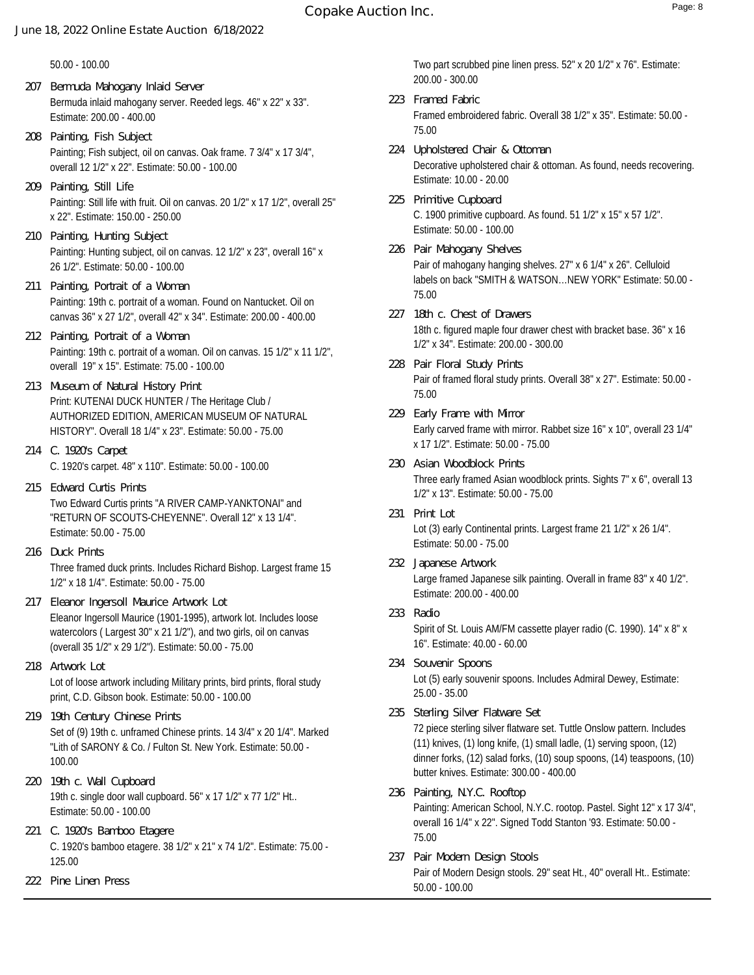50.00 - 100.00

- Bermuda inlaid mahogany server. Reeded legs. 46" x 22" x 33". Estimate: 200.00 - 400.00 **207 Bermuda Mahogany Inlaid Server**
- Painting; Fish subject, oil on canvas. Oak frame. 7 3/4" x 17 3/4", overall 12 1/2" x 22". Estimate: 50.00 - 100.00 **208 Painting, Fish Subject**
- Painting: Still life with fruit. Oil on canvas. 20 1/2" x 17 1/2", overall 25" x 22". Estimate: 150.00 - 250.00 **209 Painting, Still Life**
- Painting: Hunting subject, oil on canvas. 12 1/2" x 23", overall 16" x 26 1/2". Estimate: 50.00 - 100.00 **210 Painting, Hunting Subject**
- Painting: 19th c. portrait of a woman. Found on Nantucket. Oil on canvas 36" x 27 1/2", overall 42" x 34". Estimate: 200.00 - 400.00 **211 Painting, Portrait of a Woman**
- Painting: 19th c. portrait of a woman. Oil on canvas. 15 1/2" x 11 1/2", overall 19" x 15". Estimate: 75.00 - 100.00 **212 Painting, Portrait of a Woman**
- Print: KUTENAI DUCK HUNTER / The Heritage Club / AUTHORIZED EDITION, AMERICAN MUSEUM OF NATURAL HISTORY". Overall 18 1/4" x 23". Estimate: 50.00 - 75.00 **213 Museum of Natural History Print**
- C. 1920's carpet. 48" x 110". Estimate: 50.00 100.00 **214 C. 1920's Carpet**
- Two Edward Curtis prints "A RIVER CAMP-YANKTONAI" and "RETURN OF SCOUTS-CHEYENNE". Overall 12" x 13 1/4". Estimate: 50.00 - 75.00 **215 Edward Curtis Prints**
- Three framed duck prints. Includes Richard Bishop. Largest frame 15 1/2" x 18 1/4". Estimate: 50.00 - 75.00 **216 Duck Prints**
- Eleanor Ingersoll Maurice (1901-1995), artwork lot. Includes loose watercolors ( Largest 30" x 21 1/2"), and two girls, oil on canvas (overall 35 1/2" x 29 1/2"). Estimate: 50.00 - 75.00 **217 Eleanor Ingersoll Maurice Artwork Lot**
- Lot of loose artwork including Military prints, bird prints, floral study print, C.D. Gibson book. Estimate: 50.00 - 100.00 **218 Artwork Lot**
- Set of (9) 19th c. unframed Chinese prints. 14 3/4" x 20 1/4". Marked "Lith of SARONY & Co. / Fulton St. New York. Estimate: 50.00 - 100.00 **219 19th Century Chinese Prints**
- 19th c. single door wall cupboard. 56" x 17 1/2" x 77 1/2" Ht.. Estimate: 50.00 - 100.00 **220 19th c. Wall Cupboard**
- C. 1920's bamboo etagere. 38 1/2" x 21" x 74 1/2". Estimate: 75.00 125.00 **221 C. 1920's Bamboo Etagere**
- **222 Pine Linen Press**

Two part scrubbed pine linen press. 52" x 20 1/2" x 76". Estimate: 200.00 - 300.00

- Framed embroidered fabric. Overall 38 1/2" x 35". Estimate: 50.00 75.00 **223 Framed Fabric**
- Decorative upholstered chair & ottoman. As found, needs recovering. Estimate: 10.00 - 20.00 **224 Upholstered Chair & Ottoman**
- C. 1900 primitive cupboard. As found. 51 1/2" x 15" x 57 1/2". Estimate: 50.00 - 100.00 **225 Primitive Cupboard**
- Pair of mahogany hanging shelves. 27" x 6 1/4" x 26". Celluloid labels on back "SMITH & WATSON…NEW YORK" Estimate: 50.00 - 75.00 **226 Pair Mahogany Shelves**
- 18th c. figured maple four drawer chest with bracket base. 36" x 16 1/2" x 34". Estimate: 200.00 - 300.00 **227 18th c. Chest of Drawers**
- Pair of framed floral study prints. Overall 38" x 27". Estimate: 50.00 75.00 **228 Pair Floral Study Prints**
- Early carved frame with mirror. Rabbet size 16" x 10", overall 23 1/4" x 17 1/2". Estimate: 50.00 - 75.00 **229 Early Frame with Mirror**
- Three early framed Asian woodblock prints. Sights 7" x 6", overall 13 1/2" x 13". Estimate: 50.00 - 75.00 **230 Asian Woodblock Prints**
- Lot (3) early Continental prints. Largest frame 21 1/2" x 26 1/4". Estimate: 50.00 - 75.00 **231 Print Lot**
- Large framed Japanese silk painting. Overall in frame 83" x 40 1/2". Estimate: 200.00 - 400.00 **232 Japanese Artwork**
- Spirit of St. Louis AM/FM cassette player radio (C. 1990). 14" x 8" x 16". Estimate: 40.00 - 60.00 **233 Radio**
- Lot (5) early souvenir spoons. Includes Admiral Dewey, Estimate: 25.00 - 35.00 **234 Souvenir Spoons**
- 72 piece sterling silver flatware set. Tuttle Onslow pattern. Includes (11) knives, (1) long knife, (1) small ladle, (1) serving spoon, (12) dinner forks, (12) salad forks, (10) soup spoons, (14) teaspoons, (10) butter knives. Estimate: 300.00 - 400.00 **235 Sterling Silver Flatware Set**
- Painting: American School, N.Y.C. rootop. Pastel. Sight 12" x 17 3/4", overall 16 1/4" x 22". Signed Todd Stanton '93. Estimate: 50.00 - 75.00 **236 Painting, N.Y.C. Rooftop**
- Pair of Modern Design stools. 29" seat Ht., 40" overall Ht.. Estimate: 50.00 - 100.00 **237 Pair Modern Design Stools**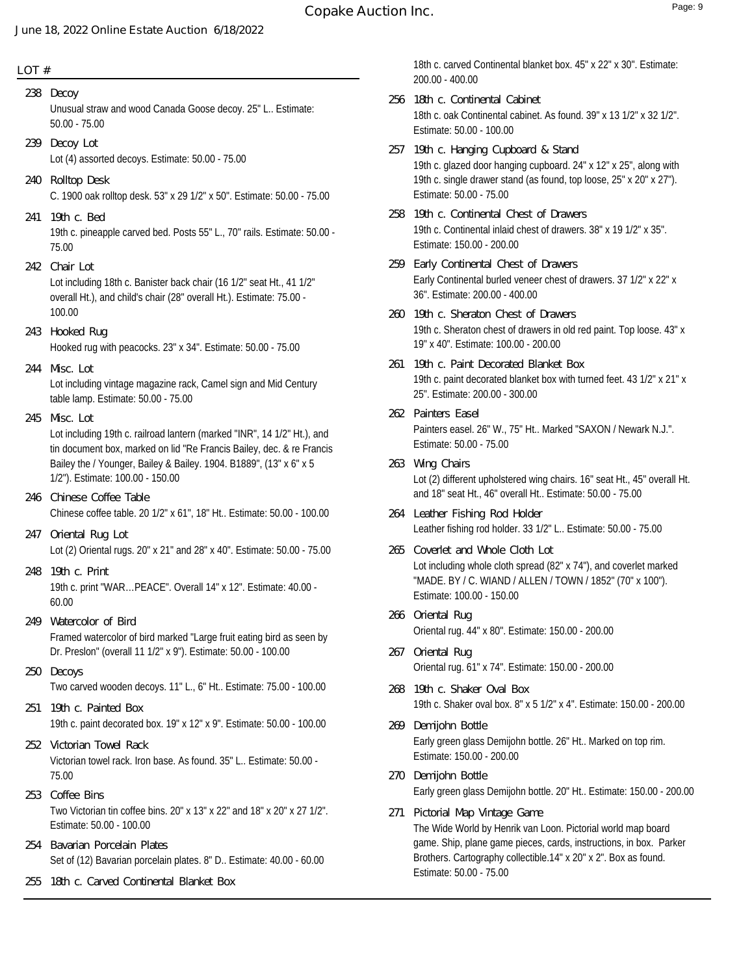## **LOT #**

Unusual straw and wood Canada Goose decoy. 25" L.. Estimate: 50.00 - 75.00 **238 Decoy** Lot (4) assorted decoys. Estimate: 50.00 - 75.00 **239 Decoy Lot** C. 1900 oak rolltop desk. 53" x 29 1/2" x 50". Estimate: 50.00 - 75.00 **240 Rolltop Desk** 19th c. pineapple carved bed. Posts 55" L., 70" rails. Estimate: 50.00 - 75.00 **241 19th c. Bed** Lot including 18th c. Banister back chair (16 1/2" seat Ht., 41 1/2" overall Ht.), and child's chair (28" overall Ht.). Estimate: 75.00 - 100.00 **242 Chair Lot** Hooked rug with peacocks. 23" x 34". Estimate: 50.00 - 75.00 **243 Hooked Rug** Lot including vintage magazine rack, Camel sign and Mid Century table lamp. Estimate: 50.00 - 75.00 **244 Misc. Lot** Lot including 19th c. railroad lantern (marked "INR", 14 1/2" Ht.), and tin document box, marked on lid "Re Francis Bailey, dec. & re Francis Bailey the / Younger, Bailey & Bailey. 1904. B1889", (13" x 6" x 5 1/2"). Estimate: 100.00 - 150.00 **245 Misc. Lot** Chinese coffee table. 20 1/2" x 61", 18" Ht.. Estimate: 50.00 - 100.00 **246 Chinese Coffee Table** Lot (2) Oriental rugs. 20" x 21" and 28" x 40". Estimate: 50.00 - 75.00 **247 Oriental Rug Lot** 19th c. print "WAR…PEACE". Overall 14" x 12". Estimate: 40.00 - 60.00 **248 19th c. Print** Framed watercolor of bird marked "Large fruit eating bird as seen by Dr. Preslon" (overall 11 1/2" x 9"). Estimate: 50.00 - 100.00 **249 Watercolor of Bird** Two carved wooden decoys. 11" L., 6" Ht.. Estimate: 75.00 - 100.00 **250 Decoys** 19th c. paint decorated box. 19" x 12" x 9". Estimate: 50.00 - 100.00 **251 19th c. Painted Box** Victorian towel rack. Iron base. As found. 35" L.. Estimate: 50.00 - 75.00 **252 Victorian Towel Rack** Two Victorian tin coffee bins. 20" x 13" x 22" and 18" x 20" x 27 1/2". Estimate: 50.00 - 100.00 **253 Coffee Bins** Set of (12) Bavarian porcelain plates. 8" D.. Estimate: 40.00 - 60.00 **254 Bavarian Porcelain Plates 255 18th c. Carved Continental Blanket Box**

18th c. carved Continental blanket box. 45" x 22" x 30". Estimate: 200.00 - 400.00

- 18th c. oak Continental cabinet. As found. 39" x 13 1/2" x 32 1/2". Estimate: 50.00 - 100.00 **256 18th c. Continental Cabinet**
- 19th c. glazed door hanging cupboard. 24" x 12" x 25", along with 19th c. single drawer stand (as found, top loose, 25" x 20" x 27"). Estimate: 50.00 - 75.00 **257 19th c. Hanging Cupboard & Stand**
- 19th c. Continental inlaid chest of drawers. 38" x 19 1/2" x 35". Estimate: 150.00 - 200.00 **258 19th c. Continental Chest of Drawers**
- Early Continental burled veneer chest of drawers. 37 1/2" x 22" x 36". Estimate: 200.00 - 400.00 **259 Early Continental Chest of Drawers**
- 19th c. Sheraton chest of drawers in old red paint. Top loose. 43" x 19" x 40". Estimate: 100.00 - 200.00 **260 19th c. Sheraton Chest of Drawers**
- 19th c. paint decorated blanket box with turned feet. 43 1/2" x 21" x 25". Estimate: 200.00 - 300.00 **261 19th c. Paint Decorated Blanket Box**
- Painters easel. 26" W., 75" Ht.. Marked "SAXON / Newark N.J.". Estimate: 50.00 - 75.00 **262 Painters Easel**
- Lot (2) different upholstered wing chairs. 16" seat Ht., 45" overall Ht. and 18" seat Ht., 46" overall Ht.. Estimate: 50.00 - 75.00 **263 Wing Chairs**
- Leather fishing rod holder. 33 1/2" L.. Estimate: 50.00 75.00 **264 Leather Fishing Rod Holder**
- Lot including whole cloth spread (82" x 74"), and coverlet marked "MADE. BY / C. WIAND / ALLEN / TOWN / 1852" (70" x 100"). Estimate: 100.00 - 150.00 **265 Coverlet and Whole Cloth Lot**
- Oriental rug. 44" x 80". Estimate: 150.00 200.00 **266 Oriental Rug**
- Oriental rug. 61" x 74". Estimate: 150.00 200.00 **267 Oriental Rug**
- 19th c. Shaker oval box. 8" x 5 1/2" x 4". Estimate: 150.00 200.00 **268 19th c. Shaker Oval Box**
- Early green glass Demijohn bottle. 26" Ht.. Marked on top rim. Estimate: 150.00 - 200.00 **269 Demijohn Bottle**
- Early green glass Demijohn bottle. 20" Ht.. Estimate: 150.00 200.00 **270 Demijohn Bottle**
- The Wide World by Henrik van Loon. Pictorial world map board game. Ship, plane game pieces, cards, instructions, in box. Parker Brothers. Cartography collectible.14" x 20" x 2". Box as found. Estimate: 50.00 - 75.00 **271 Pictorial Map Vintage Game**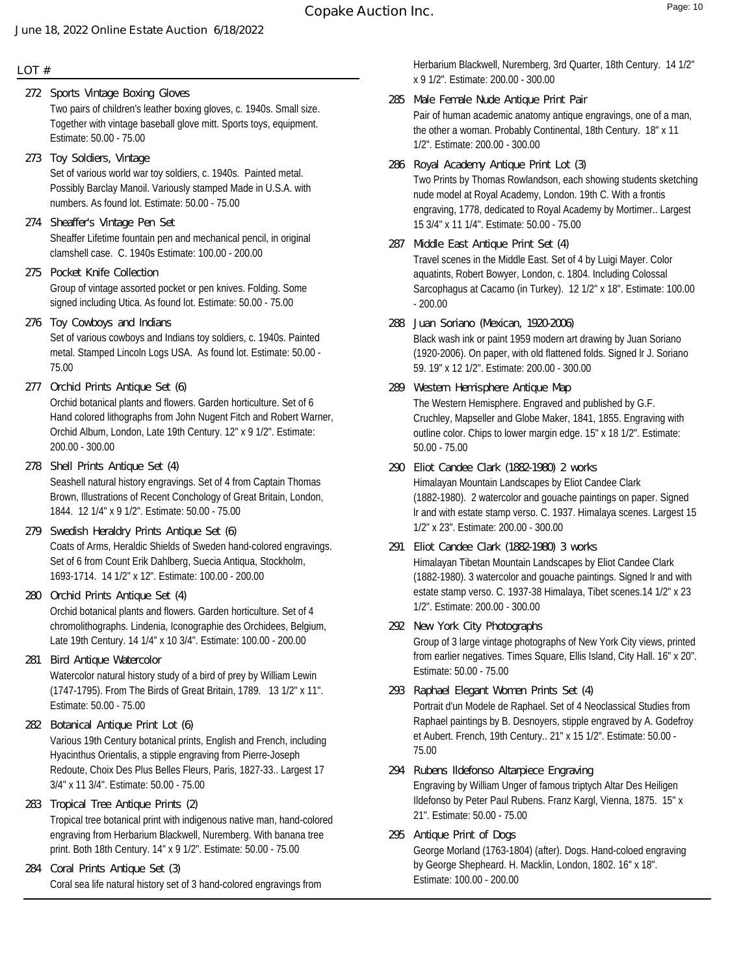### **LOT #**

- Two pairs of children's leather boxing gloves, c. 1940s. Small size. Together with vintage baseball glove mitt. Sports toys, equipment. Estimate: 50.00 - 75.00 **272 Sports Vintage Boxing Gloves**
- Set of various world war toy soldiers, c. 1940s. Painted metal. Possibly Barclay Manoil. Variously stamped Made in U.S.A. with numbers. As found lot. Estimate: 50.00 - 75.00 **273 Toy Soldiers, Vintage**
- Sheaffer Lifetime fountain pen and mechanical pencil, in original clamshell case. C. 1940s Estimate: 100.00 - 200.00 **274 Sheaffer's Vintage Pen Set**
- Group of vintage assorted pocket or pen knives. Folding. Some signed including Utica. As found lot. Estimate: 50.00 - 75.00 **275 Pocket Knife Collection**
- Set of various cowboys and Indians toy soldiers, c. 1940s. Painted metal. Stamped Lincoln Logs USA. As found lot. Estimate: 50.00 - 75.00 **276 Toy Cowboys and Indians**
- Orchid botanical plants and flowers. Garden horticulture. Set of 6 Hand colored lithographs from John Nugent Fitch and Robert Warner, Orchid Album, London, Late 19th Century. 12" x 9 1/2". Estimate: 200.00 - 300.00 **277 Orchid Prints Antique Set (6)**
- Seashell natural history engravings. Set of 4 from Captain Thomas Brown, Illustrations of Recent Conchology of Great Britain, London, 1844. 12 1/4" x 9 1/2". Estimate: 50.00 - 75.00 **278 Shell Prints Antique Set (4)**
- Coats of Arms, Heraldic Shields of Sweden hand-colored engravings. Set of 6 from Count Erik Dahlberg, Suecia Antiqua, Stockholm, 1693-1714. 14 1/2" x 12". Estimate: 100.00 - 200.00 **279 Swedish Heraldry Prints Antique Set (6)**
- Orchid botanical plants and flowers. Garden horticulture. Set of 4 chromolithographs. Lindenia, Iconographie des Orchidees, Belgium, Late 19th Century. 14 1/4" x 10 3/4". Estimate: 100.00 - 200.00 **280 Orchid Prints Antique Set (4)**
- Watercolor natural history study of a bird of prey by William Lewin (1747-1795). From The Birds of Great Britain, 1789. 13 1/2" x 11". Estimate: 50.00 - 75.00 **281 Bird Antique Watercolor**
- Various 19th Century botanical prints, English and French, including Hyacinthus Orientalis, a stipple engraving from Pierre-Joseph Redoute, Choix Des Plus Belles Fleurs, Paris, 1827-33.. Largest 17 3/4" x 11 3/4". Estimate: 50.00 - 75.00 **282 Botanical Antique Print Lot (6)**
- Tropical tree botanical print with indigenous native man, hand-colored engraving from Herbarium Blackwell, Nuremberg. With banana tree print. Both 18th Century. 14" x 9 1/2". Estimate: 50.00 - 75.00 **283 Tropical Tree Antique Prints (2)**
- Coral sea life natural history set of 3 hand-colored engravings from **284 Coral Prints Antique Set (3)**

Herbarium Blackwell, Nuremberg, 3rd Quarter, 18th Century. 14 1/2" x 9 1/2". Estimate: 200.00 - 300.00

- Pair of human academic anatomy antique engravings, one of a man, the other a woman. Probably Continental, 18th Century. 18" x 11 1/2". Estimate: 200.00 - 300.00 **285 Male Female Nude Antique Print Pair**
- Two Prints by Thomas Rowlandson, each showing students sketching nude model at Royal Academy, London. 19th C. With a frontis engraving, 1778, dedicated to Royal Academy by Mortimer.. Largest 15 3/4" x 11 1/4". Estimate: 50.00 - 75.00 **286 Royal Academy Antique Print Lot (3)**
- Travel scenes in the Middle East. Set of 4 by Luigi Mayer. Color aquatints, Robert Bowyer, London, c. 1804. Including Colossal Sarcophagus at Cacamo (in Turkey). 12 1/2" x 18". Estimate: 100.00 - 200.00 **287 Middle East Antique Print Set (4)**
- Black wash ink or paint 1959 modern art drawing by Juan Soriano (1920-2006). On paper, with old flattened folds. Signed lr J. Soriano 59. 19" x 12 1/2". Estimate: 200.00 - 300.00 **288 Juan Soriano (Mexican, 1920-2006)**
- The Western Hemisphere. Engraved and published by G.F. Cruchley, Mapseller and Globe Maker, 1841, 1855. Engraving with outline color. Chips to lower margin edge. 15" x 18 1/2". Estimate: 50.00 - 75.00 **289 Western Hemisphere Antique Map**
- Himalayan Mountain Landscapes by Eliot Candee Clark (1882-1980). 2 watercolor and gouache paintings on paper. Signed lr and with estate stamp verso. C. 1937. Himalaya scenes. Largest 15 1/2" x 23". Estimate: 200.00 - 300.00 **290 Eliot Candee Clark (1882-1980) 2 works**
- Himalayan Tibetan Mountain Landscapes by Eliot Candee Clark (1882-1980). 3 watercolor and gouache paintings. Signed lr and with estate stamp verso. C. 1937-38 Himalaya, Tibet scenes.14 1/2" x 23 1/2". Estimate: 200.00 - 300.00 **291 Eliot Candee Clark (1882-1980) 3 works**
- Group of 3 large vintage photographs of New York City views, printed from earlier negatives. Times Square, Ellis Island, City Hall. 16" x 20". Estimate: 50.00 - 75.00 **292 New York City Photographs**
- Portrait d'un Modele de Raphael. Set of 4 Neoclassical Studies from Raphael paintings by B. Desnoyers, stipple engraved by A. Godefroy et Aubert. French, 19th Century.. 21" x 15 1/2". Estimate: 50.00 - 75.00 **293 Raphael Elegant Women Prints Set (4)**
- Engraving by William Unger of famous triptych Altar Des Heiligen Ildefonso by Peter Paul Rubens. Franz Kargl, Vienna, 1875. 15" x 21". Estimate: 50.00 - 75.00 **294 Rubens Ildefonso Altarpiece Engraving**
- George Morland (1763-1804) (after). Dogs. Hand-coloed engraving by George Shepheard. H. Macklin, London, 1802. 16" x 18". Estimate: 100.00 - 200.00 **295 Antique Print of Dogs**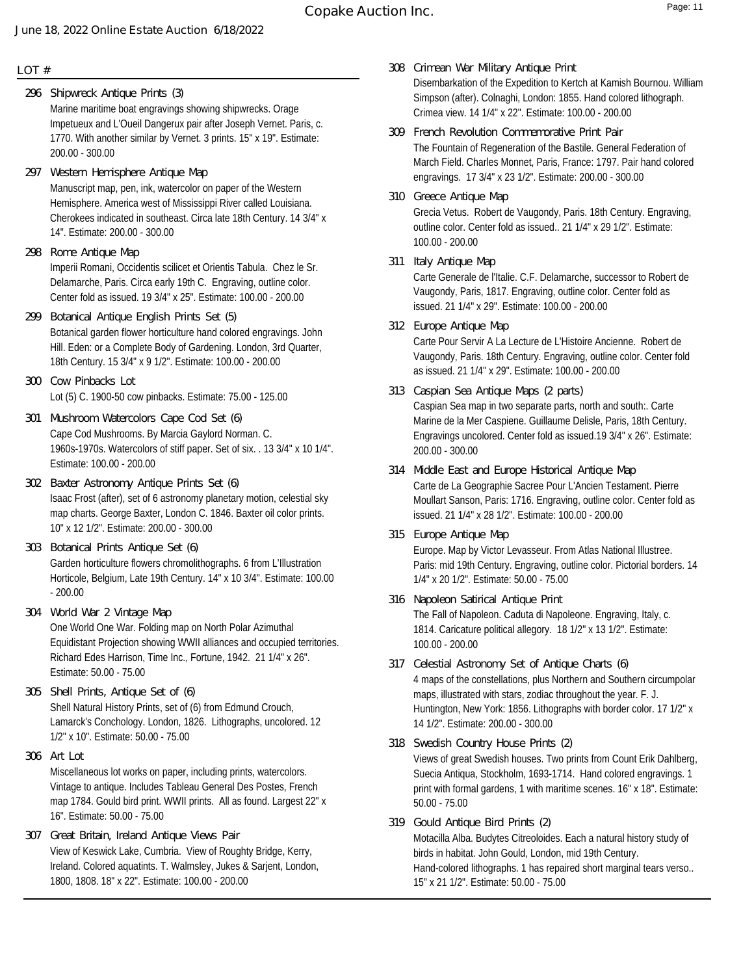### **LOT #**

- Marine maritime boat engravings showing shipwrecks. Orage Impetueux and L'Oueil Dangerux pair after Joseph Vernet. Paris, c. 1770. With another similar by Vernet. 3 prints. 15" x 19". Estimate: 200.00 - 300.00 **296 Shipwreck Antique Prints (3)**
- Manuscript map, pen, ink, watercolor on paper of the Western Hemisphere. America west of Mississippi River called Louisiana. Cherokees indicated in southeast. Circa late 18th Century. 14 3/4" x 14". Estimate: 200.00 - 300.00 **297 Western Hemisphere Antique Map**
- Imperii Romani, Occidentis scilicet et Orientis Tabula. Chez le Sr. Delamarche, Paris. Circa early 19th C. Engraving, outline color. Center fold as issued. 19 3/4" x 25". Estimate: 100.00 - 200.00 **298 Rome Antique Map**
- Botanical garden flower horticulture hand colored engravings. John Hill. Eden: or a Complete Body of Gardening. London, 3rd Quarter, 18th Century. 15 3/4" x 9 1/2". Estimate: 100.00 - 200.00 **299 Botanical Antique English Prints Set (5)**
- Lot (5) C. 1900-50 cow pinbacks. Estimate: 75.00 125.00 **300 Cow Pinbacks Lot**
- Cape Cod Mushrooms. By Marcia Gaylord Norman. C. 1960s-1970s. Watercolors of stiff paper. Set of six. . 13 3/4" x 10 1/4". Estimate: 100.00 - 200.00 **301 Mushroom Watercolors Cape Cod Set (6)**
- Isaac Frost (after), set of 6 astronomy planetary motion, celestial sky map charts. George Baxter, London C. 1846. Baxter oil color prints. 10" x 12 1/2". Estimate: 200.00 - 300.00 **302 Baxter Astronomy Antique Prints Set (6)**
- Garden horticulture flowers chromolithographs. 6 from L'Illustration Horticole, Belgium, Late 19th Century. 14" x 10 3/4". Estimate: 100.00 - 200.00 **303 Botanical Prints Antique Set (6)**
- One World One War. Folding map on North Polar Azimuthal Equidistant Projection showing WWII alliances and occupied territories. Richard Edes Harrison, Time Inc., Fortune, 1942. 21 1/4" x 26". Estimate: 50.00 - 75.00 **304 World War 2 Vintage Map**
- Shell Natural History Prints, set of (6) from Edmund Crouch, Lamarck's Conchology. London, 1826. Lithographs, uncolored. 12 1/2" x 10". Estimate: 50.00 - 75.00 **305 Shell Prints, Antique Set of (6)**
- Miscellaneous lot works on paper, including prints, watercolors. Vintage to antique. Includes Tableau General Des Postes, French map 1784. Gould bird print. WWII prints. All as found. Largest 22" x 16". Estimate: 50.00 - 75.00 **306 Art Lot**
- View of Keswick Lake, Cumbria. View of Roughty Bridge, Kerry, Ireland. Colored aquatints. T. Walmsley, Jukes & Sarjent, London, 1800, 1808. 18" x 22". Estimate: 100.00 - 200.00 **307 Great Britain, Ireland Antique Views Pair**
- Disembarkation of the Expedition to Kertch at Kamish Bournou. William Simpson (after). Colnaghi, London: 1855. Hand colored lithograph. Crimea view. 14 1/4" x 22". Estimate: 100.00 - 200.00 **308 Crimean War Military Antique Print**
- The Fountain of Regeneration of the Bastile. General Federation of March Field. Charles Monnet, Paris, France: 1797. Pair hand colored engravings. 17 3/4" x 23 1/2". Estimate: 200.00 - 300.00 **309 French Revolution Commemorative Print Pair**
- Grecia Vetus. Robert de Vaugondy, Paris. 18th Century. Engraving, outline color. Center fold as issued.. 21 1/4" x 29 1/2". Estimate: 100.00 - 200.00 **310 Greece Antique Map**
- **311 Italy Antique Map**

Carte Generale de l'Italie. C.F. Delamarche, successor to Robert de Vaugondy, Paris, 1817. Engraving, outline color. Center fold as issued. 21 1/4" x 29". Estimate: 100.00 - 200.00

- Carte Pour Servir A La Lecture de L'Histoire Ancienne. Robert de Vaugondy, Paris. 18th Century. Engraving, outline color. Center fold as issued. 21 1/4" x 29". Estimate: 100.00 - 200.00 **312 Europe Antique Map**
- Caspian Sea map in two separate parts, north and south:. Carte Marine de la Mer Caspiene. Guillaume Delisle, Paris, 18th Century. Engravings uncolored. Center fold as issued.19 3/4" x 26". Estimate: 200.00 - 300.00 **313 Caspian Sea Antique Maps (2 parts)**
- Carte de La Geographie Sacree Pour L'Ancien Testament. Pierre Moullart Sanson, Paris: 1716. Engraving, outline color. Center fold as issued. 21 1/4" x 28 1/2". Estimate: 100.00 - 200.00 **314 Middle East and Europe Historical Antique Map**
- Europe. Map by Victor Levasseur. From Atlas National Illustree. Paris: mid 19th Century. Engraving, outline color. Pictorial borders. 14 1/4" x 20 1/2". Estimate: 50.00 - 75.00 **315 Europe Antique Map**
- The Fall of Napoleon. Caduta di Napoleone. Engraving, Italy, c. 1814. Caricature political allegory. 18 1/2" x 13 1/2". Estimate: 100.00 - 200.00 **316 Napoleon Satirical Antique Print**
- 4 maps of the constellations, plus Northern and Southern circumpolar maps, illustrated with stars, zodiac throughout the year. F. J. Huntington, New York: 1856. Lithographs with border color. 17 1/2" x 14 1/2". Estimate: 200.00 - 300.00 **317 Celestial Astronomy Set of Antique Charts (6)**
- Views of great Swedish houses. Two prints from Count Erik Dahlberg, Suecia Antiqua, Stockholm, 1693-1714. Hand colored engravings. 1 print with formal gardens, 1 with maritime scenes. 16" x 18". Estimate: 50.00 - 75.00 **318 Swedish Country House Prints (2)**
- Motacilla Alba. Budytes Citreoloides. Each a natural history study of birds in habitat. John Gould, London, mid 19th Century. Hand-colored lithographs. 1 has repaired short marginal tears verso.. 15" x 21 1/2". Estimate: 50.00 - 75.00 **319 Gould Antique Bird Prints (2)**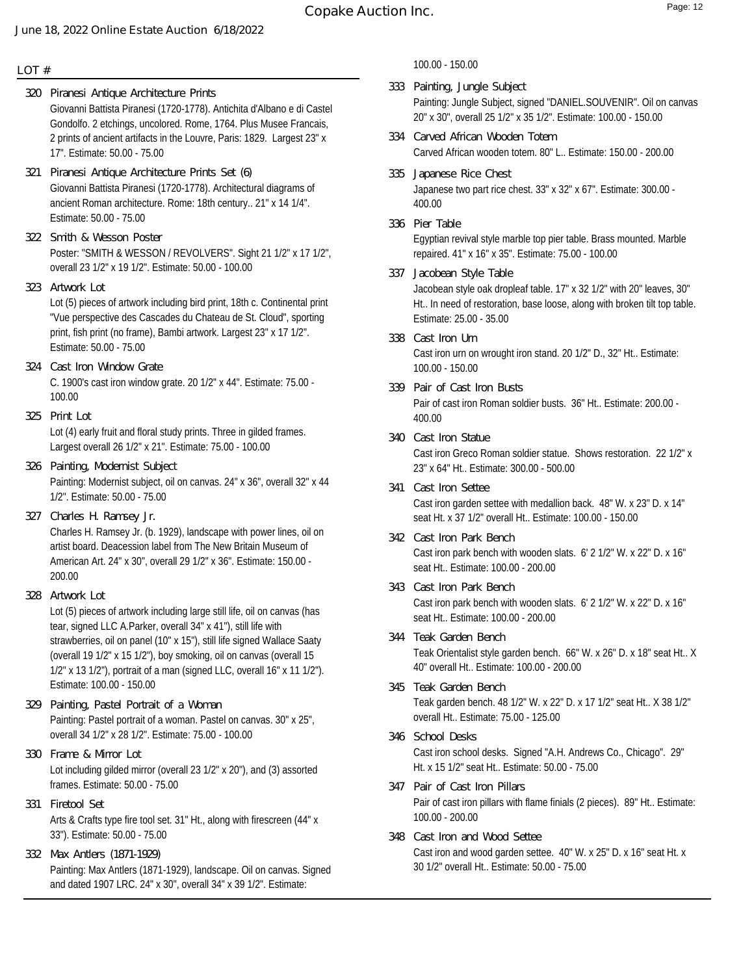- Giovanni Battista Piranesi (1720-1778). Antichita d'Albano e di Castel Gondolfo. 2 etchings, uncolored. Rome, 1764. Plus Musee Francais, 2 prints of ancient artifacts in the Louvre, Paris: 1829. Largest 23" x 17". Estimate: 50.00 - 75.00 **320 Piranesi Antique Architecture Prints**
- Giovanni Battista Piranesi (1720-1778). Architectural diagrams of ancient Roman architecture. Rome: 18th century.. 21" x 14 1/4". Estimate: 50.00 - 75.00 **321 Piranesi Antique Architecture Prints Set (6)**
- Poster: "SMITH & WESSON / REVOLVERS". Sight 21 1/2" x 17 1/2", overall 23 1/2" x 19 1/2". Estimate: 50.00 - 100.00 **322 Smith & Wesson Poster**
- **323 Artwork Lot**

Lot (5) pieces of artwork including bird print, 18th c. Continental print "Vue perspective des Cascades du Chateau de St. Cloud", sporting print, fish print (no frame), Bambi artwork. Largest 23" x 17 1/2". Estimate: 50.00 - 75.00

- C. 1900's cast iron window grate. 20 1/2" x 44". Estimate: 75.00 100.00 **324 Cast Iron Window Grate**
- **325 Print Lot**

Lot (4) early fruit and floral study prints. Three in gilded frames. Largest overall 26 1/2" x 21". Estimate: 75.00 - 100.00

- Painting: Modernist subject, oil on canvas. 24" x 36", overall 32" x 44 1/2". Estimate: 50.00 - 75.00 **326 Painting, Modernist Subject**
- **327 Charles H. Ramsey Jr.**

Charles H. Ramsey Jr. (b. 1929), landscape with power lines, oil on artist board. Deacession label from The New Britain Museum of American Art. 24" x 30", overall 29 1/2" x 36". Estimate: 150.00 - 200.00

**328 Artwork Lot**

Lot (5) pieces of artwork including large still life, oil on canvas (has tear, signed LLC A.Parker, overall 34" x 41"), still life with strawberries, oil on panel (10" x 15"), still life signed Wallace Saaty (overall 19 1/2" x 15 1/2"), boy smoking, oil on canvas (overall 15 1/2" x 13 1/2"), portrait of a man (signed LLC, overall 16" x 11 1/2"). Estimate: 100.00 - 150.00

- Painting: Pastel portrait of a woman. Pastel on canvas. 30" x 25", overall 34 1/2" x 28 1/2". Estimate: 75.00 - 100.00 **329 Painting, Pastel Portrait of a Woman**
- Lot including gilded mirror (overall 23 1/2" x 20"), and (3) assorted frames. Estimate: 50.00 - 75.00 **330 Frame & Mirror Lot**
- Arts & Crafts type fire tool set. 31" Ht., along with firescreen (44" x 33"). Estimate: 50.00 - 75.00 **331 Firetool Set**
- Painting: Max Antlers (1871-1929), landscape. Oil on canvas. Signed and dated 1907 LRC. 24" x 30", overall 34" x 39 1/2". Estimate: **332 Max Antlers (1871-1929)**

100.00 - 150.00

- Painting: Jungle Subject, signed "DANIEL.SOUVENIR". Oil on canvas 20" x 30", overall 25 1/2" x 35 1/2". Estimate: 100.00 - 150.00 **333 Painting, Jungle Subject**
- Carved African wooden totem. 80" L.. Estimate: 150.00 200.00 **334 Carved African Wooden Totem**
- Japanese two part rice chest. 33" x 32" x 67". Estimate: 300.00 400.00 **335 Japanese Rice Chest**
- Egyptian revival style marble top pier table. Brass mounted. Marble repaired. 41" x 16" x 35". Estimate: 75.00 - 100.00 **336 Pier Table**
- Jacobean style oak dropleaf table. 17" x 32 1/2" with 20" leaves, 30" Ht.. In need of restoration, base loose, along with broken tilt top table. Estimate: 25.00 - 35.00 **337 Jacobean Style Table**
- Cast iron urn on wrought iron stand. 20 1/2" D., 32" Ht.. Estimate: 100.00 - 150.00 **338 Cast Iron Urn**
- Pair of cast iron Roman soldier busts. 36" Ht.. Estimate: 200.00 400.00 **339 Pair of Cast Iron Busts**
- Cast iron Greco Roman soldier statue. Shows restoration. 22 1/2" x 23" x 64" Ht.. Estimate: 300.00 - 500.00 **340 Cast Iron Statue**
- Cast iron garden settee with medallion back. 48" W. x 23" D. x 14" seat Ht. x 37 1/2" overall Ht.. Estimate: 100.00 - 150.00 **341 Cast Iron Settee**
- Cast iron park bench with wooden slats. 6' 2 1/2" W. x 22" D. x 16" seat Ht.. Estimate: 100.00 - 200.00 **342 Cast Iron Park Bench**
- Cast iron park bench with wooden slats. 6' 2 1/2" W. x 22" D. x 16" seat Ht.. Estimate: 100.00 - 200.00 **343 Cast Iron Park Bench**
- Teak Orientalist style garden bench. 66" W. x 26" D. x 18" seat Ht.. X 40" overall Ht.. Estimate: 100.00 - 200.00 **344 Teak Garden Bench**
- Teak garden bench. 48 1/2" W. x 22" D. x 17 1/2" seat Ht.. X 38 1/2" overall Ht.. Estimate: 75.00 - 125.00 **345 Teak Garden Bench**
- Cast iron school desks. Signed "A.H. Andrews Co., Chicago". 29" Ht. x 15 1/2" seat Ht.. Estimate: 50.00 - 75.00 **346 School Desks**
- Pair of cast iron pillars with flame finials (2 pieces). 89" Ht.. Estimate: 100.00 - 200.00 **347 Pair of Cast Iron Pillars**
- Cast iron and wood garden settee. 40" W. x 25" D. x 16" seat Ht. x 30 1/2" overall Ht.. Estimate: 50.00 - 75.00 **348 Cast Iron and Wood Settee**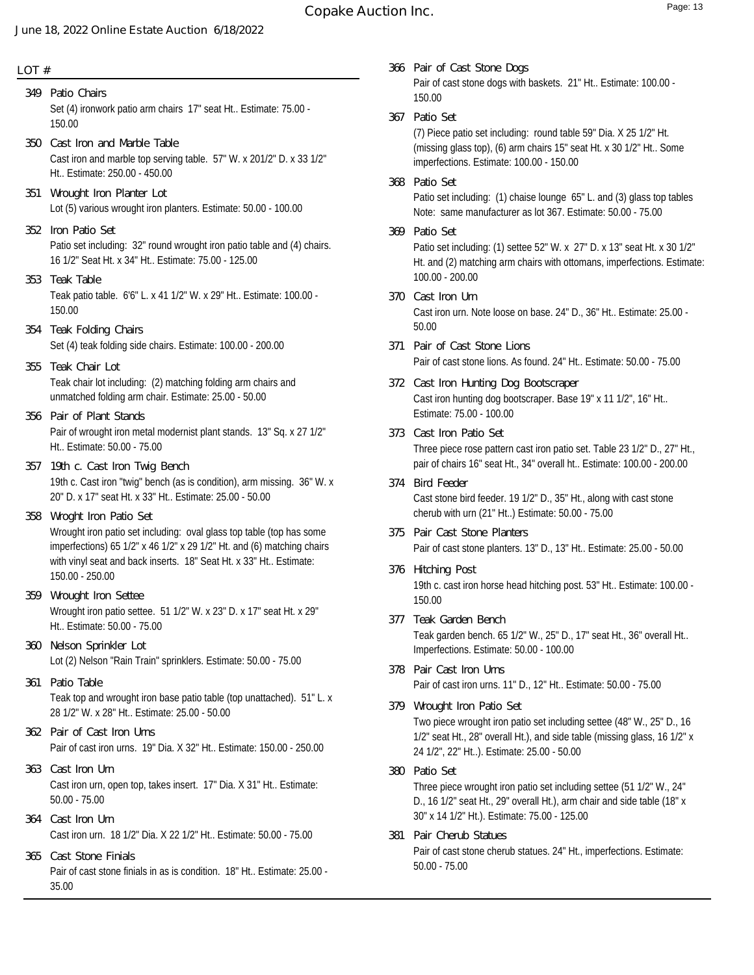# **Copake Auction Inc.** The comparison of the Page: 13

#### **June 18, 2022 Online Estate Auction 6/18/2022**

#### **LOT #**

- Set (4) ironwork patio arm chairs 17" seat Ht.. Estimate: 75.00 150.00 **349 Patio Chairs**
- Cast iron and marble top serving table. 57" W. x 201/2" D. x 33 1/2" Ht.. Estimate: 250.00 - 450.00 **350 Cast Iron and Marble Table**
- Lot (5) various wrought iron planters. Estimate: 50.00 100.00 **351 Wrought Iron Planter Lot**
- Patio set including: 32" round wrought iron patio table and (4) chairs. 16 1/2" Seat Ht. x 34" Ht.. Estimate: 75.00 - 125.00 **352 Iron Patio Set**
- Teak patio table. 6'6" L. x 41 1/2" W. x 29" Ht.. Estimate: 100.00 150.00 **353 Teak Table**
- Set (4) teak folding side chairs. Estimate: 100.00 200.00 **354 Teak Folding Chairs**
- Teak chair lot including: (2) matching folding arm chairs and unmatched folding arm chair. Estimate: 25.00 - 50.00 **355 Teak Chair Lot**
- Pair of wrought iron metal modernist plant stands. 13" Sq. x 27 1/2" Ht.. Estimate: 50.00 - 75.00 **356 Pair of Plant Stands**
- 19th c. Cast iron "twig" bench (as is condition), arm missing. 36" W. x 20" D. x 17" seat Ht. x 33" Ht.. Estimate: 25.00 - 50.00 **357 19th c. Cast Iron Twig Bench**
- Wrought iron patio set including: oval glass top table (top has some imperfections) 65 1/2" x 46 1/2" x 29 1/2" Ht. and (6) matching chairs with vinyl seat and back inserts. 18" Seat Ht. x 33" Ht.. Estimate: 150.00 - 250.00 **358 Wroght Iron Patio Set**
- Wrought iron patio settee. 51 1/2" W. x 23" D. x 17" seat Ht. x 29" Ht.. Estimate: 50.00 - 75.00 **359 Wrought Iron Settee**
- Lot (2) Nelson "Rain Train" sprinklers. Estimate: 50.00 75.00 **360 Nelson Sprinkler Lot**
- Teak top and wrought iron base patio table (top unattached). 51" L. x 28 1/2" W. x 28" Ht.. Estimate: 25.00 - 50.00 **361 Patio Table**
- Pair of cast iron urns. 19" Dia. X 32" Ht.. Estimate: 150.00 250.00 **362 Pair of Cast Iron Urns**
- Cast iron urn, open top, takes insert. 17" Dia. X 31" Ht.. Estimate: 50.00 - 75.00 **363 Cast Iron Urn**
- Cast iron urn. 18 1/2" Dia. X 22 1/2" Ht.. Estimate: 50.00 75.00 **364 Cast Iron Urn**
- Pair of cast stone finials in as is condition. 18" Ht.. Estimate: 25.00 35.00 **365 Cast Stone Finials**
- Pair of cast stone dogs with baskets. 21" Ht.. Estimate: 100.00 150.00 **366 Pair of Cast Stone Dogs**
- **367 Patio Set**

(7) Piece patio set including: round table 59" Dia. X 25 1/2" Ht. (missing glass top), (6) arm chairs 15" seat Ht. x 30 1/2" Ht.. Some imperfections. Estimate: 100.00 - 150.00

- Patio set including: (1) chaise lounge 65" L. and (3) glass top tables Note: same manufacturer as lot 367. Estimate: 50.00 - 75.00 **368 Patio Set**
- Patio set including: (1) settee 52" W. x 27" D. x 13" seat Ht. x 30 1/2" Ht. and (2) matching arm chairs with ottomans, imperfections. Estimate: 100.00 - 200.00 **369 Patio Set**
- Cast iron urn. Note loose on base. 24" D., 36" Ht.. Estimate: 25.00 50.00 **370 Cast Iron Urn**
- Pair of cast stone lions. As found. 24" Ht.. Estimate: 50.00 75.00 **371 Pair of Cast Stone Lions**
- Cast iron hunting dog bootscraper. Base 19" x 11 1/2", 16" Ht.. Estimate: 75.00 - 100.00 **372 Cast Iron Hunting Dog Bootscraper**
- Three piece rose pattern cast iron patio set. Table 23 1/2" D., 27" Ht., pair of chairs 16" seat Ht., 34" overall ht.. Estimate: 100.00 - 200.00 **373 Cast Iron Patio Set**
- Cast stone bird feeder. 19 1/2" D., 35" Ht., along with cast stone cherub with urn (21" Ht..) Estimate: 50.00 - 75.00 **374 Bird Feeder**
- Pair of cast stone planters. 13" D., 13" Ht.. Estimate: 25.00 50.00 **375 Pair Cast Stone Planters**
- 19th c. cast iron horse head hitching post. 53" Ht.. Estimate: 100.00 150.00 **376 Hitching Post**
- Teak garden bench. 65 1/2" W., 25" D., 17" seat Ht., 36" overall Ht.. Imperfections. Estimate: 50.00 - 100.00 **377 Teak Garden Bench**
- Pair of cast iron urns. 11" D., 12" Ht.. Estimate: 50.00 75.00 **378 Pair Cast Iron Urns**
- Two piece wrought iron patio set including settee (48" W., 25" D., 16 1/2" seat Ht., 28" overall Ht.), and side table (missing glass, 16 1/2" x 24 1/2", 22" Ht..). Estimate: 25.00 - 50.00 **379 Wrought Iron Patio Set**
- Three piece wrought iron patio set including settee (51 1/2" W., 24" D., 16 1/2" seat Ht., 29" overall Ht.), arm chair and side table (18" x 30" x 14 1/2" Ht.). Estimate: 75.00 - 125.00 **380 Patio Set**
- Pair of cast stone cherub statues. 24" Ht., imperfections. Estimate: 50.00 - 75.00 **381 Pair Cherub Statues**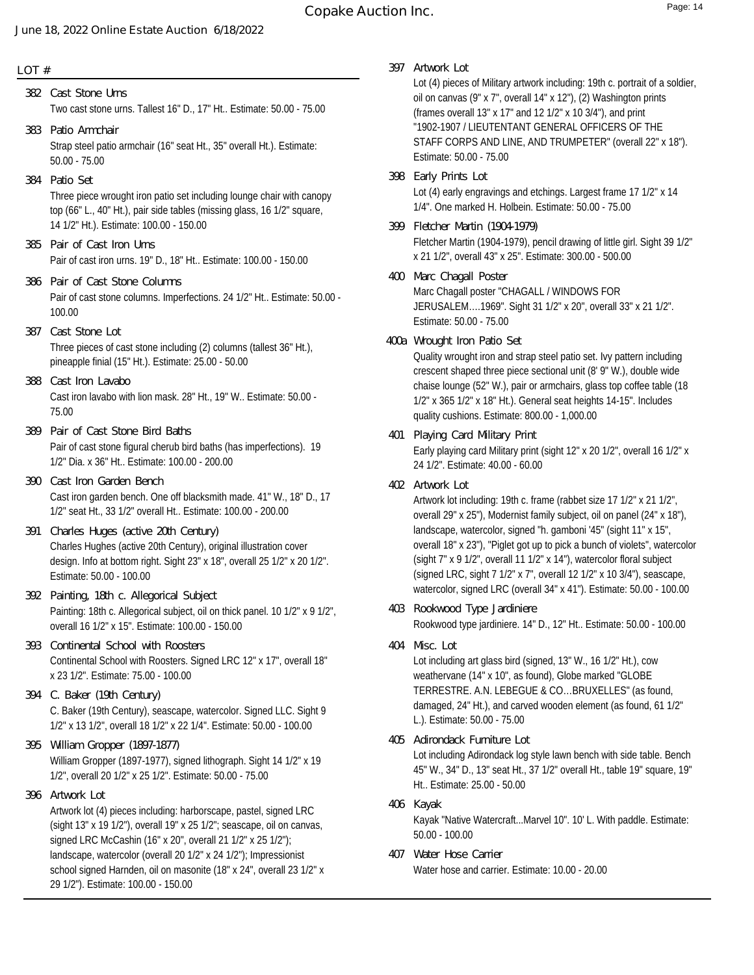# **Copake Auction Inc.** Page: 14

#### **LOT #**

Two cast stone urns. Tallest 16" D., 17" Ht.. Estimate: 50.00 - 75.00 **382 Cast Stone Urns 383 Patio Armchair**

Strap steel patio armchair (16" seat Ht., 35" overall Ht.). Estimate: 50.00 - 75.00

- Three piece wrought iron patio set including lounge chair with canopy top (66" L., 40" Ht.), pair side tables (missing glass, 16 1/2" square, 14 1/2" Ht.). Estimate: 100.00 - 150.00 **384 Patio Set**
- Pair of cast iron urns. 19" D., 18" Ht.. Estimate: 100.00 150.00 **385 Pair of Cast Iron Urns**
- Pair of cast stone columns. Imperfections. 24 1/2" Ht.. Estimate: 50.00 100.00 **386 Pair of Cast Stone Columns**
- Three pieces of cast stone including (2) columns (tallest 36" Ht.), pineapple finial (15" Ht.). Estimate: 25.00 - 50.00 **387 Cast Stone Lot**
- Cast iron lavabo with lion mask. 28" Ht., 19" W.. Estimate: 50.00 75.00 **388 Cast Iron Lavabo**
- Pair of cast stone figural cherub bird baths (has imperfections). 19 1/2" Dia. x 36" Ht.. Estimate: 100.00 - 200.00 **389 Pair of Cast Stone Bird Baths**
- Cast iron garden bench. One off blacksmith made. 41" W., 18" D., 17 1/2" seat Ht., 33 1/2" overall Ht.. Estimate: 100.00 - 200.00 **390 Cast Iron Garden Bench**
- Charles Hughes (active 20th Century), original illustration cover design. Info at bottom right. Sight 23" x 18", overall 25 1/2" x 20 1/2". Estimate: 50.00 - 100.00 **391 Charles Huges (active 20th Century)**
- Painting: 18th c. Allegorical subject, oil on thick panel. 10 1/2" x 9 1/2", overall 16 1/2" x 15". Estimate: 100.00 - 150.00 **392 Painting, 18th c. Allegorical Subject**
- Continental School with Roosters. Signed LRC 12" x 17", overall 18" x 23 1/2". Estimate: 75.00 - 100.00 **393 Continental School with Roosters**
- C. Baker (19th Century), seascape, watercolor. Signed LLC. Sight 9 1/2" x 13 1/2", overall 18 1/2" x 22 1/4". Estimate: 50.00 - 100.00 **394 C. Baker (19th Century)**
- William Gropper (1897-1977), signed lithograph. Sight 14 1/2" x 19 1/2", overall 20 1/2" x 25 1/2". Estimate: 50.00 - 75.00 **395 William Gropper (1897-1877)**
- Artwork lot (4) pieces including: harborscape, pastel, signed LRC (sight 13" x 19 1/2"), overall 19" x 25 1/2"; seascape, oil on canvas, signed LRC McCashin (16" x 20", overall 21 1/2" x 25 1/2"); landscape, watercolor (overall 20 1/2" x 24 1/2"); Impressionist school signed Harnden, oil on masonite (18" x 24", overall 23 1/2" x 29 1/2"). Estimate: 100.00 - 150.00 **396 Artwork Lot**

**397 Artwork Lot**

Lot (4) pieces of Military artwork including: 19th c. portrait of a soldier, oil on canvas (9" x 7", overall 14" x 12"), (2) Washington prints (frames overall 13" x 17" and 12 1/2" x 10 3/4"), and print "1902-1907 / LIEUTENTANT GENERAL OFFICERS OF THE STAFF CORPS AND LINE, AND TRUMPETER" (overall 22" x 18"). Estimate: 50.00 - 75.00

- Lot (4) early engravings and etchings. Largest frame 17 1/2" x 14 1/4". One marked H. Holbein. Estimate: 50.00 - 75.00 **398 Early Prints Lot**
- Fletcher Martin (1904-1979), pencil drawing of little girl. Sight 39 1/2" x 21 1/2", overall 43" x 25". Estimate: 300.00 - 500.00 **399 Fletcher Martin (1904-1979)**
- Marc Chagall poster "CHAGALL / WINDOWS FOR JERUSALEM….1969". Sight 31 1/2" x 20", overall 33" x 21 1/2". Estimate: 50.00 - 75.00 **400 Marc Chagall Poster**
- Quality wrought iron and strap steel patio set. Ivy pattern including crescent shaped three piece sectional unit (8' 9" W.), double wide chaise lounge (52" W.), pair or armchairs, glass top coffee table (18 1/2" x 365 1/2" x 18" Ht.). General seat heights 14-15". Includes quality cushions. Estimate: 800.00 - 1,000.00 **400a Wrought Iron Patio Set**
- Early playing card Military print (sight 12" x 20 1/2", overall 16 1/2" x 24 1/2". Estimate: 40.00 - 60.00 **401 Playing Card Military Print**
- **402 Artwork Lot**

Artwork lot including: 19th c. frame (rabbet size 17 1/2" x 21 1/2", overall 29" x 25"), Modernist family subject, oil on panel (24" x 18"), landscape, watercolor, signed "h. gamboni '45" (sight 11" x 15", overall 18" x 23"), "Piglet got up to pick a bunch of violets", watercolor (sight 7" x 9 1/2", overall 11 1/2" x 14"), watercolor floral subject (signed LRC, sight 7 1/2" x 7", overall 12 1/2" x 10 3/4"), seascape, watercolor, signed LRC (overall 34" x 41"). Estimate: 50.00 - 100.00

Rookwood type jardiniere. 14" D., 12" Ht.. Estimate: 50.00 - 100.00 **403 Rookwood Type Jardiniere**

**404 Misc. Lot**

Lot including art glass bird (signed, 13" W., 16 1/2" Ht.), cow weathervane (14" x 10", as found), Globe marked "GLOBE TERRESTRE. A.N. LEBEGUE & CO…BRUXELLES" (as found, damaged, 24" Ht.), and carved wooden element (as found, 61 1/2" L.). Estimate: 50.00 - 75.00

- Lot including Adirondack log style lawn bench with side table. Bench 45" W., 34" D., 13" seat Ht., 37 1/2" overall Ht., table 19" square, 19" Ht.. Estimate: 25.00 - 50.00 **405 Adirondack Furniture Lot**
- Kayak "Native Watercraft...Marvel 10". 10' L. With paddle. Estimate: 50.00 - 100.00 **406 Kayak**
- Water hose and carrier. Estimate: 10.00 20.00 **407 Water Hose Carrier**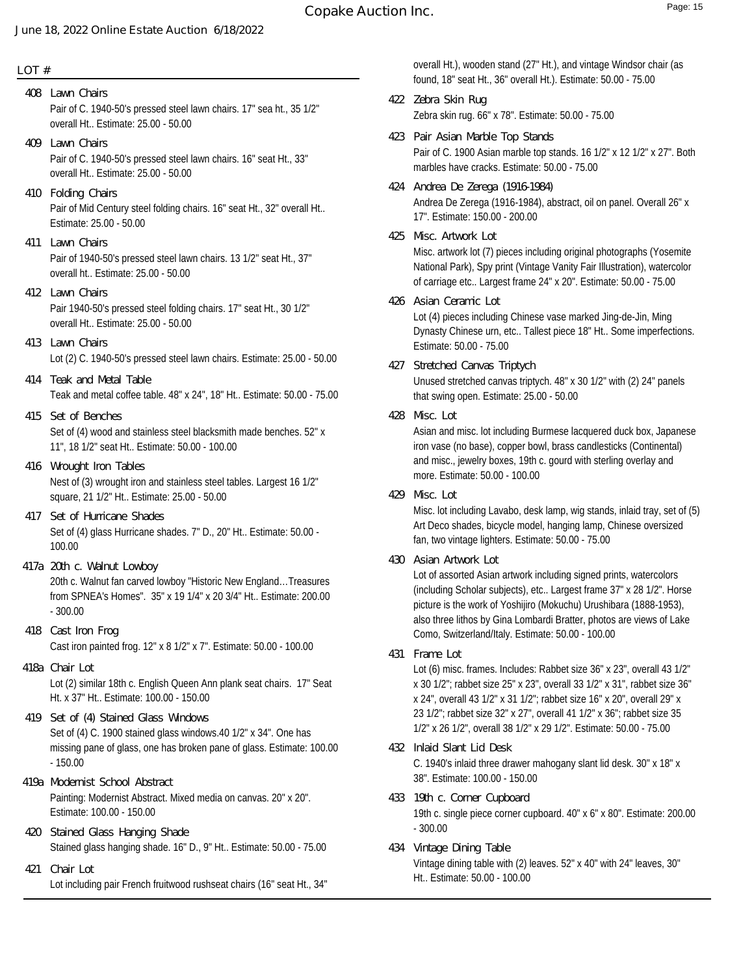#### **LOT #**

Pair of C. 1940-50's pressed steel lawn chairs. 17" sea ht., 35 1/2" overall Ht.. Estimate: 25.00 - 50.00 **408 Lawn Chairs**

- Pair of C. 1940-50's pressed steel lawn chairs. 16" seat Ht., 33" overall Ht.. Estimate: 25.00 - 50.00 **409 Lawn Chairs**
- Pair of Mid Century steel folding chairs. 16" seat Ht., 32" overall Ht.. Estimate: 25.00 - 50.00 **410 Folding Chairs**
- Pair of 1940-50's pressed steel lawn chairs. 13 1/2" seat Ht., 37" overall ht.. Estimate: 25.00 - 50.00 **411 Lawn Chairs**
- Pair 1940-50's pressed steel folding chairs. 17" seat Ht., 30 1/2" overall Ht.. Estimate: 25.00 - 50.00 **412 Lawn Chairs**
- Lot (2) C. 1940-50's pressed steel lawn chairs. Estimate: 25.00 50.00 **413 Lawn Chairs**
- Teak and metal coffee table. 48" x 24", 18" Ht.. Estimate: 50.00 75.00 **414 Teak and Metal Table**
- Set of (4) wood and stainless steel blacksmith made benches. 52" x 11", 18 1/2" seat Ht.. Estimate: 50.00 - 100.00 **415 Set of Benches**
- Nest of (3) wrought iron and stainless steel tables. Largest 16 1/2" square, 21 1/2" Ht.. Estimate: 25.00 - 50.00 **416 Wrought Iron Tables**
- Set of (4) glass Hurricane shades. 7" D., 20" Ht.. Estimate: 50.00 100.00 **417 Set of Hurricane Shades**
- 20th c. Walnut fan carved lowboy "Historic New England…Treasures from SPNEA's Homes". 35" x 19 1/4" x 20 3/4" Ht.. Estimate: 200.00 - 300.00 **417a 20th c. Walnut Lowboy**
- Cast iron painted frog. 12" x 8 1/2" x 7". Estimate: 50.00 100.00 **418 Cast Iron Frog**
- Lot (2) similar 18th c. English Queen Ann plank seat chairs. 17" Seat Ht. x 37" Ht.. Estimate: 100.00 - 150.00 **418a Chair Lot**
- Set of (4) C. 1900 stained glass windows.40 1/2" x 34". One has missing pane of glass, one has broken pane of glass. Estimate: 100.00 - 150.00 **419 Set of (4) Stained Glass Windows**
- Painting: Modernist Abstract. Mixed media on canvas. 20" x 20". Estimate: 100.00 - 150.00 **419a Modernist School Abstract**
- Stained glass hanging shade. 16" D., 9" Ht.. Estimate: 50.00 75.00 **420 Stained Glass Hanging Shade**
- Lot including pair French fruitwood rushseat chairs (16" seat Ht., 34" **421 Chair Lot**

overall Ht.), wooden stand (27" Ht.), and vintage Windsor chair (as found, 18" seat Ht., 36" overall Ht.). Estimate: 50.00 - 75.00

- Zebra skin rug. 66" x 78". Estimate: 50.00 75.00 **422 Zebra Skin Rug**
- Pair of C. 1900 Asian marble top stands. 16 1/2" x 12 1/2" x 27". Both marbles have cracks. Estimate: 50.00 - 75.00 **423 Pair Asian Marble Top Stands**
- Andrea De Zerega (1916-1984), abstract, oil on panel. Overall 26" x 17". Estimate: 150.00 - 200.00 **424 Andrea De Zerega (1916-1984)**
- Misc. artwork lot (7) pieces including original photographs (Yosemite National Park), Spy print (Vintage Vanity Fair Illustration), watercolor of carriage etc.. Largest frame 24" x 20". Estimate: 50.00 - 75.00 **425 Misc. Artwork Lot**
- Lot (4) pieces including Chinese vase marked Jing-de-Jin, Ming Dynasty Chinese urn, etc.. Tallest piece 18" Ht.. Some imperfections. Estimate: 50.00 - 75.00 **426 Asian Ceramic Lot**
- Unused stretched canvas triptych. 48" x 30 1/2" with (2) 24" panels that swing open. Estimate: 25.00 - 50.00 **427 Stretched Canvas Triptych**
- **428 Misc. Lot**

Asian and misc. lot including Burmese lacquered duck box, Japanese iron vase (no base), copper bowl, brass candlesticks (Continental) and misc., jewelry boxes, 19th c. gourd with sterling overlay and more. Estimate: 50.00 - 100.00

**429 Misc. Lot**

Misc. lot including Lavabo, desk lamp, wig stands, inlaid tray, set of (5) Art Deco shades, bicycle model, hanging lamp, Chinese oversized fan, two vintage lighters. Estimate: 50.00 - 75.00

**430 Asian Artwork Lot**

Lot of assorted Asian artwork including signed prints, watercolors (including Scholar subjects), etc.. Largest frame 37" x 28 1/2". Horse picture is the work of Yoshijiro (Mokuchu) Urushibara (1888-1953), also three lithos by Gina Lombardi Bratter, photos are views of Lake Como, Switzerland/Italy. Estimate: 50.00 - 100.00

## **431 Frame Lot**

Lot (6) misc. frames. Includes: Rabbet size 36" x 23", overall 43 1/2" x 30 1/2"; rabbet size 25" x 23", overall 33 1/2" x 31", rabbet size 36" x 24", overall 43 1/2" x 31 1/2"; rabbet size 16" x 20", overall 29" x 23 1/2"; rabbet size 32" x 27", overall 41 1/2" x 36"; rabbet size 35 1/2" x 26 1/2", overall 38 1/2" x 29 1/2". Estimate: 50.00 - 75.00

- C. 1940's inlaid three drawer mahogany slant lid desk. 30" x 18" x 38". Estimate: 100.00 - 150.00 **432 Inlaid Slant Lid Desk**
- 19th c. single piece corner cupboard. 40" x 6" x 80". Estimate: 200.00 - 300.00 **433 19th c. Corner Cupboard**
- Vintage dining table with (2) leaves. 52" x 40" with 24" leaves, 30" Ht.. Estimate: 50.00 - 100.00 **434 Vintage Dining Table**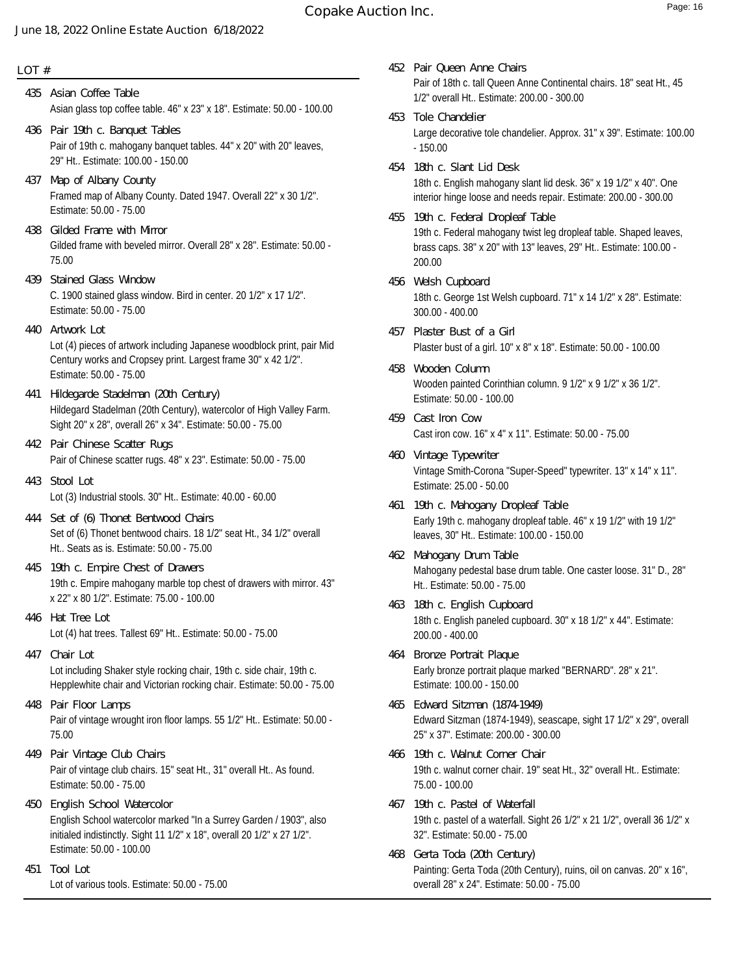# **Copake Auction Inc.** The comparison of the Page: 16

#### **June 18, 2022 Online Estate Auction 6/18/2022**

#### **LOT #**

- Asian glass top coffee table. 46" x 23" x 18". Estimate: 50.00 100.00 **435 Asian Coffee Table**
- Pair of 19th c. mahogany banquet tables. 44" x 20" with 20" leaves, 29" Ht.. Estimate: 100.00 - 150.00 **436 Pair 19th c. Banquet Tables**
- Framed map of Albany County. Dated 1947. Overall 22" x 30 1/2". Estimate: 50.00 - 75.00 **437 Map of Albany County**
- Gilded frame with beveled mirror. Overall 28" x 28". Estimate: 50.00 75.00 **438 Gilded Frame with Mirror**
- C. 1900 stained glass window. Bird in center. 20 1/2" x 17 1/2". Estimate: 50.00 - 75.00 **439 Stained Glass Window**
- Lot (4) pieces of artwork including Japanese woodblock print, pair Mid Century works and Cropsey print. Largest frame 30" x 42 1/2". Estimate: 50.00 - 75.00 **440 Artwork Lot**
- Hildegard Stadelman (20th Century), watercolor of High Valley Farm. Sight 20" x 28", overall 26" x 34". Estimate: 50.00 - 75.00 **441 Hildegarde Stadelman (20th Century)**
- Pair of Chinese scatter rugs. 48" x 23". Estimate: 50.00 75.00 **442 Pair Chinese Scatter Rugs**
- Lot (3) Industrial stools. 30" Ht.. Estimate: 40.00 60.00 **443 Stool Lot**
- Set of (6) Thonet bentwood chairs. 18 1/2" seat Ht., 34 1/2" overall Ht.. Seats as is. Estimate: 50.00 - 75.00 **444 Set of (6) Thonet Bentwood Chairs**
- 19th c. Empire mahogany marble top chest of drawers with mirror. 43" x 22" x 80 1/2". Estimate: 75.00 - 100.00 **445 19th c. Empire Chest of Drawers**
- Lot (4) hat trees. Tallest 69" Ht.. Estimate: 50.00 75.00 **446 Hat Tree Lot**
- Lot including Shaker style rocking chair, 19th c. side chair, 19th c. Hepplewhite chair and Victorian rocking chair. Estimate: 50.00 - 75.00 **447 Chair Lot**
- Pair of vintage wrought iron floor lamps. 55 1/2" Ht.. Estimate: 50.00 75.00 **448 Pair Floor Lamps**
- Pair of vintage club chairs. 15" seat Ht., 31" overall Ht.. As found. Estimate: 50.00 - 75.00 **449 Pair Vintage Club Chairs**
- English School watercolor marked "In a Surrey Garden / 1903", also initialed indistinctly. Sight 11 1/2" x 18", overall 20 1/2" x 27 1/2". Estimate: 50.00 - 100.00 **450 English School Watercolor**
- Lot of various tools. Estimate: 50.00 75.00 **451 Tool Lot**
- Pair of 18th c. tall Queen Anne Continental chairs. 18" seat Ht., 45 1/2" overall Ht.. Estimate: 200.00 - 300.00 **452 Pair Queen Anne Chairs**
- Large decorative tole chandelier. Approx. 31" x 39". Estimate: 100.00 - 150.00 **453 Tole Chandelier**
- 18th c. English mahogany slant lid desk. 36" x 19 1/2" x 40". One interior hinge loose and needs repair. Estimate: 200.00 - 300.00 **454 18th c. Slant Lid Desk**
- 19th c. Federal mahogany twist leg dropleaf table. Shaped leaves, brass caps. 38" x 20" with 13" leaves, 29" Ht.. Estimate: 100.00 - 200.00 **455 19th c. Federal Dropleaf Table**
- 18th c. George 1st Welsh cupboard. 71" x 14 1/2" x 28". Estimate: 300.00 - 400.00 **456 Welsh Cupboard**
- Plaster bust of a girl. 10" x 8" x 18". Estimate: 50.00 100.00 **457 Plaster Bust of a Girl**
- Wooden painted Corinthian column. 9 1/2" x 9 1/2" x 36 1/2". Estimate: 50.00 - 100.00 **458 Wooden Column**
- Cast iron cow. 16" x 4" x 11". Estimate: 50.00 75.00 **459 Cast Iron Cow**
- Vintage Smith-Corona "Super-Speed" typewriter. 13" x 14" x 11". Estimate: 25.00 - 50.00 **460 Vintage Typewriter**
- Early 19th c. mahogany dropleaf table. 46" x 19 1/2" with 19 1/2" leaves, 30" Ht.. Estimate: 100.00 - 150.00 **461 19th c. Mahogany Dropleaf Table**
- Mahogany pedestal base drum table. One caster loose. 31" D., 28" Ht.. Estimate: 50.00 - 75.00 **462 Mahogany Drum Table**
- 18th c. English paneled cupboard. 30" x 18 1/2" x 44". Estimate: 200.00 - 400.00 **463 18th c. English Cupboard**
- Early bronze portrait plaque marked "BERNARD". 28" x 21". Estimate: 100.00 - 150.00 **464 Bronze Portrait Plaque**
- Edward Sitzman (1874-1949), seascape, sight 17 1/2" x 29", overall 25" x 37". Estimate: 200.00 - 300.00 **465 Edward Sitzman (1874-1949)**
- 19th c. walnut corner chair. 19" seat Ht., 32" overall Ht.. Estimate: 75.00 - 100.00 **466 19th c. Walnut Corner Chair**
- 19th c. pastel of a waterfall. Sight 26 1/2" x 21 1/2", overall 36 1/2" x 32". Estimate: 50.00 - 75.00 **467 19th c. Pastel of Waterfall**
- Painting: Gerta Toda (20th Century), ruins, oil on canvas. 20" x 16", overall 28" x 24". Estimate: 50.00 - 75.00 **468 Gerta Toda (20th Century)**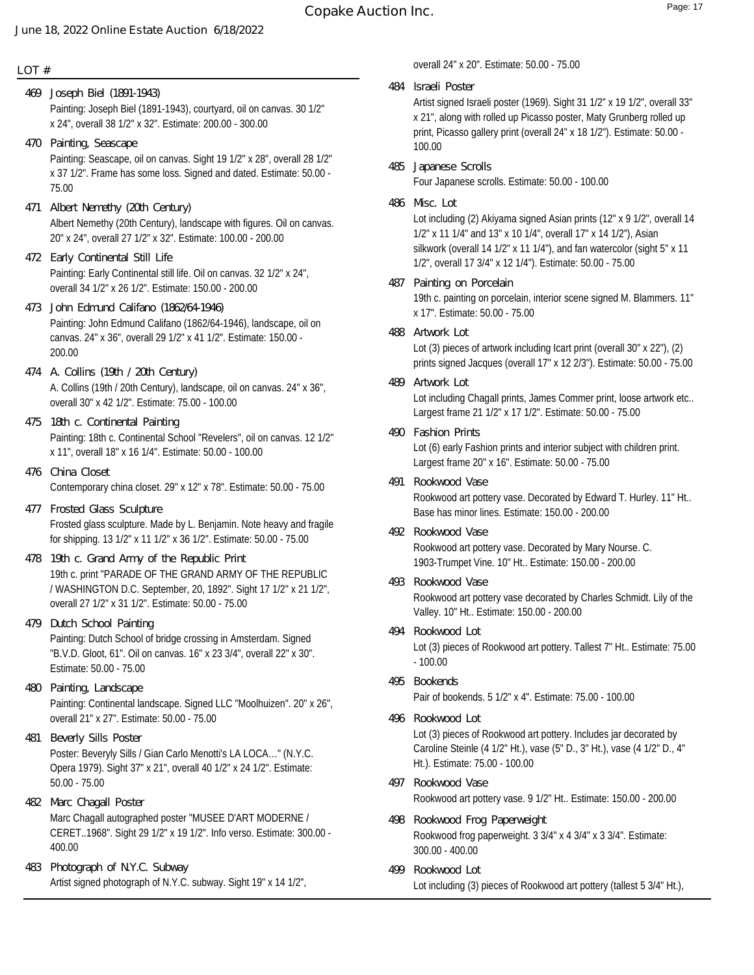#### **LOT #**

- Painting: Joseph Biel (1891-1943), courtyard, oil on canvas. 30 1/2" x 24", overall 38 1/2" x 32". Estimate: 200.00 - 300.00 **469 Joseph Biel (1891-1943)**
- Painting: Seascape, oil on canvas. Sight 19 1/2" x 28", overall 28 1/2" x 37 1/2". Frame has some loss. Signed and dated. Estimate: 50.00 - 75.00 **470 Painting, Seascape**
- Albert Nemethy (20th Century), landscape with figures. Oil on canvas. 20" x 24", overall 27 1/2" x 32". Estimate: 100.00 - 200.00 **471 Albert Nemethy (20th Century)**
- Painting: Early Continental still life. Oil on canvas. 32 1/2" x 24", overall 34 1/2" x 26 1/2". Estimate: 150.00 - 200.00 **472 Early Continental Still Life**
- Painting: John Edmund Califano (1862/64-1946), landscape, oil on canvas. 24" x 36", overall 29 1/2" x 41 1/2". Estimate: 150.00 - 200.00 **473 John Edmund Califano (1862/64-1946)**
- A. Collins (19th / 20th Century), landscape, oil on canvas. 24" x 36", overall 30" x 42 1/2". Estimate: 75.00 - 100.00 **474 A. Collins (19th / 20th Century)**
- Painting: 18th c. Continental School "Revelers", oil on canvas. 12 1/2" x 11", overall 18" x 16 1/4". Estimate: 50.00 - 100.00 **475 18th c. Continental Painting**
- Contemporary china closet. 29" x 12" x 78". Estimate: 50.00 75.00 **476 China Closet**
- Frosted glass sculpture. Made by L. Benjamin. Note heavy and fragile for shipping. 13 1/2" x 11 1/2" x 36 1/2". Estimate: 50.00 - 75.00 **477 Frosted Glass Sculpture**
- 19th c. print "PARADE OF THE GRAND ARMY OF THE REPUBLIC / WASHINGTON D.C. September, 20, 1892". Sight 17 1/2" x 21 1/2", overall 27 1/2" x 31 1/2". Estimate: 50.00 - 75.00 **478 19th c. Grand Army of the Republic Print**
- Painting: Dutch School of bridge crossing in Amsterdam. Signed "B.V.D. Gloot, 61". Oil on canvas. 16" x 23 3/4", overall 22" x 30". Estimate: 50.00 - 75.00 **479 Dutch School Painting**
- Painting: Continental landscape. Signed LLC "Moolhuizen". 20" x 26", overall 21" x 27". Estimate: 50.00 - 75.00 **480 Painting, Landscape**
- Poster: Beveryly Sills / Gian Carlo Menotti's LA LOCA…" (N.Y.C. Opera 1979). Sight 37" x 21", overall 40 1/2" x 24 1/2". Estimate: 50.00 - 75.00 **481 Beverly Sills Poster**
- Marc Chagall autographed poster "MUSEE D'ART MODERNE / CERET..1968". Sight 29 1/2" x 19 1/2". Info verso. Estimate: 300.00 - 400.00 **482 Marc Chagall Poster**
- Artist signed photograph of N.Y.C. subway. Sight 19" x 14 1/2", **483 Photograph of N.Y.C. Subway**

overall 24" x 20". Estimate: 50.00 - 75.00

**484 Israeli Poster**

Artist signed Israeli poster (1969). Sight 31 1/2" x 19 1/2", overall 33" x 21", along with rolled up Picasso poster, Maty Grunberg rolled up print, Picasso gallery print (overall 24" x 18 1/2"). Estimate: 50.00 - 100.00

- Four Japanese scrolls. Estimate: 50.00 100.00 **485 Japanese Scrolls**
- **486 Misc. Lot**

Lot including (2) Akiyama signed Asian prints (12" x 9 1/2", overall 14 1/2" x 11 1/4" and 13" x 10 1/4", overall 17" x 14 1/2"), Asian silkwork (overall 14 1/2" x 11 1/4"), and fan watercolor (sight 5" x 11 1/2", overall 17 3/4" x 12 1/4"). Estimate: 50.00 - 75.00

- 19th c. painting on porcelain, interior scene signed M. Blammers. 11" x 17". Estimate: 50.00 - 75.00 **487 Painting on Porcelain**
- **488 Artwork Lot**

Lot (3) pieces of artwork including Icart print (overall 30" x 22"), (2) prints signed Jacques (overall 17" x 12 2/3"). Estimate: 50.00 - 75.00

- Lot including Chagall prints, James Commer print, loose artwork etc.. Largest frame 21 1/2" x 17 1/2". Estimate: 50.00 - 75.00 **489 Artwork Lot**
- **490 Fashion Prints**

Lot (6) early Fashion prints and interior subject with children print. Largest frame 20" x 16". Estimate: 50.00 - 75.00

- Rookwood art pottery vase. Decorated by Edward T. Hurley. 11" Ht.. Base has minor lines. Estimate: 150.00 - 200.00 **491 Rookwood Vase**
- Rookwood art pottery vase. Decorated by Mary Nourse. C. 1903-Trumpet Vine. 10" Ht.. Estimate: 150.00 - 200.00 **492 Rookwood Vase**
- Rookwood art pottery vase decorated by Charles Schmidt. Lily of the Valley. 10" Ht.. Estimate: 150.00 - 200.00 **493 Rookwood Vase**
- Lot (3) pieces of Rookwood art pottery. Tallest 7" Ht.. Estimate: 75.00 - 100.00 **494 Rookwood Lot**
- Pair of bookends. 5 1/2" x 4". Estimate: 75.00 100.00 **495 Bookends**
- Lot (3) pieces of Rookwood art pottery. Includes jar decorated by Caroline Steinle (4 1/2" Ht.), vase (5" D., 3" Ht.), vase (4 1/2" D., 4" Ht.). Estimate: 75.00 - 100.00 **496 Rookwood Lot**
- Rookwood art pottery vase. 9 1/2" Ht.. Estimate: 150.00 200.00 **497 Rookwood Vase**
- Rookwood frog paperweight. 3 3/4" x 4 3/4" x 3 3/4". Estimate: 300.00 - 400.00 **498 Rookwood Frog Paperweight**
- Lot including (3) pieces of Rookwood art pottery (tallest 5 3/4" Ht.), **499 Rookwood Lot**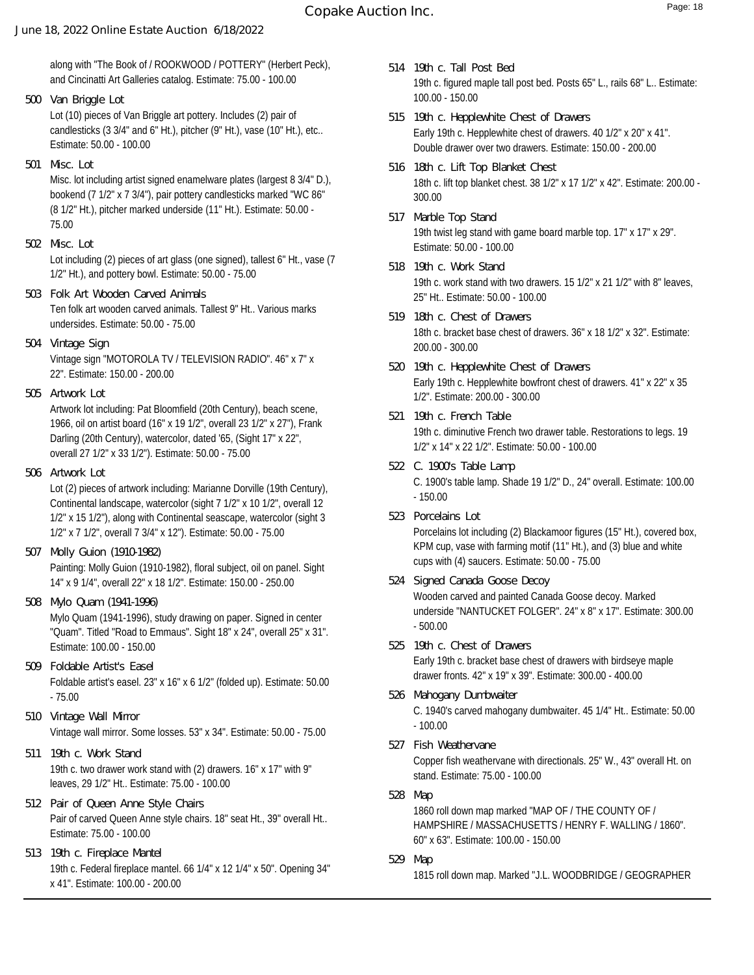along with "The Book of / ROOKWOOD / POTTERY" (Herbert Peck), and Cincinatti Art Galleries catalog. Estimate: 75.00 - 100.00

- Lot (10) pieces of Van Briggle art pottery. Includes (2) pair of candlesticks (3 3/4" and 6" Ht.), pitcher (9" Ht.), vase (10" Ht.), etc.. Estimate: 50.00 - 100.00 **500 Van Briggle Lot**
- **501 Misc. Lot**

Misc. lot including artist signed enamelware plates (largest 8 3/4" D.), bookend (7 1/2" x 7 3/4"), pair pottery candlesticks marked "WC 86" (8 1/2" Ht.), pitcher marked underside (11" Ht.). Estimate: 50.00 - 75.00

- Lot including (2) pieces of art glass (one signed), tallest 6" Ht., vase (7 1/2" Ht.), and pottery bowl. Estimate: 50.00 - 75.00 **502 Misc. Lot**
- Ten folk art wooden carved animals. Tallest 9" Ht.. Various marks undersides. Estimate: 50.00 - 75.00 **503 Folk Art Wooden Carved Animals**
- Vintage sign "MOTOROLA TV / TELEVISION RADIO". 46" x 7" x 22". Estimate: 150.00 - 200.00 **504 Vintage Sign**
- **505 Artwork Lot**

Artwork lot including: Pat Bloomfield (20th Century), beach scene, 1966, oil on artist board (16" x 19 1/2", overall 23 1/2" x 27"), Frank Darling (20th Century), watercolor, dated '65, (Sight 17" x 22", overall 27 1/2" x 33 1/2"). Estimate: 50.00 - 75.00

**506 Artwork Lot**

Lot (2) pieces of artwork including: Marianne Dorville (19th Century), Continental landscape, watercolor (sight 7 1/2" x 10 1/2", overall 12 1/2" x 15 1/2"), along with Continental seascape, watercolor (sight 3 1/2" x 7 1/2", overall 7 3/4" x 12"). Estimate: 50.00 - 75.00

- Painting: Molly Guion (1910-1982), floral subject, oil on panel. Sight 14" x 9 1/4", overall 22" x 18 1/2". Estimate: 150.00 - 250.00 **507 Molly Guion (1910-1982)**
- Mylo Quam (1941-1996), study drawing on paper. Signed in center "Quam". Titled "Road to Emmaus". Sight 18" x 24", overall 25" x 31". Estimate: 100.00 - 150.00 **508 Mylo Quam (1941-1996)**
- Foldable artist's easel. 23" x 16" x 6 1/2" (folded up). Estimate: 50.00 - 75.00 **509 Foldable Artist's Easel**
- Vintage wall mirror. Some losses. 53" x 34". Estimate: 50.00 75.00 **510 Vintage Wall Mirror**
- 19th c. two drawer work stand with (2) drawers. 16" x 17" with 9" leaves, 29 1/2" Ht.. Estimate: 75.00 - 100.00 **511 19th c. Work Stand**
- Pair of carved Queen Anne style chairs. 18" seat Ht., 39" overall Ht.. Estimate: 75.00 - 100.00 **512 Pair of Queen Anne Style Chairs**
- 19th c. Federal fireplace mantel. 66 1/4" x 12 1/4" x 50". Opening 34" x 41". Estimate: 100.00 - 200.00 **513 19th c. Fireplace Mantel**
- 19th c. figured maple tall post bed. Posts 65" L., rails 68" L.. Estimate: 100.00 - 150.00 **514 19th c. Tall Post Bed**
- Early 19th c. Hepplewhite chest of drawers. 40 1/2" x 20" x 41". Double drawer over two drawers. Estimate: 150.00 - 200.00 **515 19th c. Hepplewhite Chest of Drawers**
- 18th c. lift top blanket chest. 38 1/2" x 17 1/2" x 42". Estimate: 200.00 300.00 **516 18th c. Lift Top Blanket Chest**
- 19th twist leg stand with game board marble top. 17" x 17" x 29". Estimate: 50.00 - 100.00 **517 Marble Top Stand**
- 19th c. work stand with two drawers. 15 1/2" x 21 1/2" with 8" leaves, 25" Ht.. Estimate: 50.00 - 100.00 **518 19th c. Work Stand**
- 18th c. bracket base chest of drawers. 36" x 18 1/2" x 32". Estimate: 200.00 - 300.00 **519 18th c. Chest of Drawers**
- Early 19th c. Hepplewhite bowfront chest of drawers. 41" x 22" x 35 1/2". Estimate: 200.00 - 300.00 **520 19th c. Hepplewhite Chest of Drawers**
- 19th c. diminutive French two drawer table. Restorations to legs. 19 1/2" x 14" x 22 1/2". Estimate: 50.00 - 100.00 **521 19th c. French Table**
- C. 1900's table lamp. Shade 19 1/2" D., 24" overall. Estimate: 100.00 - 150.00 **522 C. 1900's Table Lamp**
- Porcelains lot including (2) Blackamoor figures (15" Ht.), covered box, KPM cup, vase with farming motif (11" Ht.), and (3) blue and white cups with (4) saucers. Estimate: 50.00 - 75.00 **523 Porcelains Lot**
- Wooden carved and painted Canada Goose decoy. Marked underside "NANTUCKET FOLGER". 24" x 8" x 17". Estimate: 300.00 - 500.00 **524 Signed Canada Goose Decoy**
- Early 19th c. bracket base chest of drawers with birdseye maple drawer fronts. 42" x 19" x 39". Estimate: 300.00 - 400.00 **525 19th c. Chest of Drawers**
- C. 1940's carved mahogany dumbwaiter. 45 1/4" Ht.. Estimate: 50.00 - 100.00 **526 Mahogany Dumbwaiter**
- Copper fish weathervane with directionals. 25" W., 43" overall Ht. on stand. Estimate: 75.00 - 100.00 **527 Fish Weathervane**
- 1860 roll down map marked "MAP OF / THE COUNTY OF / HAMPSHIRE / MASSACHUSETTS / HENRY F. WALLING / 1860". 60" x 63". Estimate: 100.00 - 150.00 **528 Map**
- **529 Map**

1815 roll down map. Marked "J.L. WOODBRIDGE / GEOGRAPHER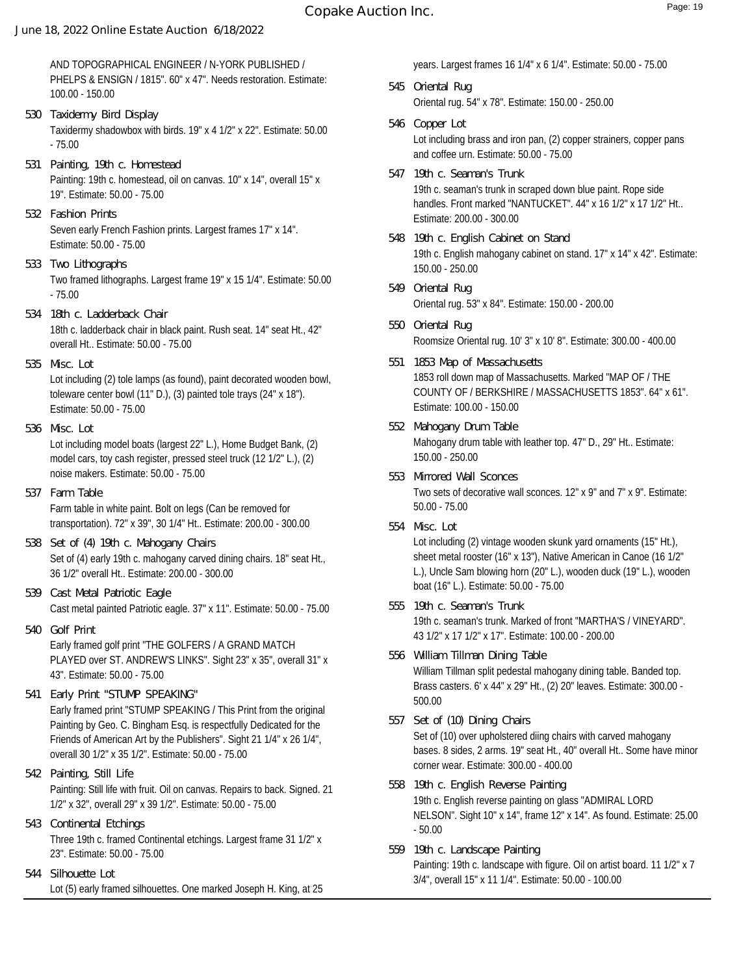# **Copake Auction Inc.** The comparison of the Page: 19

#### **June 18, 2022 Online Estate Auction 6/18/2022**

AND TOPOGRAPHICAL ENGINEER / N-YORK PUBLISHED / PHELPS & ENSIGN / 1815". 60" x 47". Needs restoration. Estimate: 100.00 - 150.00

- Taxidermy shadowbox with birds. 19" x 4 1/2" x 22". Estimate: 50.00 - 75.00 **530 Taxidermy Bird Display**
- Painting: 19th c. homestead, oil on canvas. 10" x 14", overall 15" x 19". Estimate: 50.00 - 75.00 **531 Painting, 19th c. Homestead**
- Seven early French Fashion prints. Largest frames 17" x 14". Estimate: 50.00 - 75.00 **532 Fashion Prints**
- Two framed lithographs. Largest frame 19" x 15 1/4". Estimate: 50.00 - 75.00 **533 Two Lithographs**
- 18th c. ladderback chair in black paint. Rush seat. 14" seat Ht., 42" overall Ht.. Estimate: 50.00 - 75.00 **534 18th c. Ladderback Chair**
- **535 Misc. Lot**

Lot including (2) tole lamps (as found), paint decorated wooden bowl, toleware center bowl (11" D.), (3) painted tole trays (24" x 18"). Estimate: 50.00 - 75.00

- Lot including model boats (largest 22" L.), Home Budget Bank, (2) model cars, toy cash register, pressed steel truck (12 1/2" L.), (2) noise makers. Estimate: 50.00 - 75.00 **536 Misc. Lot**
- Farm table in white paint. Bolt on legs (Can be removed for transportation). 72" x 39", 30 1/4" Ht.. Estimate: 200.00 - 300.00 **537 Farm Table**
- Set of (4) early 19th c. mahogany carved dining chairs. 18" seat Ht., 36 1/2" overall Ht.. Estimate: 200.00 - 300.00 **538 Set of (4) 19th c. Mahogany Chairs**
- Cast metal painted Patriotic eagle. 37" x 11". Estimate: 50.00 75.00 **539 Cast Metal Patriotic Eagle**
- Early framed golf print "THE GOLFERS / A GRAND MATCH PLAYED over ST. ANDREW'S LINKS". Sight 23" x 35", overall 31" x 43". Estimate: 50.00 - 75.00 **540 Golf Print**
- Early framed print "STUMP SPEAKING / This Print from the original Painting by Geo. C. Bingham Esq. is respectfully Dedicated for the Friends of American Art by the Publishers". Sight 21 1/4" x 26 1/4", overall 30 1/2" x 35 1/2". Estimate: 50.00 - 75.00 **541 Early Print "STUMP SPEAKING"**
- Painting: Still life with fruit. Oil on canvas. Repairs to back. Signed. 21 1/2" x 32", overall 29" x 39 1/2". Estimate: 50.00 - 75.00 **542 Painting, Still Life**
- Three 19th c. framed Continental etchings. Largest frame 31 1/2" x 23". Estimate: 50.00 - 75.00 **543 Continental Etchings**
- Lot (5) early framed silhouettes. One marked Joseph H. King, at 25 **544 Silhouette Lot**

years. Largest frames 16 1/4" x 6 1/4". Estimate: 50.00 - 75.00

- Oriental rug. 54" x 78". Estimate: 150.00 250.00 **545 Oriental Rug**
- Lot including brass and iron pan, (2) copper strainers, copper pans and coffee urn. Estimate: 50.00 - 75.00 **546 Copper Lot**
- 19th c. seaman's trunk in scraped down blue paint. Rope side handles. Front marked "NANTUCKET". 44" x 16 1/2" x 17 1/2" Ht.. Estimate: 200.00 - 300.00 **547 19th c. Seaman's Trunk**
- 19th c. English mahogany cabinet on stand. 17" x 14" x 42". Estimate: 150.00 - 250.00 **548 19th c. English Cabinet on Stand**
- Oriental rug. 53" x 84". Estimate: 150.00 200.00 **549 Oriental Rug**
- Roomsize Oriental rug. 10' 3" x 10' 8". Estimate: 300.00 400.00 **550 Oriental Rug**
- 1853 roll down map of Massachusetts. Marked "MAP OF / THE COUNTY OF / BERKSHIRE / MASSACHUSETTS 1853". 64" x 61". Estimate: 100.00 - 150.00 **551 1853 Map of Massachusetts**
- Mahogany drum table with leather top. 47" D., 29" Ht.. Estimate: 150.00 - 250.00 **552 Mahogany Drum Table**
- Two sets of decorative wall sconces. 12" x 9" and 7" x 9". Estimate: 50.00 - 75.00 **553 Mirrored Wall Sconces**
- **554 Misc. Lot**

Lot including (2) vintage wooden skunk yard ornaments (15" Ht.), sheet metal rooster (16" x 13"), Native American in Canoe (16 1/2" L.), Uncle Sam blowing horn (20" L.), wooden duck (19" L.), wooden boat (16" L.). Estimate: 50.00 - 75.00

- 19th c. seaman's trunk. Marked of front "MARTHA'S / VINEYARD". 43 1/2" x 17 1/2" x 17". Estimate: 100.00 - 200.00 **555 19th c. Seaman's Trunk**
- William Tillman split pedestal mahogany dining table. Banded top. Brass casters. 6' x 44" x 29" Ht., (2) 20" leaves. Estimate: 300.00 - 500.00 **556 William Tillman Dining Table**
- Set of (10) over upholstered diing chairs with carved mahogany bases. 8 sides, 2 arms. 19" seat Ht., 40" overall Ht.. Some have minor corner wear. Estimate: 300.00 - 400.00 **557 Set of (10) Dining Chairs**
- 19th c. English reverse painting on glass "ADMIRAL LORD NELSON". Sight 10" x 14", frame 12" x 14". As found. Estimate: 25.00 - 50.00 **558 19th c. English Reverse Painting**
- Painting: 19th c. landscape with figure. Oil on artist board. 11 1/2" x 7 3/4", overall 15" x 11 1/4". Estimate: 50.00 - 100.00 **559 19th c. Landscape Painting**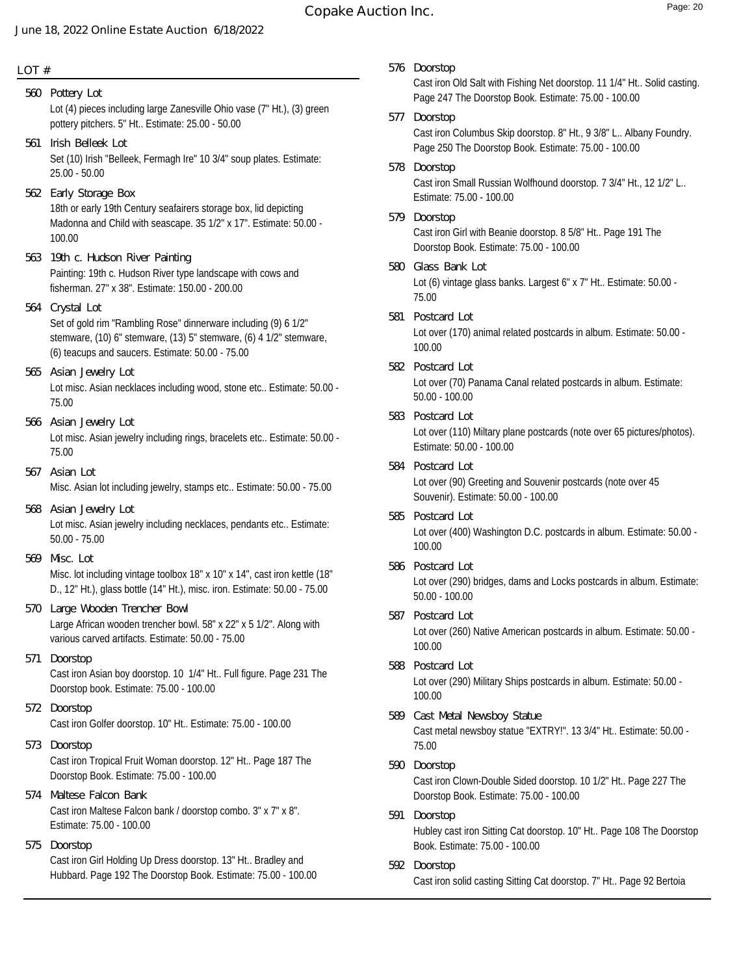# **Copake Auction Inc.** The comparison of the Page: 20

#### **June 18, 2022 Online Estate Auction 6/18/2022**

**LOT #**

Lot (4) pieces including large Zanesville Ohio vase (7" Ht.), (3) green pottery pitchers. 5" Ht.. Estimate: 25.00 - 50.00 **560 Pottery Lot**

- Set (10) Irish "Belleek, Fermagh Ire" 10 3/4" soup plates. Estimate: 25.00 - 50.00 **561 Irish Belleek Lot**
- 18th or early 19th Century seafairers storage box, lid depicting Madonna and Child with seascape. 35 1/2" x 17". Estimate: 50.00 - 100.00 **562 Early Storage Box**
- Painting: 19th c. Hudson River type landscape with cows and fisherman. 27" x 38". Estimate: 150.00 - 200.00 **563 19th c. Hudson River Painting**
- Set of gold rim "Rambling Rose" dinnerware including (9) 6 1/2" stemware, (10) 6" stemware, (13) 5" stemware, (6) 4 1/2" stemware, (6) teacups and saucers. Estimate: 50.00 - 75.00 **564 Crystal Lot**
- Lot misc. Asian necklaces including wood, stone etc.. Estimate: 50.00 75.00 **565 Asian Jewelry Lot**
- Lot misc. Asian jewelry including rings, bracelets etc.. Estimate: 50.00 75.00 **566 Asian Jewelry Lot**
- Misc. Asian lot including jewelry, stamps etc.. Estimate: 50.00 75.00 **567 Asian Lot**
- Lot misc. Asian jewelry including necklaces, pendants etc.. Estimate: 50.00 - 75.00 **568 Asian Jewelry Lot**
- Misc. lot including vintage toolbox 18" x 10" x 14", cast iron kettle (18" D., 12" Ht.), glass bottle (14" Ht.), misc. iron. Estimate: 50.00 - 75.00 **569 Misc. Lot**
- Large African wooden trencher bowl. 58" x 22" x 5 1/2". Along with various carved artifacts. Estimate: 50.00 - 75.00 **570 Large Wooden Trencher Bowl**
- Cast iron Asian boy doorstop. 10 1/4" Ht.. Full figure. Page 231 The Doorstop book. Estimate: 75.00 - 100.00 **571 Doorstop**
- Cast iron Golfer doorstop. 10" Ht.. Estimate: 75.00 100.00 **572 Doorstop**
- Cast iron Tropical Fruit Woman doorstop. 12" Ht.. Page 187 The Doorstop Book. Estimate: 75.00 - 100.00 **573 Doorstop**
- Cast iron Maltese Falcon bank / doorstop combo. 3" x 7" x 8". Estimate: 75.00 - 100.00 **574 Maltese Falcon Bank**
- **575 Doorstop**

Cast iron Girl Holding Up Dress doorstop. 13" Ht.. Bradley and Hubbard. Page 192 The Doorstop Book. Estimate: 75.00 - 100.00 **576 Doorstop**

Cast iron Old Salt with Fishing Net doorstop. 11 1/4" Ht.. Solid casting. Page 247 The Doorstop Book. Estimate: 75.00 - 100.00

- Cast iron Columbus Skip doorstop. 8" Ht., 9 3/8" L.. Albany Foundry. Page 250 The Doorstop Book. Estimate: 75.00 - 100.00 **577 Doorstop**
- Cast iron Small Russian Wolfhound doorstop. 7 3/4" Ht., 12 1/2" L.. Estimate: 75.00 - 100.00 **578 Doorstop**
- Cast iron Girl with Beanie doorstop. 8 5/8" Ht.. Page 191 The Doorstop Book. Estimate: 75.00 - 100.00 **579 Doorstop**
- Lot (6) vintage glass banks. Largest 6" x 7" Ht.. Estimate: 50.00 75.00 **580 Glass Bank Lot**
- Lot over (170) animal related postcards in album. Estimate: 50.00 100.00 **581 Postcard Lot**
- Lot over (70) Panama Canal related postcards in album. Estimate: 50.00 - 100.00 **582 Postcard Lot**
- Lot over (110) Miltary plane postcards (note over 65 pictures/photos). Estimate: 50.00 - 100.00 **583 Postcard Lot**
- Lot over (90) Greeting and Souvenir postcards (note over 45 Souvenir). Estimate: 50.00 - 100.00 **584 Postcard Lot**
- Lot over (400) Washington D.C. postcards in album. Estimate: 50.00 100.00 **585 Postcard Lot**
- Lot over (290) bridges, dams and Locks postcards in album. Estimate: 50.00 - 100.00 **586 Postcard Lot**
- Lot over (260) Native American postcards in album. Estimate: 50.00 100.00 **587 Postcard Lot**
- Lot over (290) Military Ships postcards in album. Estimate: 50.00 100.00 **588 Postcard Lot**
- Cast metal newsboy statue "EXTRY!". 13 3/4" Ht.. Estimate: 50.00 75.00 **589 Cast Metal Newsboy Statue**
- Cast iron Clown-Double Sided doorstop. 10 1/2" Ht.. Page 227 The Doorstop Book. Estimate: 75.00 - 100.00 **590 Doorstop**
- Hubley cast iron Sitting Cat doorstop. 10" Ht.. Page 108 The Doorstop Book. Estimate: 75.00 - 100.00 **591 Doorstop**
- Cast iron solid casting Sitting Cat doorstop. 7" Ht.. Page 92 Bertoia **592 Doorstop**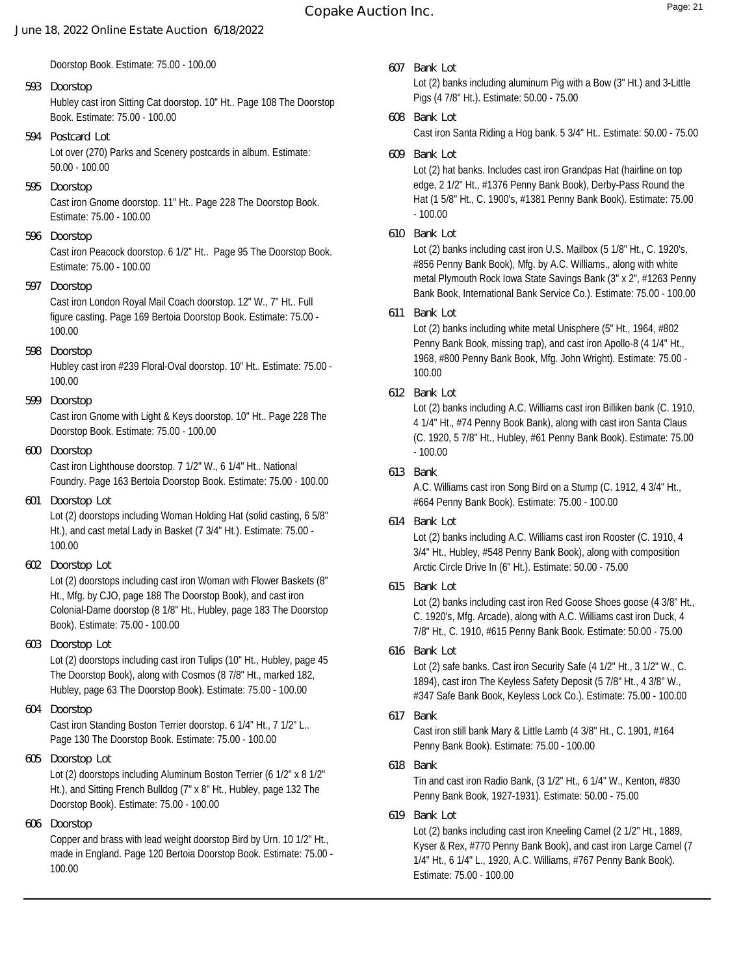Doorstop Book. Estimate: 75.00 - 100.00

## Hubley cast iron Sitting Cat doorstop. 10" Ht.. Page 108 The Doorstop Book. Estimate: 75.00 - 100.00 **593 Doorstop**

Lot over (270) Parks and Scenery postcards in album. Estimate: 50.00 - 100.00 **594 Postcard Lot**

## **595 Doorstop**

Cast iron Gnome doorstop. 11" Ht.. Page 228 The Doorstop Book. Estimate: 75.00 - 100.00

## **596 Doorstop**

Cast iron Peacock doorstop. 6 1/2" Ht.. Page 95 The Doorstop Book. Estimate: 75.00 - 100.00

## **597 Doorstop**

Cast iron London Royal Mail Coach doorstop. 12" W., 7" Ht.. Full figure casting. Page 169 Bertoia Doorstop Book. Estimate: 75.00 - 100.00

**598 Doorstop**

Hubley cast iron #239 Floral-Oval doorstop. 10" Ht.. Estimate: 75.00 - 100.00

**599 Doorstop**

Cast iron Gnome with Light & Keys doorstop. 10" Ht.. Page 228 The Doorstop Book. Estimate: 75.00 - 100.00

**600 Doorstop**

Cast iron Lighthouse doorstop. 7 1/2" W., 6 1/4" Ht.. National Foundry. Page 163 Bertoia Doorstop Book. Estimate: 75.00 - 100.00

**601 Doorstop Lot**

Lot (2) doorstops including Woman Holding Hat (solid casting, 6 5/8" Ht.), and cast metal Lady in Basket (7 3/4" Ht.). Estimate: 75.00 - 100.00

**602 Doorstop Lot**

Lot (2) doorstops including cast iron Woman with Flower Baskets (8" Ht., Mfg. by CJO, page 188 The Doorstop Book), and cast iron Colonial-Dame doorstop (8 1/8" Ht., Hubley, page 183 The Doorstop Book). Estimate: 75.00 - 100.00

**603 Doorstop Lot**

Lot (2) doorstops including cast iron Tulips (10" Ht., Hubley, page 45 The Doorstop Book), along with Cosmos (8 7/8" Ht., marked 182, Hubley, page 63 The Doorstop Book). Estimate: 75.00 - 100.00

**604 Doorstop**

Cast iron Standing Boston Terrier doorstop. 6 1/4" Ht., 7 1/2" L.. Page 130 The Doorstop Book. Estimate: 75.00 - 100.00

**605 Doorstop Lot**

Lot (2) doorstops including Aluminum Boston Terrier (6 1/2" x 8 1/2" Ht.), and Sitting French Bulldog (7" x 8" Ht., Hubley, page 132 The Doorstop Book). Estimate: 75.00 - 100.00

**606 Doorstop**

Copper and brass with lead weight doorstop Bird by Urn. 10 1/2" Ht., made in England. Page 120 Bertoia Doorstop Book. Estimate: 75.00 - 100.00

**607 Bank Lot**

Lot (2) banks including aluminum Pig with a Bow (3" Ht.) and 3-Little Pigs (4 7/8" Ht.). Estimate: 50.00 - 75.00

**608 Bank Lot**

Cast iron Santa Riding a Hog bank. 5 3/4" Ht.. Estimate: 50.00 - 75.00

**609 Bank Lot**

Lot (2) hat banks. Includes cast iron Grandpas Hat (hairline on top edge, 2 1/2" Ht., #1376 Penny Bank Book), Derby-Pass Round the Hat (1 5/8" Ht., C. 1900's, #1381 Penny Bank Book). Estimate: 75.00 - 100.00

**610 Bank Lot**

Lot (2) banks including cast iron U.S. Mailbox (5 1/8" Ht., C. 1920's, #856 Penny Bank Book), Mfg. by A.C. Williams., along with white metal Plymouth Rock Iowa State Savings Bank (3" x 2", #1263 Penny Bank Book, International Bank Service Co.). Estimate: 75.00 - 100.00

**611 Bank Lot**

Lot (2) banks including white metal Unisphere (5" Ht., 1964, #802 Penny Bank Book, missing trap), and cast iron Apollo-8 (4 1/4" Ht., 1968, #800 Penny Bank Book, Mfg. John Wright). Estimate: 75.00 - 100.00

**612 Bank Lot**

Lot (2) banks including A.C. Williams cast iron Billiken bank (C. 1910, 4 1/4" Ht., #74 Penny Book Bank), along with cast iron Santa Claus (C. 1920, 5 7/8" Ht., Hubley, #61 Penny Bank Book). Estimate: 75.00 - 100.00

## **613 Bank**

A.C. Williams cast iron Song Bird on a Stump (C. 1912, 4 3/4" Ht., #664 Penny Bank Book). Estimate: 75.00 - 100.00

**614 Bank Lot**

Lot (2) banks including A.C. Williams cast iron Rooster (C. 1910, 4 3/4" Ht., Hubley, #548 Penny Bank Book), along with composition Arctic Circle Drive In (6" Ht.). Estimate: 50.00 - 75.00

**615 Bank Lot**

Lot (2) banks including cast iron Red Goose Shoes goose (4 3/8" Ht., C. 1920's, Mfg. Arcade), along with A.C. Williams cast iron Duck, 4 7/8" Ht., C. 1910, #615 Penny Bank Book. Estimate: 50.00 - 75.00

**616 Bank Lot**

Lot (2) safe banks. Cast iron Security Safe (4 1/2" Ht., 3 1/2" W., C. 1894), cast iron The Keyless Safety Deposit (5 7/8" Ht., 4 3/8" W., #347 Safe Bank Book, Keyless Lock Co.). Estimate: 75.00 - 100.00

**617 Bank**

Cast iron still bank Mary & Little Lamb (4 3/8" Ht., C. 1901, #164 Penny Bank Book). Estimate: 75.00 - 100.00

**618 Bank**

Tin and cast iron Radio Bank, (3 1/2" Ht., 6 1/4" W., Kenton, #830 Penny Bank Book, 1927-1931). Estimate: 50.00 - 75.00

**619 Bank Lot**

Lot (2) banks including cast iron Kneeling Camel (2 1/2" Ht., 1889, Kyser & Rex, #770 Penny Bank Book), and cast iron Large Camel (7 1/4" Ht., 6 1/4" L., 1920, A.C. Williams, #767 Penny Bank Book). Estimate: 75.00 - 100.00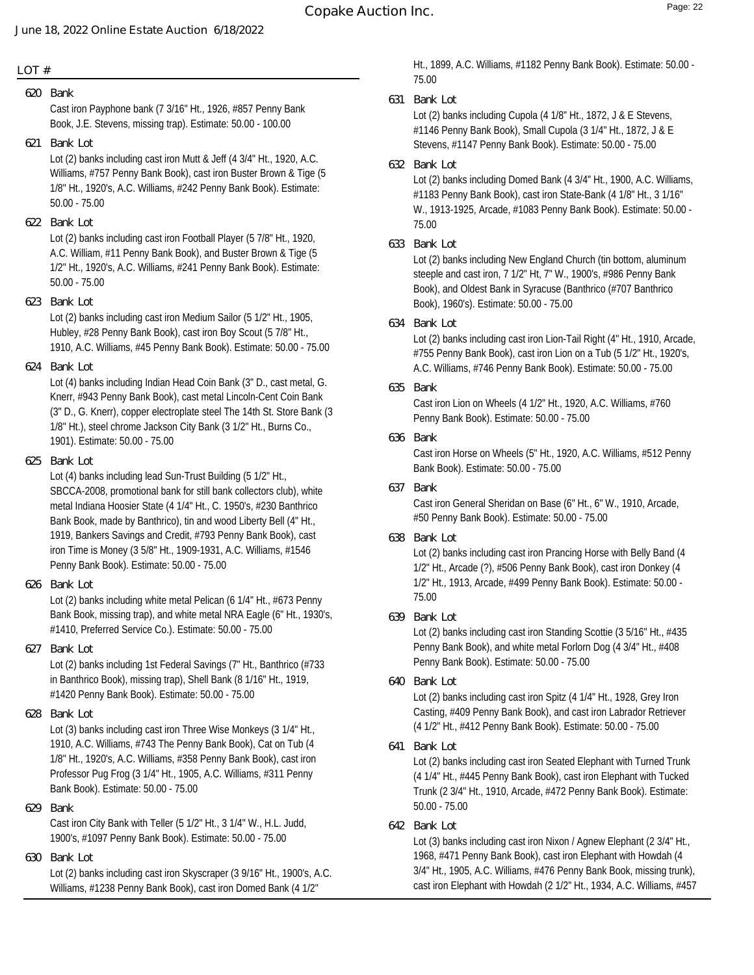### **LOT #**

**620 Bank**

Cast iron Payphone bank (7 3/16" Ht., 1926, #857 Penny Bank Book, J.E. Stevens, missing trap). Estimate: 50.00 - 100.00

**621 Bank Lot**

Lot (2) banks including cast iron Mutt & Jeff (4 3/4" Ht., 1920, A.C. Williams, #757 Penny Bank Book), cast iron Buster Brown & Tige (5 1/8" Ht., 1920's, A.C. Williams, #242 Penny Bank Book). Estimate: 50.00 - 75.00

**622 Bank Lot**

Lot (2) banks including cast iron Football Player (5 7/8" Ht., 1920, A.C. William, #11 Penny Bank Book), and Buster Brown & Tige (5 1/2" Ht., 1920's, A.C. Williams, #241 Penny Bank Book). Estimate: 50.00 - 75.00

**623 Bank Lot**

Lot (2) banks including cast iron Medium Sailor (5 1/2" Ht., 1905, Hubley, #28 Penny Bank Book), cast iron Boy Scout (5 7/8" Ht., 1910, A.C. Williams, #45 Penny Bank Book). Estimate: 50.00 - 75.00

**624 Bank Lot**

Lot (4) banks including Indian Head Coin Bank (3" D., cast metal, G. Knerr, #943 Penny Bank Book), cast metal Lincoln-Cent Coin Bank (3" D., G. Knerr), copper electroplate steel The 14th St. Store Bank (3 1/8" Ht.), steel chrome Jackson City Bank (3 1/2" Ht., Burns Co., 1901). Estimate: 50.00 - 75.00

**625 Bank Lot**

Lot (4) banks including lead Sun-Trust Building (5 1/2" Ht., SBCCA-2008, promotional bank for still bank collectors club), white metal Indiana Hoosier State (4 1/4" Ht., C. 1950's, #230 Banthrico Bank Book, made by Banthrico), tin and wood Liberty Bell (4" Ht., 1919, Bankers Savings and Credit, #793 Penny Bank Book), cast iron Time is Money (3 5/8" Ht., 1909-1931, A.C. Williams, #1546 Penny Bank Book). Estimate: 50.00 - 75.00

**626 Bank Lot**

Lot (2) banks including white metal Pelican (6 1/4" Ht., #673 Penny Bank Book, missing trap), and white metal NRA Eagle (6" Ht., 1930's, #1410, Preferred Service Co.). Estimate: 50.00 - 75.00

**627 Bank Lot**

Lot (2) banks including 1st Federal Savings (7" Ht., Banthrico (#733 in Banthrico Book), missing trap), Shell Bank (8 1/16" Ht., 1919, #1420 Penny Bank Book). Estimate: 50.00 - 75.00

**628 Bank Lot**

Lot (3) banks including cast iron Three Wise Monkeys (3 1/4" Ht., 1910, A.C. Williams, #743 The Penny Bank Book), Cat on Tub (4 1/8" Ht., 1920's, A.C. Williams, #358 Penny Bank Book), cast iron Professor Pug Frog (3 1/4" Ht., 1905, A.C. Williams, #311 Penny Bank Book). Estimate: 50.00 - 75.00

**629 Bank**

Cast iron City Bank with Teller (5 1/2" Ht., 3 1/4" W., H.L. Judd, 1900's, #1097 Penny Bank Book). Estimate: 50.00 - 75.00

**630 Bank Lot**

Lot (2) banks including cast iron Skyscraper (3 9/16" Ht., 1900's, A.C. Williams, #1238 Penny Bank Book), cast iron Domed Bank (4 1/2"

Ht., 1899, A.C. Williams, #1182 Penny Bank Book). Estimate: 50.00 - 75.00

**631 Bank Lot**

Lot (2) banks including Cupola (4 1/8" Ht., 1872, J & E Stevens, #1146 Penny Bank Book), Small Cupola (3 1/4" Ht., 1872, J & E Stevens, #1147 Penny Bank Book). Estimate: 50.00 - 75.00

**632 Bank Lot**

Lot (2) banks including Domed Bank (4 3/4" Ht., 1900, A.C. Williams, #1183 Penny Bank Book), cast iron State-Bank (4 1/8" Ht., 3 1/16" W., 1913-1925, Arcade, #1083 Penny Bank Book). Estimate: 50.00 - 75.00

**633 Bank Lot**

Lot (2) banks including New England Church (tin bottom, aluminum steeple and cast iron, 7 1/2" Ht, 7" W., 1900's, #986 Penny Bank Book), and Oldest Bank in Syracuse (Banthrico (#707 Banthrico Book), 1960's). Estimate: 50.00 - 75.00

**634 Bank Lot**

Lot (2) banks including cast iron Lion-Tail Right (4" Ht., 1910, Arcade, #755 Penny Bank Book), cast iron Lion on a Tub (5 1/2" Ht., 1920's, A.C. Williams, #746 Penny Bank Book). Estimate: 50.00 - 75.00

**635 Bank**

Cast iron Lion on Wheels (4 1/2" Ht., 1920, A.C. Williams, #760 Penny Bank Book). Estimate: 50.00 - 75.00

**636 Bank**

Cast iron Horse on Wheels (5" Ht., 1920, A.C. Williams, #512 Penny Bank Book). Estimate: 50.00 - 75.00

**637 Bank**

Cast iron General Sheridan on Base (6" Ht., 6" W., 1910, Arcade, #50 Penny Bank Book). Estimate: 50.00 - 75.00

**638 Bank Lot**

Lot (2) banks including cast iron Prancing Horse with Belly Band (4 1/2" Ht., Arcade (?), #506 Penny Bank Book), cast iron Donkey (4 1/2" Ht., 1913, Arcade, #499 Penny Bank Book). Estimate: 50.00 - 75.00

**639 Bank Lot**

Lot (2) banks including cast iron Standing Scottie (3 5/16" Ht., #435 Penny Bank Book), and white metal Forlorn Dog (4 3/4" Ht., #408 Penny Bank Book). Estimate: 50.00 - 75.00

**640 Bank Lot**

Lot (2) banks including cast iron Spitz (4 1/4" Ht., 1928, Grey Iron Casting, #409 Penny Bank Book), and cast iron Labrador Retriever (4 1/2" Ht., #412 Penny Bank Book). Estimate: 50.00 - 75.00

**641 Bank Lot**

Lot (2) banks including cast iron Seated Elephant with Turned Trunk (4 1/4" Ht., #445 Penny Bank Book), cast iron Elephant with Tucked Trunk (2 3/4" Ht., 1910, Arcade, #472 Penny Bank Book). Estimate: 50.00 - 75.00

**642 Bank Lot**

Lot (3) banks including cast iron Nixon / Agnew Elephant (2 3/4" Ht., 1968, #471 Penny Bank Book), cast iron Elephant with Howdah (4 3/4" Ht., 1905, A.C. Williams, #476 Penny Bank Book, missing trunk), cast iron Elephant with Howdah (2 1/2" Ht., 1934, A.C. Williams, #457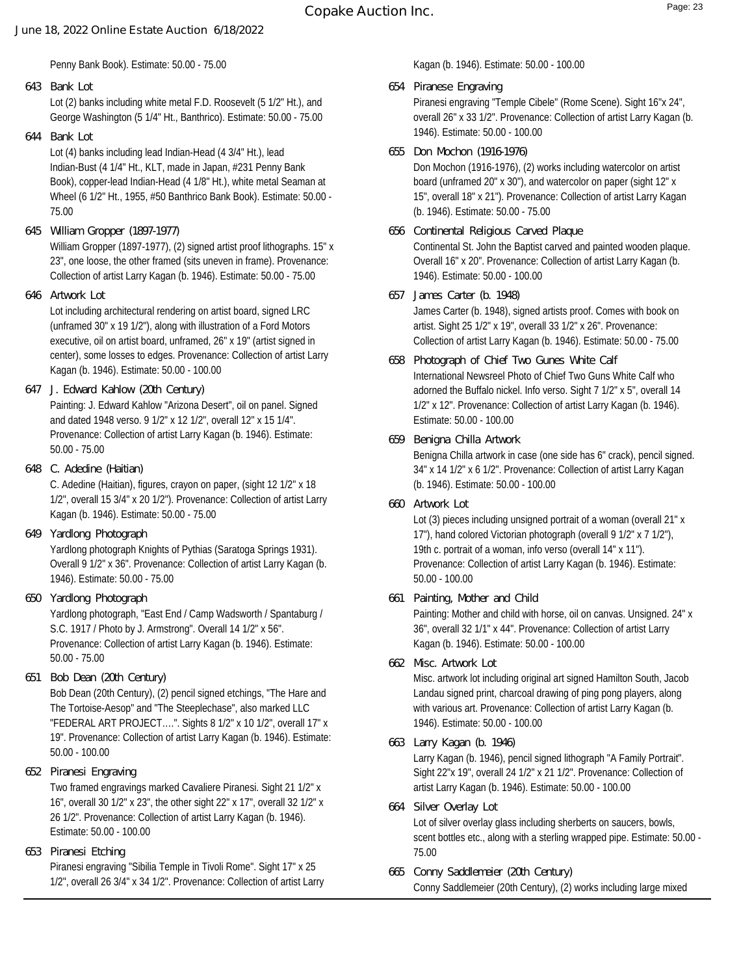Penny Bank Book). Estimate: 50.00 - 75.00

Lot (2) banks including white metal F.D. Roosevelt (5 1/2" Ht.), and George Washington (5 1/4" Ht., Banthrico). Estimate: 50.00 - 75.00 **643 Bank Lot**

**644 Bank Lot**

Lot (4) banks including lead Indian-Head (4 3/4" Ht.), lead Indian-Bust (4 1/4" Ht., KLT, made in Japan, #231 Penny Bank Book), copper-lead Indian-Head (4 1/8" Ht.), white metal Seaman at Wheel (6 1/2" Ht., 1955, #50 Banthrico Bank Book). Estimate: 50.00 - 75.00

**645 William Gropper (1897-1977)**

William Gropper (1897-1977), (2) signed artist proof lithographs. 15" x 23", one loose, the other framed (sits uneven in frame). Provenance: Collection of artist Larry Kagan (b. 1946). Estimate: 50.00 - 75.00

**646 Artwork Lot**

Lot including architectural rendering on artist board, signed LRC (unframed 30" x 19 1/2"), along with illustration of a Ford Motors executive, oil on artist board, unframed, 26" x 19" (artist signed in center), some losses to edges. Provenance: Collection of artist Larry Kagan (b. 1946). Estimate: 50.00 - 100.00

- Painting: J. Edward Kahlow "Arizona Desert", oil on panel. Signed and dated 1948 verso. 9 1/2" x 12 1/2", overall 12" x 15 1/4". Provenance: Collection of artist Larry Kagan (b. 1946). Estimate: 50.00 - 75.00 **647 J. Edward Kahlow (20th Century)**
- **648 C. Adedine (Haitian)**

C. Adedine (Haitian), figures, crayon on paper, (sight 12 1/2" x 18 1/2", overall 15 3/4" x 20 1/2"). Provenance: Collection of artist Larry Kagan (b. 1946). Estimate: 50.00 - 75.00

**649 Yardlong Photograph**

Yardlong photograph Knights of Pythias (Saratoga Springs 1931). Overall 9 1/2" x 36". Provenance: Collection of artist Larry Kagan (b. 1946). Estimate: 50.00 - 75.00

- Yardlong photograph, "East End / Camp Wadsworth / Spantaburg / S.C. 1917 / Photo by J. Armstrong". Overall 14 1/2" x 56". Provenance: Collection of artist Larry Kagan (b. 1946). Estimate: 50.00 - 75.00 **650 Yardlong Photograph**
- **651 Bob Dean (20th Century)**

Bob Dean (20th Century), (2) pencil signed etchings, "The Hare and The Tortoise-Aesop" and "The Steeplechase", also marked LLC "FEDERAL ART PROJECT….". Sights 8 1/2" x 10 1/2", overall 17" x 19". Provenance: Collection of artist Larry Kagan (b. 1946). Estimate: 50.00 - 100.00

**652 Piranesi Engraving**

Two framed engravings marked Cavaliere Piranesi. Sight 21 1/2" x 16", overall 30 1/2" x 23", the other sight 22" x 17", overall 32 1/2" x 26 1/2". Provenance: Collection of artist Larry Kagan (b. 1946). Estimate: 50.00 - 100.00

**653 Piranesi Etching**

Piranesi engraving "Sibilia Temple in Tivoli Rome". Sight 17" x 25 1/2", overall 26 3/4" x 34 1/2". Provenance: Collection of artist Larry Kagan (b. 1946). Estimate: 50.00 - 100.00

**654 Piranese Engraving**

Piranesi engraving "Temple Cibele" (Rome Scene). Sight 16"x 24", overall 26" x 33 1/2". Provenance: Collection of artist Larry Kagan (b. 1946). Estimate: 50.00 - 100.00

**655 Don Mochon (1916-1976)**

Don Mochon (1916-1976), (2) works including watercolor on artist board (unframed 20" x 30"), and watercolor on paper (sight 12" x 15", overall 18" x 21"). Provenance: Collection of artist Larry Kagan (b. 1946). Estimate: 50.00 - 75.00

- Continental St. John the Baptist carved and painted wooden plaque. Overall 16" x 20". Provenance: Collection of artist Larry Kagan (b. 1946). Estimate: 50.00 - 100.00 **656 Continental Religious Carved Plaque**
- James Carter (b. 1948), signed artists proof. Comes with book on artist. Sight 25 1/2" x 19", overall 33 1/2" x 26". Provenance: Collection of artist Larry Kagan (b. 1946). Estimate: 50.00 - 75.00 **657 James Carter (b. 1948)**
- International Newsreel Photo of Chief Two Guns White Calf who adorned the Buffalo nickel. Info verso. Sight 7 1/2" x 5", overall 14 1/2" x 12". Provenance: Collection of artist Larry Kagan (b. 1946). Estimate: 50.00 - 100.00 **658 Photograph of Chief Two Gunes White Calf**
- **659 Benigna Chilla Artwork**

Benigna Chilla artwork in case (one side has 6" crack), pencil signed. 34" x 14 1/2" x 6 1/2". Provenance: Collection of artist Larry Kagan (b. 1946). Estimate: 50.00 - 100.00

**660 Artwork Lot**

Lot (3) pieces including unsigned portrait of a woman (overall 21" x 17"), hand colored Victorian photograph (overall 9 1/2" x 7 1/2"), 19th c. portrait of a woman, info verso (overall 14" x 11"). Provenance: Collection of artist Larry Kagan (b. 1946). Estimate: 50.00 - 100.00

**661 Painting, Mother and Child**

Painting: Mother and child with horse, oil on canvas. Unsigned. 24" x 36", overall 32 1/1" x 44". Provenance: Collection of artist Larry Kagan (b. 1946). Estimate: 50.00 - 100.00

**662 Misc. Artwork Lot**

Misc. artwork lot including original art signed Hamilton South, Jacob Landau signed print, charcoal drawing of ping pong players, along with various art. Provenance: Collection of artist Larry Kagan (b. 1946). Estimate: 50.00 - 100.00

- Larry Kagan (b. 1946), pencil signed lithograph "A Family Portrait". Sight 22"x 19", overall 24 1/2" x 21 1/2". Provenance: Collection of artist Larry Kagan (b. 1946). Estimate: 50.00 - 100.00 **663 Larry Kagan (b. 1946)**
- Lot of silver overlay glass including sherberts on saucers, bowls, scent bottles etc., along with a sterling wrapped pipe. Estimate: 50.00 - 75.00 **664 Silver Overlay Lot**
- Conny Saddlemeier (20th Century), (2) works including large mixed **665 Conny Saddlemeier (20th Century)**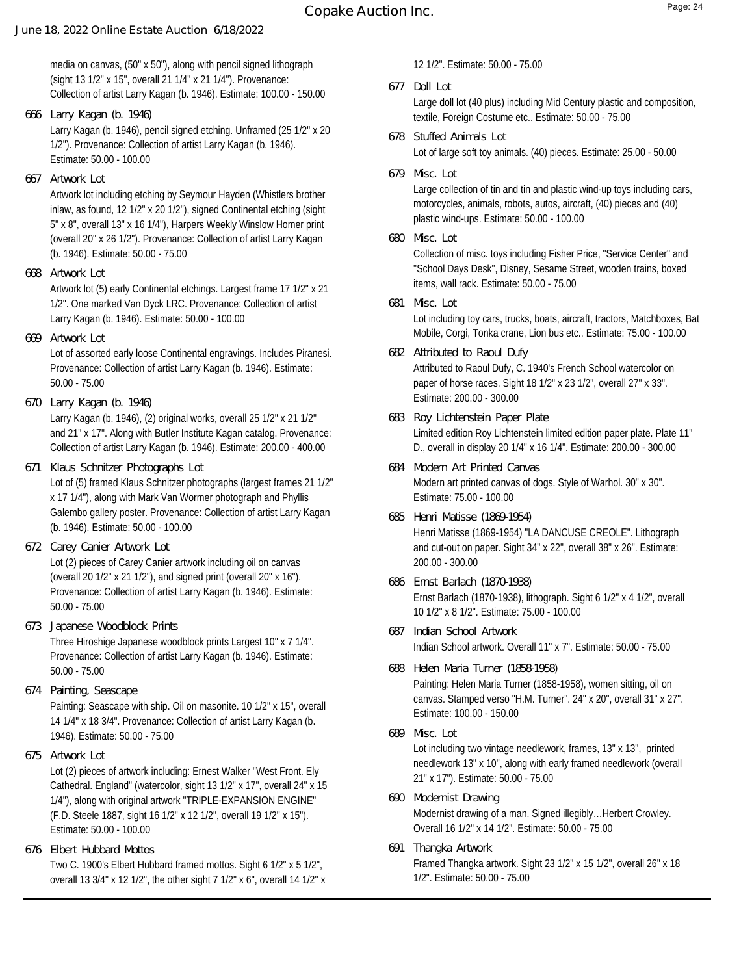media on canvas, (50" x 50"), along with pencil signed lithograph (sight 13 1/2" x 15", overall 21 1/4" x 21 1/4"). Provenance: Collection of artist Larry Kagan (b. 1946). Estimate: 100.00 - 150.00

Larry Kagan (b. 1946), pencil signed etching. Unframed (25 1/2" x 20 **666 Larry Kagan (b. 1946)**

1/2"). Provenance: Collection of artist Larry Kagan (b. 1946). Estimate: 50.00 - 100.00

**667 Artwork Lot**

Artwork lot including etching by Seymour Hayden (Whistlers brother inlaw, as found, 12 1/2" x 20 1/2"), signed Continental etching (sight 5" x 8", overall 13" x 16 1/4"), Harpers Weekly Winslow Homer print (overall 20" x 26 1/2"). Provenance: Collection of artist Larry Kagan (b. 1946). Estimate: 50.00 - 75.00

**668 Artwork Lot**

Artwork lot (5) early Continental etchings. Largest frame 17 1/2" x 21 1/2". One marked Van Dyck LRC. Provenance: Collection of artist Larry Kagan (b. 1946). Estimate: 50.00 - 100.00

**669 Artwork Lot**

Lot of assorted early loose Continental engravings. Includes Piranesi. Provenance: Collection of artist Larry Kagan (b. 1946). Estimate: 50.00 - 75.00

**670 Larry Kagan (b. 1946)**

Larry Kagan (b. 1946), (2) original works, overall 25 1/2" x 21 1/2" and 21" x 17". Along with Butler Institute Kagan catalog. Provenance: Collection of artist Larry Kagan (b. 1946). Estimate: 200.00 - 400.00

**671 Klaus Schnitzer Photographs Lot**

Lot of (5) framed Klaus Schnitzer photographs (largest frames 21 1/2" x 17 1/4"), along with Mark Van Wormer photograph and Phyllis Galembo gallery poster. Provenance: Collection of artist Larry Kagan (b. 1946). Estimate: 50.00 - 100.00

- Lot (2) pieces of Carey Canier artwork including oil on canvas (overall 20 1/2" x 21 1/2"), and signed print (overall 20" x 16"). Provenance: Collection of artist Larry Kagan (b. 1946). Estimate: 50.00 - 75.00 **672 Carey Canier Artwork Lot**
- Three Hiroshige Japanese woodblock prints Largest 10" x 7 1/4". Provenance: Collection of artist Larry Kagan (b. 1946). Estimate: 50.00 - 75.00 **673 Japanese Woodblock Prints**
- Painting: Seascape with ship. Oil on masonite. 10 1/2" x 15", overall 14 1/4" x 18 3/4". Provenance: Collection of artist Larry Kagan (b. 1946). Estimate: 50.00 - 75.00 **674 Painting, Seascape**
- **675 Artwork Lot**

Lot (2) pieces of artwork including: Ernest Walker "West Front. Ely Cathedral. England" (watercolor, sight 13 1/2" x 17", overall 24" x 15 1/4"), along with original artwork "TRIPLE-EXPANSION ENGINE" (F.D. Steele 1887, sight 16 1/2" x 12 1/2", overall 19 1/2" x 15"). Estimate: 50.00 - 100.00

Two C. 1900's Elbert Hubbard framed mottos. Sight 6 1/2" x 5 1/2", overall 13 3/4" x 12 1/2", the other sight 7 1/2" x 6", overall 14 1/2" x **676 Elbert Hubbard Mottos**

12 1/2". Estimate: 50.00 - 75.00

**677 Doll Lot**

Large doll lot (40 plus) including Mid Century plastic and composition, textile, Foreign Costume etc.. Estimate: 50.00 - 75.00

- Lot of large soft toy animals. (40) pieces. Estimate: 25.00 50.00 **678 Stuffed Animals Lot**
- **679 Misc. Lot**

Large collection of tin and tin and plastic wind-up toys including cars, motorcycles, animals, robots, autos, aircraft, (40) pieces and (40) plastic wind-ups. Estimate: 50.00 - 100.00

**680 Misc. Lot**

Collection of misc. toys including Fisher Price, "Service Center" and "School Days Desk", Disney, Sesame Street, wooden trains, boxed items, wall rack. Estimate: 50.00 - 75.00

- Lot including toy cars, trucks, boats, aircraft, tractors, Matchboxes, Bat Mobile, Corgi, Tonka crane, Lion bus etc.. Estimate: 75.00 - 100.00 **681 Misc. Lot**
- Attributed to Raoul Dufy, C. 1940's French School watercolor on paper of horse races. Sight 18 1/2" x 23 1/2", overall 27" x 33". Estimate: 200.00 - 300.00 **682 Attributed to Raoul Dufy**
- Limited edition Roy Lichtenstein limited edition paper plate. Plate 11" D., overall in display 20 1/4" x 16 1/4". Estimate: 200.00 - 300.00 **683 Roy Lichtenstein Paper Plate**
- Modern art printed canvas of dogs. Style of Warhol. 30" x 30". Estimate: 75.00 - 100.00 **684 Modern Art Printed Canvas**
- Henri Matisse (1869-1954) "LA DANCUSE CREOLE". Lithograph and cut-out on paper. Sight 34" x 22", overall 38" x 26". Estimate: 200.00 - 300.00 **685 Henri Matisse (1869-1954)**
- Ernst Barlach (1870-1938), lithograph. Sight 6 1/2" x 4 1/2", overall 10 1/2" x 8 1/2". Estimate: 75.00 - 100.00 **686 Ernst Barlach (1870-1938)**
- Indian School artwork. Overall 11" x 7". Estimate: 50.00 75.00 **687 Indian School Artwork**
- Painting: Helen Maria Turner (1858-1958), women sitting, oil on canvas. Stamped verso "H.M. Turner". 24" x 20", overall 31" x 27". Estimate: 100.00 - 150.00 **688 Helen Maria Turner (1858-1958)**
- Lot including two vintage needlework, frames, 13" x 13", printed needlework 13" x 10", along with early framed needlework (overall 21" x 17"). Estimate: 50.00 - 75.00 **689 Misc. Lot**
- Modernist drawing of a man. Signed illegibly…Herbert Crowley. Overall 16 1/2" x 14 1/2". Estimate: 50.00 - 75.00 **690 Modernist Drawing**
- Framed Thangka artwork. Sight 23 1/2" x 15 1/2", overall 26" x 18 1/2". Estimate: 50.00 - 75.00 **691 Thangka Artwork**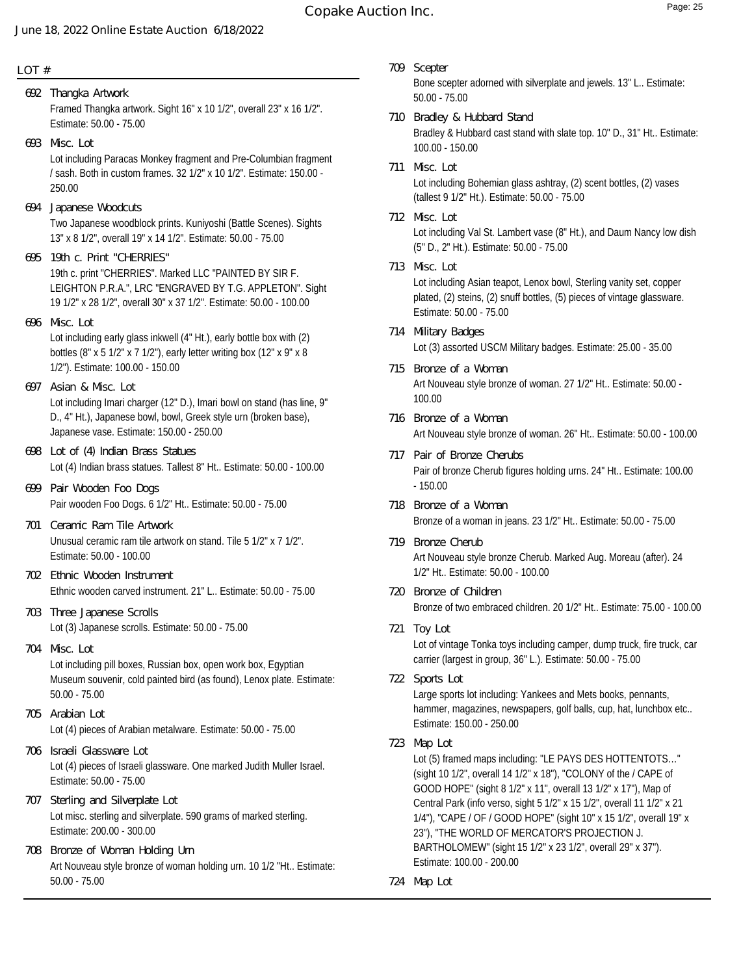### **LOT #**

- Framed Thangka artwork. Sight 16" x 10 1/2", overall 23" x 16 1/2". Estimate: 50.00 - 75.00 **692 Thangka Artwork**
- Lot including Paracas Monkey fragment and Pre-Columbian fragment / sash. Both in custom frames. 32 1/2" x 10 1/2". Estimate: 150.00 - 250.00 **693 Misc. Lot**
- Two Japanese woodblock prints. Kuniyoshi (Battle Scenes). Sights 13" x 8 1/2", overall 19" x 14 1/2". Estimate: 50.00 - 75.00 **694 Japanese Woodcuts**
- 19th c. print "CHERRIES". Marked LLC "PAINTED BY SIR F. LEIGHTON P.R.A.", LRC "ENGRAVED BY T.G. APPLETON". Sight 19 1/2" x 28 1/2", overall 30" x 37 1/2". Estimate: 50.00 - 100.00 **695 19th c. Print "CHERRIES"**
- Lot including early glass inkwell (4" Ht.), early bottle box with (2) bottles (8" x 5 1/2" x 7 1/2"), early letter writing box (12" x 9" x 8 1/2"). Estimate: 100.00 - 150.00 **696 Misc. Lot**
- Lot including Imari charger (12" D.), Imari bowl on stand (has line, 9" D., 4" Ht.), Japanese bowl, bowl, Greek style urn (broken base), Japanese vase. Estimate: 150.00 - 250.00 **697 Asian & Misc. Lot**
- Lot (4) Indian brass statues. Tallest 8" Ht.. Estimate: 50.00 100.00 **698 Lot of (4) Indian Brass Statues**
- Pair wooden Foo Dogs. 6 1/2" Ht.. Estimate: 50.00 75.00 **699 Pair Wooden Foo Dogs**
- Unusual ceramic ram tile artwork on stand. Tile 5 1/2" x 7 1/2". Estimate: 50.00 - 100.00 **701 Ceramic Ram Tile Artwork**
- Ethnic wooden carved instrument. 21" L.. Estimate: 50.00 75.00 **702 Ethnic Wooden Instrument**
- Lot (3) Japanese scrolls. Estimate: 50.00 75.00 **703 Three Japanese Scrolls**
- Lot including pill boxes, Russian box, open work box, Egyptian Museum souvenir, cold painted bird (as found), Lenox plate. Estimate: 50.00 - 75.00 **704 Misc. Lot**
- Lot (4) pieces of Arabian metalware. Estimate: 50.00 75.00 **705 Arabian Lot**
- Lot (4) pieces of Israeli glassware. One marked Judith Muller Israel. Estimate: 50.00 - 75.00 **706 Israeli Glassware Lot**
- Lot misc. sterling and silverplate. 590 grams of marked sterling. Estimate: 200.00 - 300.00 **707 Sterling and Silverplate Lot**
- Art Nouveau style bronze of woman holding urn. 10 1/2 "Ht.. Estimate: 50.00 - 75.00 **708 Bronze of Woman Holding Urn**
- Bone scepter adorned with silverplate and jewels. 13" L.. Estimate: 50.00 - 75.00 **709 Scepter**
- Bradley & Hubbard cast stand with slate top. 10" D., 31" Ht.. Estimate: 100.00 - 150.00 **710 Bradley & Hubbard Stand**
- Lot including Bohemian glass ashtray, (2) scent bottles, (2) vases (tallest 9 1/2" Ht.). Estimate: 50.00 - 75.00 **711 Misc. Lot**
- Lot including Val St. Lambert vase (8" Ht.), and Daum Nancy low dish (5" D., 2" Ht.). Estimate: 50.00 - 75.00 **712 Misc. Lot**
- Lot including Asian teapot, Lenox bowl, Sterling vanity set, copper plated, (2) steins, (2) snuff bottles, (5) pieces of vintage glassware. Estimate: 50.00 - 75.00 **713 Misc. Lot**
- Lot (3) assorted USCM Military badges. Estimate: 25.00 35.00 **714 Military Badges**
- Art Nouveau style bronze of woman. 27 1/2" Ht.. Estimate: 50.00 100.00 **715 Bronze of a Woman**
- Art Nouveau style bronze of woman. 26" Ht.. Estimate: 50.00 100.00 **716 Bronze of a Woman**
- Pair of bronze Cherub figures holding urns. 24" Ht.. Estimate: 100.00  $-150.00$ **717 Pair of Bronze Cherubs**
- Bronze of a woman in jeans. 23 1/2" Ht.. Estimate: 50.00 75.00 **718 Bronze of a Woman**
- Art Nouveau style bronze Cherub. Marked Aug. Moreau (after). 24 1/2" Ht.. Estimate: 50.00 - 100.00 **719 Bronze Cherub**
- Bronze of two embraced children. 20 1/2" Ht.. Estimate: 75.00 100.00 **720 Bronze of Children**
- Lot of vintage Tonka toys including camper, dump truck, fire truck, car carrier (largest in group, 36" L.). Estimate: 50.00 - 75.00 **721 Toy Lot**
- **722 Sports Lot**

Large sports lot including: Yankees and Mets books, pennants, hammer, magazines, newspapers, golf balls, cup, hat, lunchbox etc.. Estimate: 150.00 - 250.00

**723 Map Lot**

Lot (5) framed maps including: "LE PAYS DES HOTTENTOTS…" (sight 10 1/2", overall 14 1/2" x 18"), "COLONY of the / CAPE of GOOD HOPE" (sight 8 1/2" x 11", overall 13 1/2" x 17"), Map of Central Park (info verso, sight 5 1/2" x 15 1/2", overall 11 1/2" x 21 1/4"), "CAPE / OF / GOOD HOPE" (sight 10" x 15 1/2", overall 19" x 23"), "THE WORLD OF MERCATOR'S PROJECTION J. BARTHOLOMEW" (sight 15 1/2" x 23 1/2", overall 29" x 37"). Estimate: 100.00 - 200.00

**724 Map Lot**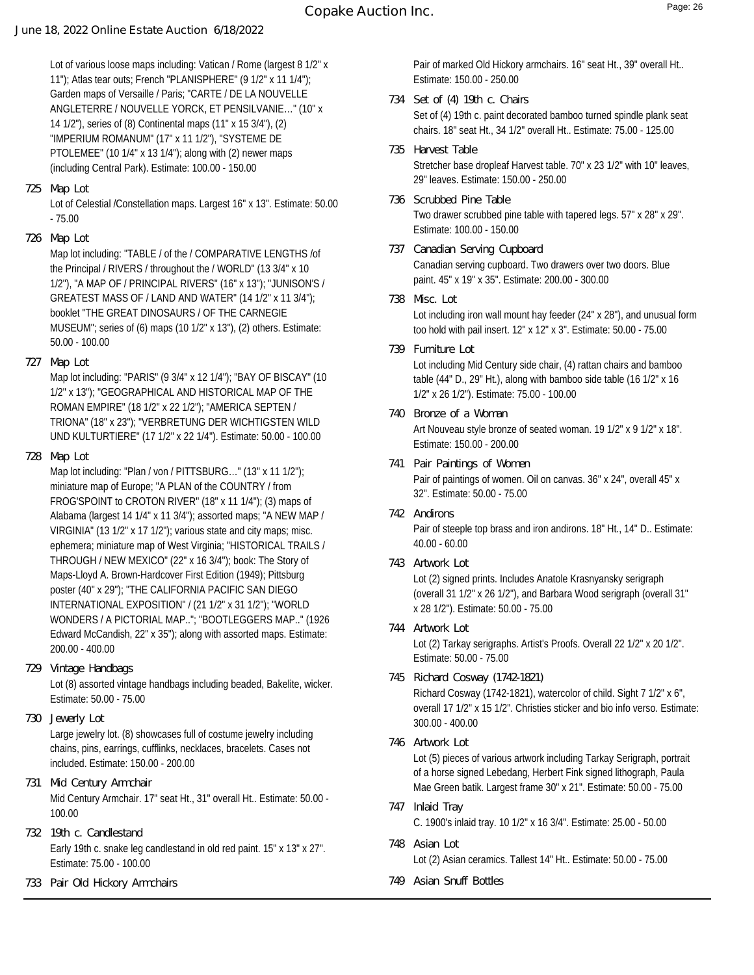Lot of various loose maps including: Vatican / Rome (largest 8 1/2" x 11"); Atlas tear outs; French "PLANISPHERE" (9 1/2" x 11 1/4"); Garden maps of Versaille / Paris; "CARTE / DE LA NOUVELLE ANGLETERRE / NOUVELLE YORCK, ET PENSILVANIE…" (10" x 14 1/2"), series of (8) Continental maps (11" x 15 3/4"), (2) "IMPERIUM ROMANUM" (17" x 11 1/2"), "SYSTEME DE PTOLEMEE" (10 1/4" x 13 1/4"); along with (2) newer maps (including Central Park). Estimate: 100.00 - 150.00

**725 Map Lot**

Lot of Celestial /Constellation maps. Largest 16" x 13". Estimate: 50.00 - 75.00

**726 Map Lot**

Map lot including: "TABLE / of the / COMPARATIVE LENGTHS /of the Principal / RIVERS / throughout the / WORLD" (13 3/4" x 10 1/2"), "A MAP OF / PRINCIPAL RIVERS" (16" x 13"); "JUNISON'S / GREATEST MASS OF / LAND AND WATER" (14 1/2" x 11 3/4"); booklet "THE GREAT DINOSAURS / OF THE CARNEGIE MUSEUM"; series of (6) maps (10 1/2" x 13"), (2) others. Estimate: 50.00 - 100.00

**727 Map Lot**

Map lot including: "PARIS" (9 3/4" x 12 1/4"); "BAY OF BISCAY" (10 1/2" x 13"); "GEOGRAPHICAL AND HISTORICAL MAP OF THE ROMAN EMPIRE" (18 1/2" x 22 1/2"); "AMERICA SEPTEN / TRIONA" (18" x 23"); "VERBRETUNG DER WICHTIGSTEN WILD UND KULTURTIERE" (17 1/2" x 22 1/4"). Estimate: 50.00 - 100.00

**728 Map Lot**

Map lot including: "Plan / von / PITTSBURG..." (13" x 11 1/2"); miniature map of Europe; "A PLAN of the COUNTRY / from FROG'SPOINT to CROTON RIVER" (18" x 11 1/4"); (3) maps of Alabama (largest 14 1/4" x 11 3/4"); assorted maps; "A NEW MAP / VIRGINIA" (13 1/2" x 17 1/2"); various state and city maps; misc. ephemera; miniature map of West Virginia; "HISTORICAL TRAILS / THROUGH / NEW MEXICO" (22" x 16 3/4"); book: The Story of Maps-Lloyd A. Brown-Hardcover First Edition (1949); Pittsburg poster (40" x 29"); "THE CALIFORNIA PACIFIC SAN DIEGO INTERNATIONAL EXPOSITION" / (21 1/2" x 31 1/2"); "WORLD WONDERS / A PICTORIAL MAP.."; "BOOTLEGGERS MAP.." (1926 Edward McCandish, 22" x 35"); along with assorted maps. Estimate: 200.00 - 400.00

- Lot (8) assorted vintage handbags including beaded, Bakelite, wicker. Estimate: 50.00 - 75.00 **729 Vintage Handbags**
- **730 Jewerly Lot**

Large jewelry lot. (8) showcases full of costume jewelry including chains, pins, earrings, cufflinks, necklaces, bracelets. Cases not included. Estimate: 150.00 - 200.00

- Mid Century Armchair. 17" seat Ht., 31" overall Ht.. Estimate: 50.00 100.00 **731 Mid Century Armchair**
- Early 19th c. snake leg candlestand in old red paint. 15" x 13" x 27". Estimate: 75.00 - 100.00 **732 19th c. Candlestand**
- **733 Pair Old Hickory Armchairs**

Pair of marked Old Hickory armchairs. 16" seat Ht., 39" overall Ht.. Estimate: 150.00 - 250.00

- Set of (4) 19th c. paint decorated bamboo turned spindle plank seat chairs. 18" seat Ht., 34 1/2" overall Ht.. Estimate: 75.00 - 125.00 **734 Set of (4) 19th c. Chairs**
- Stretcher base dropleaf Harvest table. 70" x 23 1/2" with 10" leaves, 29" leaves. Estimate: 150.00 - 250.00 **735 Harvest Table**
- Two drawer scrubbed pine table with tapered legs. 57" x 28" x 29". Estimate: 100.00 - 150.00 **736 Scrubbed Pine Table**
- Canadian serving cupboard. Two drawers over two doors. Blue paint. 45" x 19" x 35". Estimate: 200.00 - 300.00 **737 Canadian Serving Cupboard**
- Lot including iron wall mount hay feeder (24" x 28"), and unusual form too hold with pail insert. 12" x 12" x 3". Estimate: 50.00 - 75.00 **738 Misc. Lot**
- Lot including Mid Century side chair, (4) rattan chairs and bamboo table (44" D., 29" Ht.), along with bamboo side table (16 1/2" x 16 1/2" x 26 1/2"). Estimate: 75.00 - 100.00 **739 Furniture Lot**
- Art Nouveau style bronze of seated woman. 19 1/2" x 9 1/2" x 18". Estimate: 150.00 - 200.00 **740 Bronze of a Woman**
- Pair of paintings of women. Oil on canvas. 36" x 24", overall 45" x 32". Estimate: 50.00 - 75.00 **741 Pair Paintings of Women**
- Pair of steeple top brass and iron andirons. 18" Ht., 14" D.. Estimate: 40.00 - 60.00 **742 Andirons**
- **743 Artwork Lot**

Lot (2) signed prints. Includes Anatole Krasnyansky serigraph (overall 31 1/2" x 26 1/2"), and Barbara Wood serigraph (overall 31" x 28 1/2"). Estimate: 50.00 - 75.00

- Lot (2) Tarkay serigraphs. Artist's Proofs. Overall 22 1/2" x 20 1/2". Estimate: 50.00 - 75.00 **744 Artwork Lot**
- Richard Cosway (1742-1821), watercolor of child. Sight 7 1/2" x 6", overall 17 1/2" x 15 1/2". Christies sticker and bio info verso. Estimate: 300.00 - 400.00 **745 Richard Cosway (1742-1821)**
- **746 Artwork Lot**

Lot (5) pieces of various artwork including Tarkay Serigraph, portrait of a horse signed Lebedang, Herbert Fink signed lithograph, Paula Mae Green batik. Largest frame 30" x 21". Estimate: 50.00 - 75.00

- C. 1900's inlaid tray. 10 1/2" x 16 3/4". Estimate: 25.00 50.00 **747 Inlaid Tray**
- Lot (2) Asian ceramics. Tallest 14" Ht.. Estimate: 50.00 75.00 **748 Asian Lot**
- **749 Asian Snuff Bottles**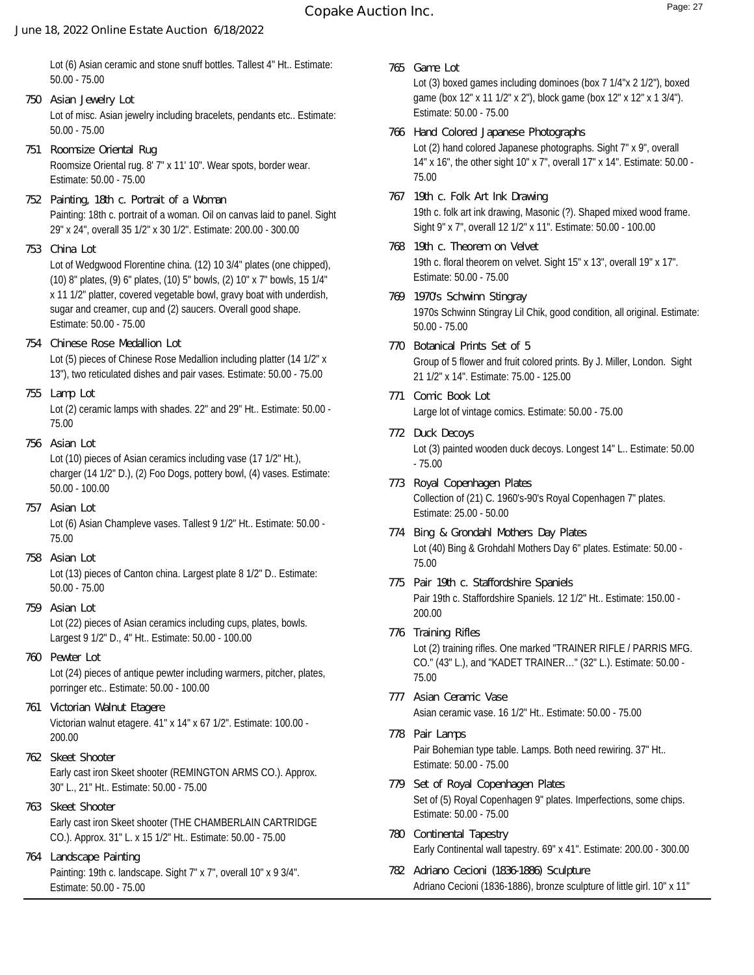# **Copake Auction Inc.** Page: 27

#### **June 18, 2022 Online Estate Auction 6/18/2022**

Lot (6) Asian ceramic and stone snuff bottles. Tallest 4" Ht.. Estimate: 50.00 - 75.00

- Lot of misc. Asian jewelry including bracelets, pendants etc.. Estimate: 50.00 - 75.00 **750 Asian Jewelry Lot**
- Roomsize Oriental rug. 8' 7" x 11' 10". Wear spots, border wear. Estimate: 50.00 - 75.00 **751 Roomsize Oriental Rug**
- Painting: 18th c. portrait of a woman. Oil on canvas laid to panel. Sight 29" x 24", overall 35 1/2" x 30 1/2". Estimate: 200.00 - 300.00 **752 Painting, 18th c. Portrait of a Woman**
- **753 China Lot**

Lot of Wedgwood Florentine china. (12) 10 3/4" plates (one chipped), (10) 8" plates, (9) 6" plates, (10) 5" bowls, (2) 10" x 7" bowls, 15 1/4" x 11 1/2" platter, covered vegetable bowl, gravy boat with underdish, sugar and creamer, cup and (2) saucers. Overall good shape. Estimate: 50.00 - 75.00

- Lot (5) pieces of Chinese Rose Medallion including platter (14 1/2" x 13"), two reticulated dishes and pair vases. Estimate: 50.00 - 75.00 **754 Chinese Rose Medallion Lot**
- **755 Lamp Lot**

Lot (2) ceramic lamps with shades. 22" and 29" Ht.. Estimate: 50.00 - 75.00

**756 Asian Lot**

Lot (10) pieces of Asian ceramics including vase (17 1/2" Ht.), charger (14 1/2" D.), (2) Foo Dogs, pottery bowl, (4) vases. Estimate: 50.00 - 100.00

- Lot (6) Asian Champleve vases. Tallest 9 1/2" Ht.. Estimate: 50.00 75.00 **757 Asian Lot**
- **758 Asian Lot**

Lot (13) pieces of Canton china. Largest plate 8 1/2" D.. Estimate: 50.00 - 75.00

- Lot (22) pieces of Asian ceramics including cups, plates, bowls. Largest 9 1/2" D., 4" Ht.. Estimate: 50.00 - 100.00 **759 Asian Lot**
- Lot (24) pieces of antique pewter including warmers, pitcher, plates, porringer etc.. Estimate: 50.00 - 100.00 **760 Pewter Lot**
- Victorian walnut etagere. 41" x 14" x 67 1/2". Estimate: 100.00 200.00 **761 Victorian Walnut Etagere**
- Early cast iron Skeet shooter (REMINGTON ARMS CO.). Approx. 30" L., 21" Ht.. Estimate: 50.00 - 75.00 **762 Skeet Shooter**
- Early cast iron Skeet shooter (THE CHAMBERLAIN CARTRIDGE CO.). Approx. 31" L. x 15 1/2" Ht.. Estimate: 50.00 - 75.00 **763 Skeet Shooter**
- Painting: 19th c. landscape. Sight 7" x 7", overall 10" x 9 3/4". Estimate: 50.00 - 75.00 **764 Landscape Painting**
- Lot (3) boxed games including dominoes (box 7 1/4"x 2 1/2"), boxed game (box 12" x 11 1/2" x 2"), block game (box 12" x 12" x 1 3/4"). Estimate: 50.00 - 75.00 **765 Game Lot**
- Lot (2) hand colored Japanese photographs. Sight 7" x 9", overall 14" x 16", the other sight 10" x 7", overall 17" x 14". Estimate: 50.00 - 75.00 **766 Hand Colored Japanese Photographs**
- 19th c. folk art ink drawing, Masonic (?). Shaped mixed wood frame. Sight 9" x 7", overall 12 1/2" x 11". Estimate: 50.00 - 100.00 **767 19th c. Folk Art Ink Drawing**
- 19th c. floral theorem on velvet. Sight 15" x 13", overall 19" x 17". Estimate: 50.00 - 75.00 **768 19th c. Theorem on Velvet**
- 1970s Schwinn Stingray Lil Chik, good condition, all original. Estimate: 50.00 - 75.00 **769 1970's Schwinn Stingray**
- Group of 5 flower and fruit colored prints. By J. Miller, London. Sight 21 1/2" x 14". Estimate: 75.00 - 125.00 **770 Botanical Prints Set of 5**
- Large lot of vintage comics. Estimate: 50.00 75.00 **771 Comic Book Lot**
- Lot (3) painted wooden duck decoys. Longest 14" L.. Estimate: 50.00 - 75.00 **772 Duck Decoys**
- Collection of (21) C. 1960's-90's Royal Copenhagen 7" plates. Estimate: 25.00 - 50.00 **773 Royal Copenhagen Plates**
- Lot (40) Bing & Grohdahl Mothers Day 6" plates. Estimate: 50.00 75.00 **774 Bing & Grondahl Mothers Day Plates**
- Pair 19th c. Staffordshire Spaniels. 12 1/2" Ht.. Estimate: 150.00 200.00 **775 Pair 19th c. Staffordshire Spaniels**
- Lot (2) training rifles. One marked "TRAINER RIFLE / PARRIS MFG. CO." (43" L.), and "KADET TRAINER…" (32" L.). Estimate: 50.00 - 75.00 **776 Training Rifles**
- Asian ceramic vase. 16 1/2" Ht.. Estimate: 50.00 75.00 **777 Asian Ceramic Vase**
- Pair Bohemian type table. Lamps. Both need rewiring. 37" Ht.. Estimate: 50.00 - 75.00 **778 Pair Lamps**
- Set of (5) Royal Copenhagen 9" plates. Imperfections, some chips. Estimate: 50.00 - 75.00 **779 Set of Royal Copenhagen Plates**
- Early Continental wall tapestry. 69" x 41". Estimate: 200.00 300.00 **780 Continental Tapestry**
- Adriano Cecioni (1836-1886), bronze sculpture of little girl. 10" x 11" **782 Adriano Cecioni (1836-1886) Sculpture**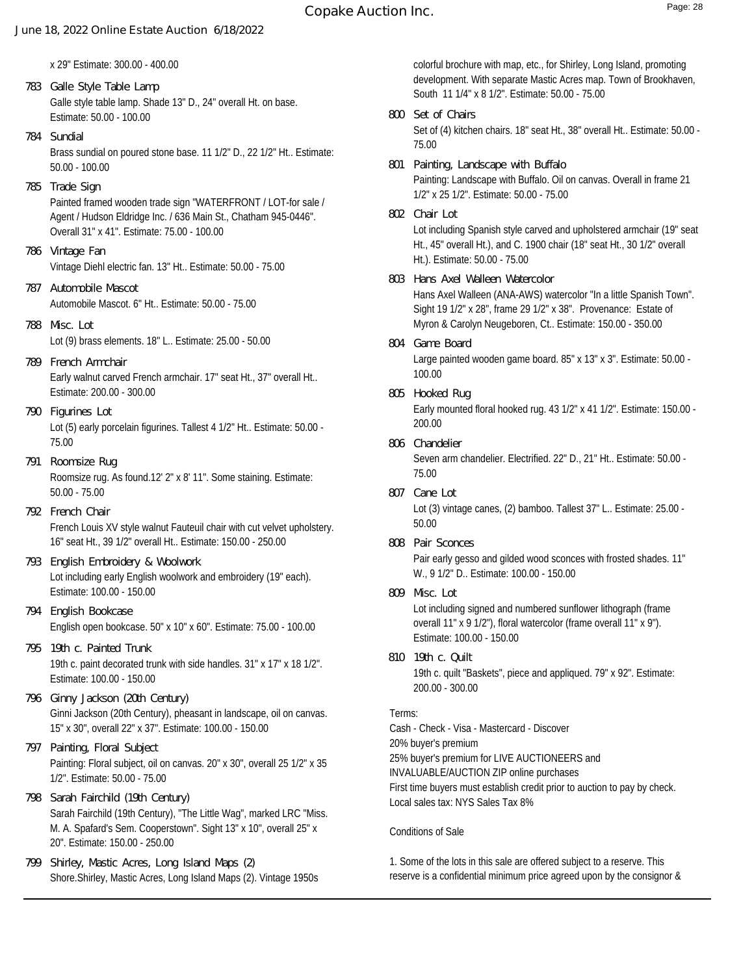x 29" Estimate: 300.00 - 400.00

- Galle style table lamp. Shade 13" D., 24" overall Ht. on base. Estimate: 50.00 - 100.00 **783 Galle Style Table Lamp**
- Brass sundial on poured stone base. 11 1/2" D., 22 1/2" Ht.. Estimate: 50.00 - 100.00 **784 Sundial**
- Painted framed wooden trade sign "WATERFRONT / LOT-for sale / Agent / Hudson Eldridge Inc. / 636 Main St., Chatham 945-0446". Overall 31" x 41". Estimate: 75.00 - 100.00 **785 Trade Sign**
- Vintage Diehl electric fan. 13" Ht.. Estimate: 50.00 75.00 **786 Vintage Fan**
- Automobile Mascot. 6" Ht.. Estimate: 50.00 75.00 **787 Automobile Mascot**
- Lot (9) brass elements. 18" L.. Estimate: 25.00 50.00 **788 Misc. Lot**
- Early walnut carved French armchair. 17" seat Ht., 37" overall Ht.. Estimate: 200.00 - 300.00 **789 French Armchair**
- Lot (5) early porcelain figurines. Tallest 4 1/2" Ht.. Estimate: 50.00 75.00 **790 Figurines Lot**
- Roomsize rug. As found.12' 2" x 8' 11". Some staining. Estimate: 50.00 - 75.00 **791 Roomsize Rug**
- French Louis XV style walnut Fauteuil chair with cut velvet upholstery. 16" seat Ht., 39 1/2" overall Ht.. Estimate: 150.00 - 250.00 **792 French Chair**
- Lot including early English woolwork and embroidery (19" each). Estimate: 100.00 - 150.00 **793 English Embroidery & Woolwork**
- English open bookcase. 50" x 10" x 60". Estimate: 75.00 100.00 **794 English Bookcase**
- 19th c. paint decorated trunk with side handles. 31" x 17" x 18 1/2". Estimate: 100.00 - 150.00 **795 19th c. Painted Trunk**
- Ginni Jackson (20th Century), pheasant in landscape, oil on canvas. 15" x 30", overall 22" x 37". Estimate: 100.00 - 150.00 **796 Ginny Jackson (20th Century)**
- Painting: Floral subject, oil on canvas. 20" x 30", overall 25 1/2" x 35 1/2". Estimate: 50.00 - 75.00 **797 Painting, Floral Subject**
- Sarah Fairchild (19th Century), "The Little Wag", marked LRC "Miss. M. A. Spafard's Sem. Cooperstown". Sight 13" x 10", overall 25" x 20". Estimate: 150.00 - 250.00 **798 Sarah Fairchild (19th Century)**
- Shore.Shirley, Mastic Acres, Long Island Maps (2). Vintage 1950s **799 Shirley, Mastic Acres, Long Island Maps (2)**

colorful brochure with map, etc., for Shirley, Long Island, promoting development. With separate Mastic Acres map. Town of Brookhaven, South 11 1/4" x 8 1/2". Estimate: 50.00 - 75.00

- Set of (4) kitchen chairs. 18" seat Ht., 38" overall Ht.. Estimate: 50.00 75.00 **800 Set of Chairs**
- Painting: Landscape with Buffalo. Oil on canvas. Overall in frame 21 1/2" x 25 1/2". Estimate: 50.00 - 75.00 **801 Painting, Landscape with Buffalo**
- Lot including Spanish style carved and upholstered armchair (19" seat Ht., 45" overall Ht.), and C. 1900 chair (18" seat Ht., 30 1/2" overall Ht.). Estimate: 50.00 - 75.00 **802 Chair Lot**
- Hans Axel Walleen (ANA-AWS) watercolor "In a little Spanish Town". Sight 19 1/2" x 28", frame 29 1/2" x 38". Provenance: Estate of Myron & Carolyn Neugeboren, Ct.. Estimate: 150.00 - 350.00 **803 Hans Axel Walleen Watercolor**
- Large painted wooden game board. 85" x 13" x 3". Estimate: 50.00 100.00 **804 Game Board**
- Early mounted floral hooked rug. 43 1/2" x 41 1/2". Estimate: 150.00 200.00 **805 Hooked Rug**
- Seven arm chandelier. Electrified. 22" D., 21" Ht.. Estimate: 50.00 75.00 **806 Chandelier**
- Lot (3) vintage canes, (2) bamboo. Tallest 37" L.. Estimate: 25.00 50.00 **807 Cane Lot**
- Pair early gesso and gilded wood sconces with frosted shades. 11" W., 9 1/2" D.. Estimate: 100.00 - 150.00 **808 Pair Sconces**
- **809 Misc. Lot**

Lot including signed and numbered sunflower lithograph (frame overall 11" x 9 1/2"), floral watercolor (frame overall 11" x 9"). Estimate: 100.00 - 150.00

19th c. quilt "Baskets", piece and appliqued. 79" x 92". Estimate: 200.00 - 300.00 **810 19th c. Quilt**

## Terms:

Cash - Check - Visa - Mastercard - Discover 20% buyer's premium 25% buyer's premium for LIVE AUCTIONEERS and INVALUABLE/AUCTION ZIP online purchases First time buyers must establish credit prior to auction to pay by check. Local sales tax: NYS Sales Tax 8%

#### Conditions of Sale

1. Some of the lots in this sale are offered subject to a reserve. This reserve is a confidential minimum price agreed upon by the consignor &